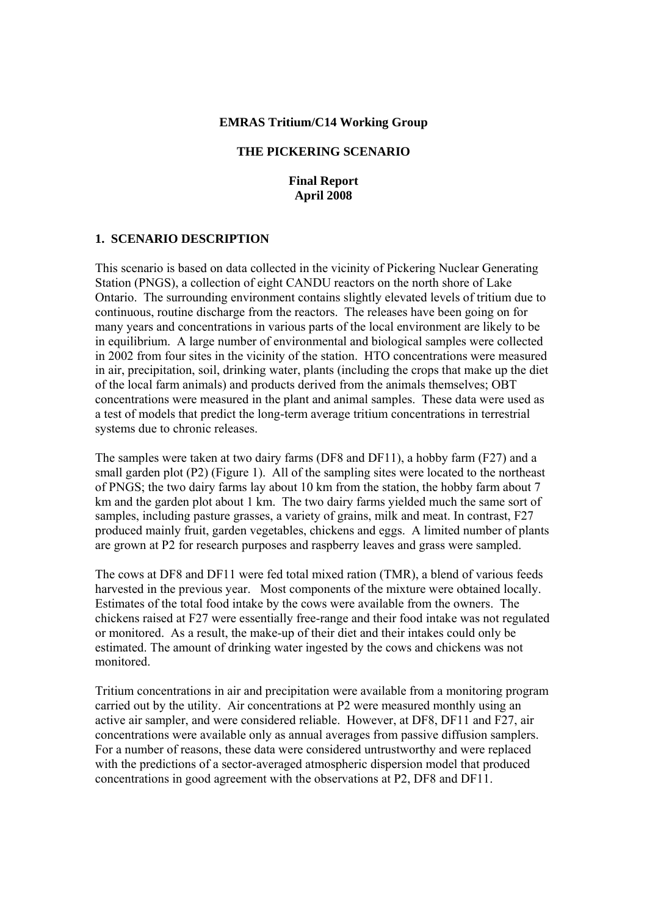#### **EMRAS Tritium/C14 Working Group**

## **THE PICKERING SCENARIO**

**Final Report April 2008** 

#### **1. SCENARIO DESCRIPTION**

This scenario is based on data collected in the vicinity of Pickering Nuclear Generating Station (PNGS), a collection of eight CANDU reactors on the north shore of Lake Ontario. The surrounding environment contains slightly elevated levels of tritium due to continuous, routine discharge from the reactors. The releases have been going on for many years and concentrations in various parts of the local environment are likely to be in equilibrium. A large number of environmental and biological samples were collected in 2002 from four sites in the vicinity of the station. HTO concentrations were measured in air, precipitation, soil, drinking water, plants (including the crops that make up the diet of the local farm animals) and products derived from the animals themselves; OBT concentrations were measured in the plant and animal samples. These data were used as a test of models that predict the long-term average tritium concentrations in terrestrial systems due to chronic releases.

The samples were taken at two dairy farms (DF8 and DF11), a hobby farm (F27) and a small garden plot (P2) (Figure 1). All of the sampling sites were located to the northeast of PNGS; the two dairy farms lay about 10 km from the station, the hobby farm about 7 km and the garden plot about 1 km. The two dairy farms yielded much the same sort of samples, including pasture grasses, a variety of grains, milk and meat. In contrast, F27 produced mainly fruit, garden vegetables, chickens and eggs. A limited number of plants are grown at P2 for research purposes and raspberry leaves and grass were sampled.

The cows at DF8 and DF11 were fed total mixed ration (TMR), a blend of various feeds harvested in the previous year. Most components of the mixture were obtained locally. Estimates of the total food intake by the cows were available from the owners. The chickens raised at F27 were essentially free-range and their food intake was not regulated or monitored. As a result, the make-up of their diet and their intakes could only be estimated. The amount of drinking water ingested by the cows and chickens was not monitored.

Tritium concentrations in air and precipitation were available from a monitoring program carried out by the utility. Air concentrations at P2 were measured monthly using an active air sampler, and were considered reliable. However, at DF8, DF11 and F27, air concentrations were available only as annual averages from passive diffusion samplers. For a number of reasons, these data were considered untrustworthy and were replaced with the predictions of a sector-averaged atmospheric dispersion model that produced concentrations in good agreement with the observations at P2, DF8 and DF11.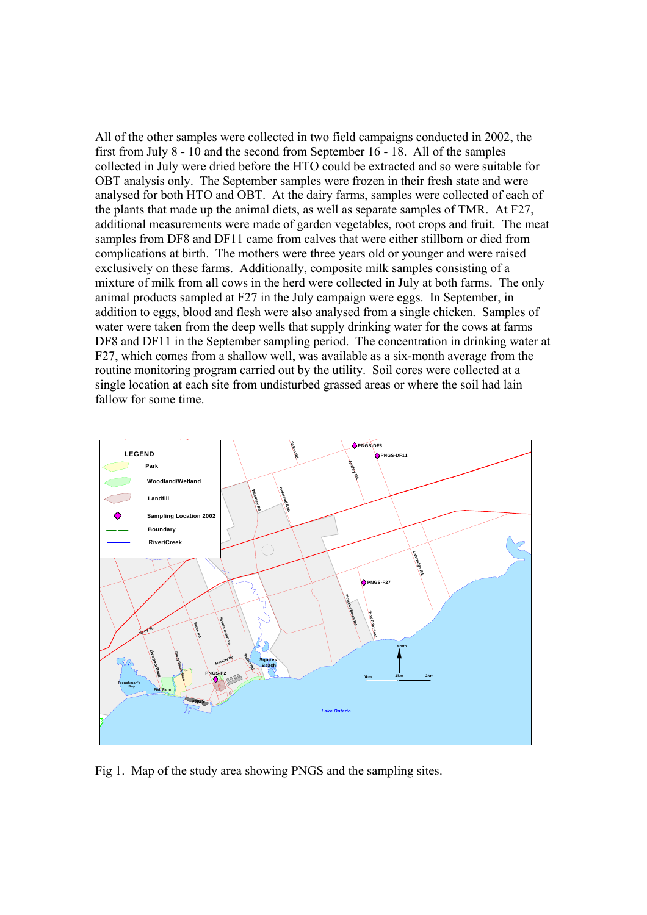All of the other samples were collected in two field campaigns conducted in 2002, the first from July 8 - 10 and the second from September 16 - 18. All of the samples collected in July were dried before the HTO could be extracted and so were suitable for OBT analysis only. The September samples were frozen in their fresh state and were analysed for both HTO and OBT. At the dairy farms, samples were collected of each of the plants that made up the animal diets, as well as separate samples of TMR. At F27, additional measurements were made of garden vegetables, root crops and fruit. The meat samples from DF8 and DF11 came from calves that were either stillborn or died from complications at birth. The mothers were three years old or younger and were raised exclusively on these farms. Additionally, composite milk samples consisting of a mixture of milk from all cows in the herd were collected in July at both farms. The only animal products sampled at F27 in the July campaign were eggs. In September, in addition to eggs, blood and flesh were also analysed from a single chicken. Samples of water were taken from the deep wells that supply drinking water for the cows at farms DF8 and DF11 in the September sampling period. The concentration in drinking water at F27, which comes from a shallow well, was available as a six-month average from the routine monitoring program carried out by the utility. Soil cores were collected at a single location at each site from undisturbed grassed areas or where the soil had lain fallow for some time.



Fig 1. Map of the study area showing PNGS and the sampling sites.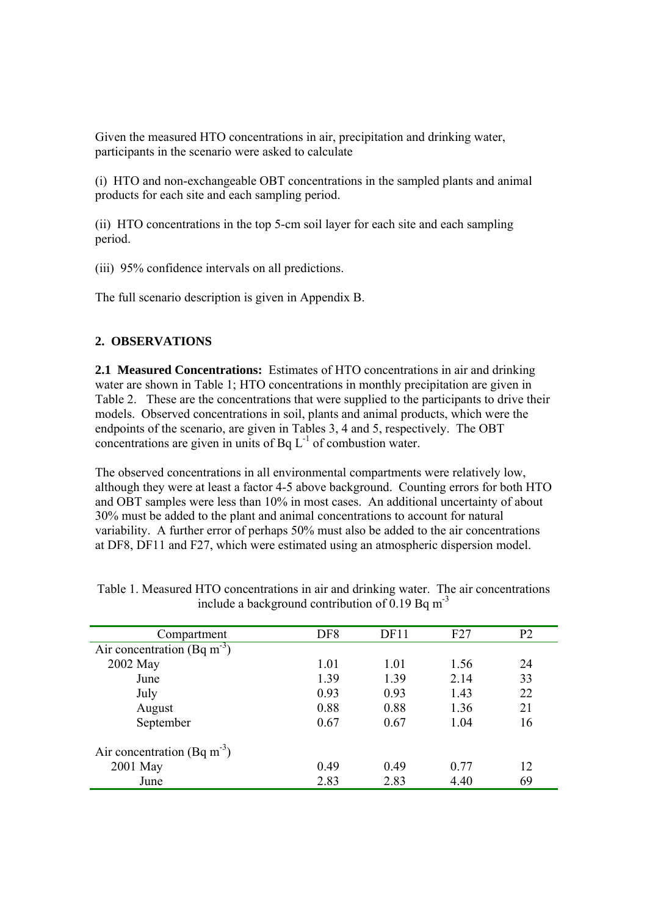Given the measured HTO concentrations in air, precipitation and drinking water, participants in the scenario were asked to calculate

(i) HTO and non-exchangeable OBT concentrations in the sampled plants and animal products for each site and each sampling period.

(ii) HTO concentrations in the top 5-cm soil layer for each site and each sampling period.

(iii) 95% confidence intervals on all predictions.

The full scenario description is given in Appendix B.

## **2. OBSERVATIONS**

**2.1 Measured Concentrations:** Estimates of HTO concentrations in air and drinking water are shown in Table 1; HTO concentrations in monthly precipitation are given in Table 2. These are the concentrations that were supplied to the participants to drive their models. Observed concentrations in soil, plants and animal products, which were the endpoints of the scenario, are given in Tables 3, 4 and 5, respectively. The OBT concentrations are given in units of Bq  $L^{-1}$  of combustion water.

The observed concentrations in all environmental compartments were relatively low, although they were at least a factor 4-5 above background. Counting errors for both HTO and OBT samples were less than 10% in most cases. An additional uncertainty of about 30% must be added to the plant and animal concentrations to account for natural variability. A further error of perhaps 50% must also be added to the air concentrations at DF8, DF11 and F27, which were estimated using an atmospheric dispersion model.

| Compartment                             | DF <sub>8</sub> | DF11 | F27  | P <sub>2</sub> |
|-----------------------------------------|-----------------|------|------|----------------|
| Air concentration (Bq m <sup>-3</sup> ) |                 |      |      |                |
| 2002 May                                | 1.01            | 1.01 | 1.56 | 24             |
| June                                    | 1.39            | 1.39 | 2.14 | 33             |
| July                                    | 0.93            | 0.93 | 1.43 | 22             |
| August                                  | 0.88            | 0.88 | 1.36 | 21             |
| September                               | 0.67            | 0.67 | 1.04 | 16             |
| Air concentration (Bq m <sup>-3</sup> ) |                 |      |      |                |
| 2001 May                                | 0.49            | 0.49 | 0.77 | 12             |
| June                                    | 2.83            | 2.83 | 4.40 | 69             |

| Table 1. Measured HTO concentrations in air and drinking water. The air concentrations |  |  |
|----------------------------------------------------------------------------------------|--|--|
| include a background contribution of 0.19 Bq $m^{-3}$                                  |  |  |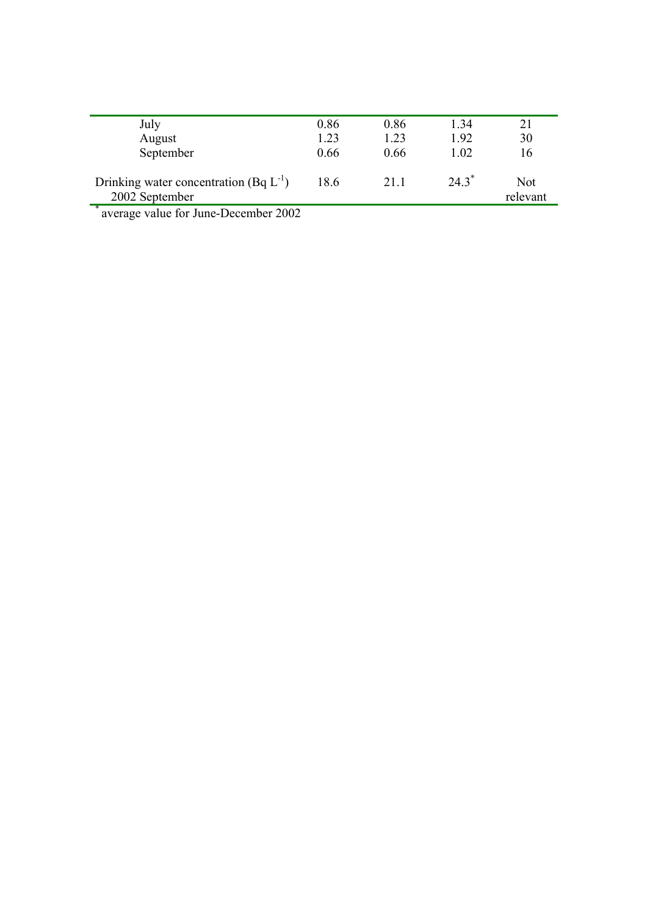| July                                                                                        | 0.86 | 0.86 | 1.34     | 21       |
|---------------------------------------------------------------------------------------------|------|------|----------|----------|
| August                                                                                      | 1.23 | 1.23 | 1.92     | 30       |
| September                                                                                   | 0.66 | 0.66 | 1.02     | 16       |
|                                                                                             |      |      |          |          |
| Drinking water concentration (Bq $L^{-1}$ )                                                 | 18.6 | 21.1 | $24.3^*$ | Not      |
| 2002 September                                                                              |      |      |          | relevant |
| $\overline{\phantom{a}}$<br>$\mathbf{1}$ $\mathbf{0}$<br>$\sim$ $\sim$ $\sim$<br>$\sqrt{ }$ |      |      |          |          |

average value for June-December 2002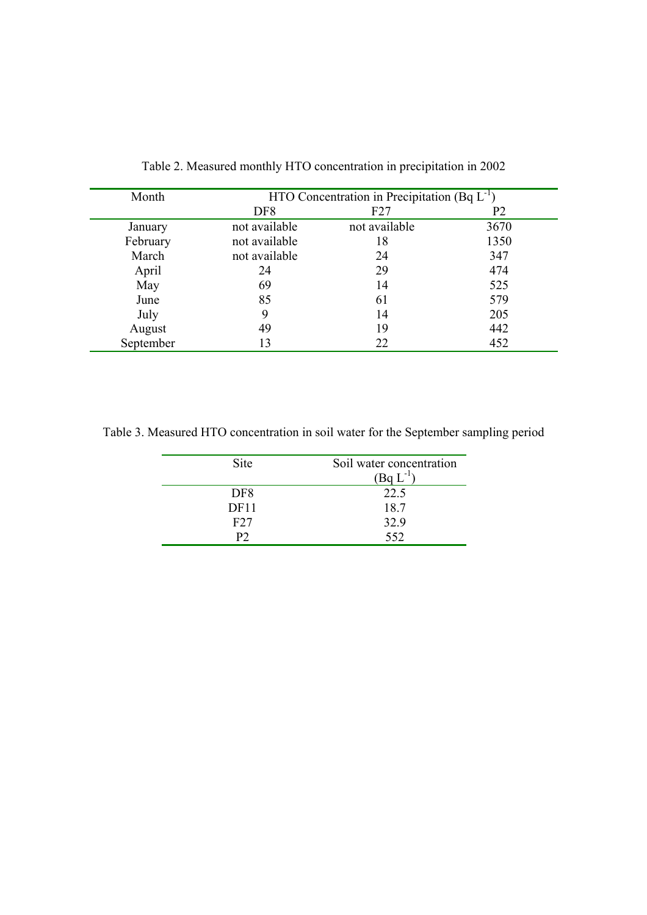| Month     |                 | HTO Concentration in Precipitation (Bq $L^{-1}$ ) |      |
|-----------|-----------------|---------------------------------------------------|------|
|           | DF <sub>8</sub> | F27                                               | P2   |
| January   | not available   | not available                                     | 3670 |
| February  | not available   | 18                                                | 1350 |
| March     | not available   | 24                                                | 347  |
| April     | 24              | 29                                                | 474  |
| May       | 69              | 14                                                | 525  |
| June      | 85              | 61                                                | 579  |
| July      | 9               | 14                                                | 205  |
| August    | 49              | 19                                                | 442  |
| September | 13              | 22                                                | 452  |

Table 2. Measured monthly HTO concentration in precipitation in 2002

Table 3. Measured HTO concentration in soil water for the September sampling period

| Site            | Soil water concentration<br>$(BqL^{-1})$ |
|-----------------|------------------------------------------|
| DF <sub>8</sub> | 22.5                                     |
| DF11            | 18.7                                     |
| F27             | 32.9                                     |
| P?              | 552                                      |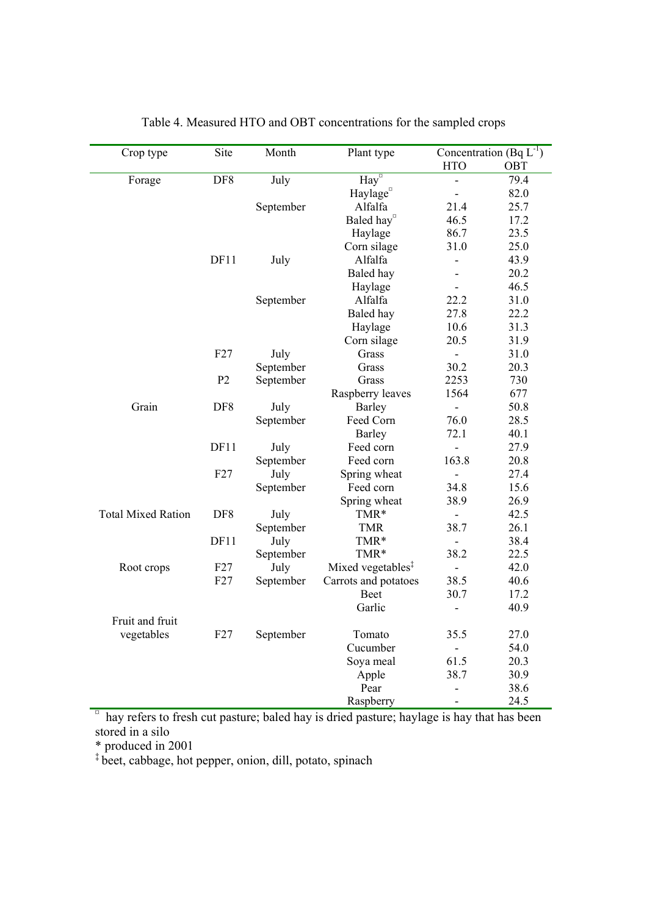| Crop type                 | Site           | Month     | Plant type                                                                                |                          | Concentration (Bq $L^{-1}$ ) |
|---------------------------|----------------|-----------|-------------------------------------------------------------------------------------------|--------------------------|------------------------------|
|                           |                |           |                                                                                           | <b>HTO</b>               | OBT                          |
| Forage                    | DF8            | July      | $\overline{\text{Hay}}^{\circ}$                                                           |                          | 79.4                         |
|                           |                |           | Haylage <sup>¤</sup>                                                                      | $\overline{\phantom{a}}$ | 82.0                         |
|                           |                | September | Alfalfa                                                                                   | 21.4                     | 25.7                         |
|                           |                |           | Baled hay <sup>¤</sup>                                                                    | 46.5                     | 17.2                         |
|                           |                |           | Haylage                                                                                   | 86.7                     | 23.5                         |
|                           |                |           | Corn silage                                                                               | 31.0                     | 25.0                         |
|                           | DF11           | July      | Alfalfa                                                                                   |                          | 43.9                         |
|                           |                |           | Baled hay                                                                                 |                          | 20.2                         |
|                           |                |           | Haylage                                                                                   |                          | 46.5                         |
|                           |                | September | Alfalfa                                                                                   | 22.2                     | 31.0                         |
|                           |                |           | Baled hay                                                                                 | 27.8                     | 22.2                         |
|                           |                |           | Haylage                                                                                   | 10.6                     | 31.3                         |
|                           |                |           | Corn silage                                                                               | 20.5                     | 31.9                         |
|                           | F27            | July      | Grass                                                                                     | $\blacksquare$           | 31.0                         |
|                           |                | September | Grass                                                                                     | 30.2                     | 20.3                         |
|                           | P <sub>2</sub> | September | Grass                                                                                     | 2253                     | 730                          |
|                           |                |           | Raspberry leaves                                                                          | 1564                     | 677                          |
| Grain                     | DF8            | July      | Barley                                                                                    |                          | 50.8                         |
|                           |                | September | Feed Corn                                                                                 | 76.0                     | 28.5                         |
|                           |                |           | Barley                                                                                    | 72.1                     | 40.1                         |
|                           | DF11           | July      | Feed corn                                                                                 |                          | 27.9                         |
|                           |                | September | Feed corn                                                                                 | 163.8                    | 20.8                         |
|                           | F27            | July      | Spring wheat                                                                              | $\overline{\phantom{a}}$ | 27.4                         |
|                           |                | September | Feed corn                                                                                 | 34.8                     | 15.6                         |
|                           |                |           | Spring wheat                                                                              | 38.9                     | 26.9                         |
| <b>Total Mixed Ration</b> | DF8            | July      | TMR*                                                                                      | $\overline{\phantom{a}}$ | 42.5                         |
|                           |                | September | <b>TMR</b>                                                                                | 38.7                     | 26.1                         |
|                           | DF11           | July      | TMR*                                                                                      | $\blacksquare$           | 38.4                         |
|                           |                | September | TMR*                                                                                      | 38.2                     | 22.5                         |
| Root crops                | F27            | July      | Mixed vegetables <sup>‡</sup>                                                             | $\overline{\phantom{a}}$ | 42.0                         |
|                           | F27            | September | Carrots and potatoes                                                                      | 38.5                     | 40.6                         |
|                           |                |           | Beet                                                                                      | 30.7                     | 17.2                         |
|                           |                |           | Garlic                                                                                    |                          | 40.9                         |
| Fruit and fruit           |                |           |                                                                                           |                          |                              |
| vegetables                | F27            | September | Tomato                                                                                    | 35.5                     | 27.0                         |
|                           |                |           | Cucumber                                                                                  |                          | 54.0                         |
|                           |                |           | Soya meal                                                                                 | 61.5                     | 20.3                         |
|                           |                |           | Apple                                                                                     | 38.7                     | 30.9                         |
|                           |                |           | Pear                                                                                      |                          | 38.6                         |
|                           |                |           | Raspberry                                                                                 |                          | 24.5                         |
| $\alpha$                  |                |           | hay refers to fresh cut pasture; baled hay is dried pasture; haylage is hay that has been |                          |                              |

Table 4. Measured HTO and OBT concentrations for the sampled crops

stored in a silo

\* produced in 2001

‡ beet, cabbage, hot pepper, onion, dill, potato, spinach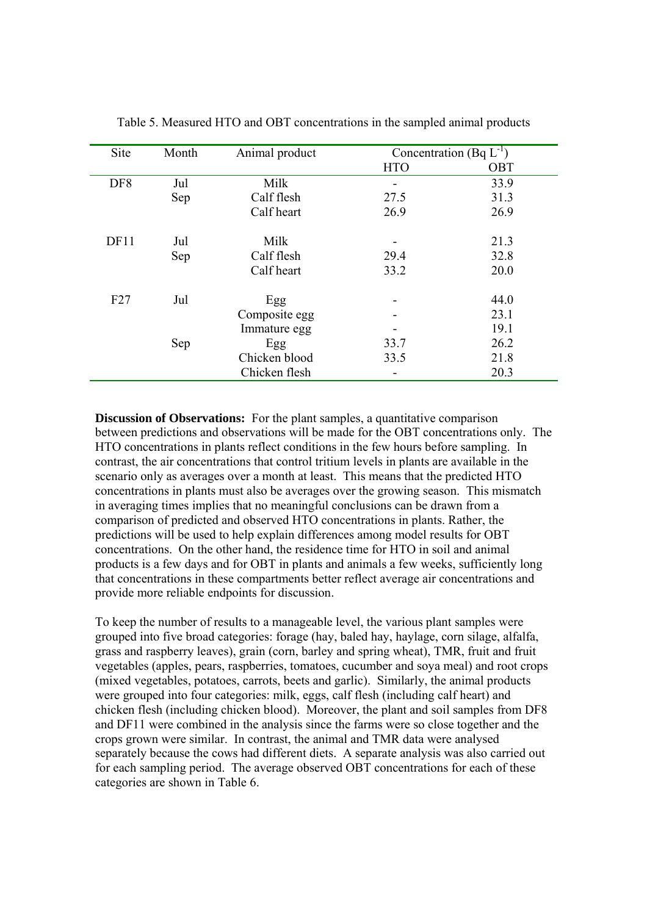| Site            | Month | Animal product | Concentration (Bq $L^{-1}$ ) |            |
|-----------------|-------|----------------|------------------------------|------------|
|                 |       |                | <b>HTO</b>                   | <b>OBT</b> |
| DF <sub>8</sub> | Jul   | Milk           |                              | 33.9       |
|                 | Sep   | Calf flesh     | 27.5                         | 31.3       |
|                 |       | Calf heart     | 26.9                         | 26.9       |
| DF11            | Jul   | Milk           |                              | 21.3       |
|                 | Sep   | Calf flesh     | 29.4                         | 32.8       |
|                 |       | Calf heart     | 33.2                         | 20.0       |
| F27             | Jul   | Egg            |                              | 44.0       |
|                 |       | Composite egg  |                              | 23.1       |
|                 |       | Immature egg   |                              | 19.1       |
|                 | Sep   | Egg            | 33.7                         | 26.2       |
|                 |       | Chicken blood  | 33.5                         | 21.8       |
|                 |       | Chicken flesh  |                              | 20.3       |

Table 5. Measured HTO and OBT concentrations in the sampled animal products

**Discussion of Observations:** For the plant samples, a quantitative comparison between predictions and observations will be made for the OBT concentrations only. The HTO concentrations in plants reflect conditions in the few hours before sampling. In contrast, the air concentrations that control tritium levels in plants are available in the scenario only as averages over a month at least. This means that the predicted HTO concentrations in plants must also be averages over the growing season. This mismatch in averaging times implies that no meaningful conclusions can be drawn from a comparison of predicted and observed HTO concentrations in plants. Rather, the predictions will be used to help explain differences among model results for OBT concentrations. On the other hand, the residence time for HTO in soil and animal products is a few days and for OBT in plants and animals a few weeks, sufficiently long that concentrations in these compartments better reflect average air concentrations and provide more reliable endpoints for discussion.

To keep the number of results to a manageable level, the various plant samples were grouped into five broad categories: forage (hay, baled hay, haylage, corn silage, alfalfa, grass and raspberry leaves), grain (corn, barley and spring wheat), TMR, fruit and fruit vegetables (apples, pears, raspberries, tomatoes, cucumber and soya meal) and root crops (mixed vegetables, potatoes, carrots, beets and garlic). Similarly, the animal products were grouped into four categories: milk, eggs, calf flesh (including calf heart) and chicken flesh (including chicken blood). Moreover, the plant and soil samples from DF8 and DF11 were combined in the analysis since the farms were so close together and the crops grown were similar. In contrast, the animal and TMR data were analysed separately because the cows had different diets. A separate analysis was also carried out for each sampling period. The average observed OBT concentrations for each of these categories are shown in Table 6.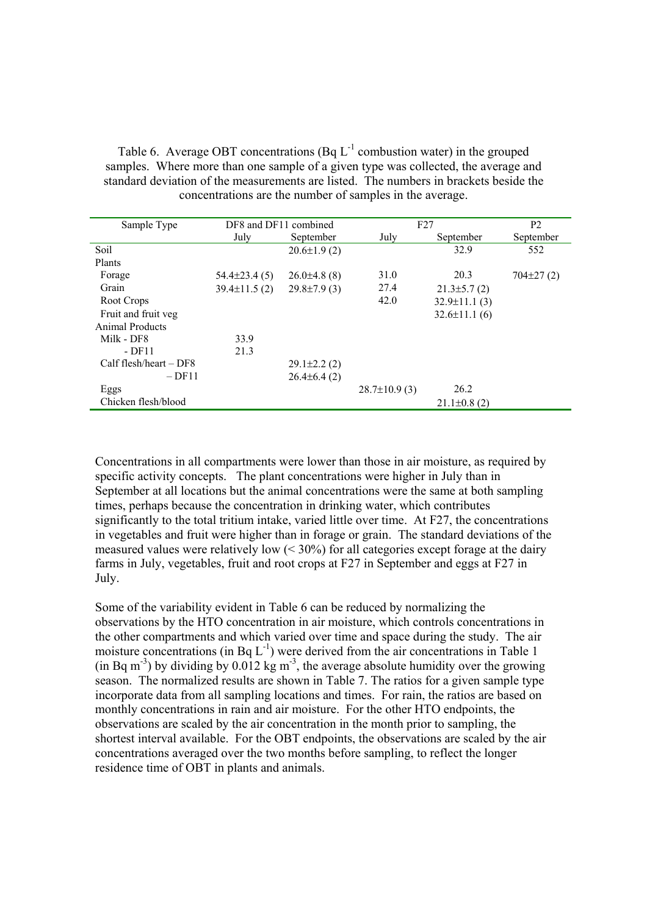Table 6. Average OBT concentrations  $(Bq L^{-1}$  combustion water) in the grouped samples. Where more than one sample of a given type was collected, the average and standard deviation of the measurements are listed. The numbers in brackets beside the concentrations are the number of samples in the average.

| Sample Type               | DF8 and DF11 combined |                    | F27               |                    | P <sub>2</sub> |
|---------------------------|-----------------------|--------------------|-------------------|--------------------|----------------|
|                           | July                  | September          | July              | September          | September      |
| Soil                      |                       | $20.6 \pm 1.9$ (2) |                   | 32.9               | 552            |
| Plants                    |                       |                    |                   |                    |                |
| Forage                    | $54.4\pm 23.4(5)$     | $26.0\pm4.8$ (8)   | 31.0              | 20.3               | $704\pm27(2)$  |
| Grain                     | $39.4 \pm 11.5$ (2)   | $29.8 \pm 7.9$ (3) | 27.4              | $21.3\pm5.7(2)$    |                |
| Root Crops                |                       |                    | 42.0              | $32.9 \pm 11.1(3)$ |                |
| Fruit and fruit veg       |                       |                    |                   | $32.6 \pm 11.1(6)$ |                |
| Animal Products           |                       |                    |                   |                    |                |
| Milk - DF8                | 33.9                  |                    |                   |                    |                |
| - DF11                    | 21.3                  |                    |                   |                    |                |
| $Calf$ flesh/heart $-DF8$ |                       | $29.1 \pm 2.2$ (2) |                   |                    |                |
| $-DF11$                   |                       | $26.4\pm 6.4(2)$   |                   |                    |                |
| Eggs                      |                       |                    | $28.7\pm10.9$ (3) | 26.2               |                |
| Chicken flesh/blood       |                       |                    |                   | $21.1\pm0.8(2)$    |                |

Concentrations in all compartments were lower than those in air moisture, as required by specific activity concepts. The plant concentrations were higher in July than in September at all locations but the animal concentrations were the same at both sampling times, perhaps because the concentration in drinking water, which contributes significantly to the total tritium intake, varied little over time. At F27, the concentrations in vegetables and fruit were higher than in forage or grain. The standard deviations of the measured values were relatively low  $( $30\%$ ) for all categories except forage at the dairy$ farms in July, vegetables, fruit and root crops at F27 in September and eggs at F27 in July.

Some of the variability evident in Table 6 can be reduced by normalizing the observations by the HTO concentration in air moisture, which controls concentrations in the other compartments and which varied over time and space during the study. The air moisture concentrations (in Bq  $L^{-1}$ ) were derived from the air concentrations in Table 1 (in Bq m<sup>-3</sup>) by dividing by 0.012 kg m<sup>-3</sup>, the average absolute humidity over the growing season. The normalized results are shown in Table 7. The ratios for a given sample type incorporate data from all sampling locations and times. For rain, the ratios are based on monthly concentrations in rain and air moisture. For the other HTO endpoints, the observations are scaled by the air concentration in the month prior to sampling, the shortest interval available. For the OBT endpoints, the observations are scaled by the air concentrations averaged over the two months before sampling, to reflect the longer residence time of OBT in plants and animals.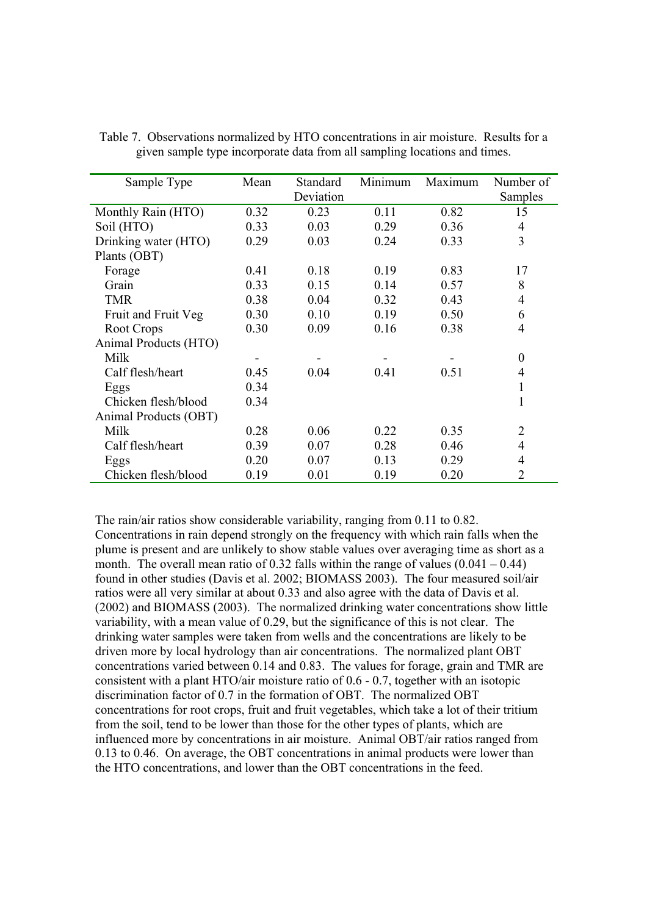| Sample Type           | Mean | <b>Standard</b> | Minimum | Maximum | Number of      |
|-----------------------|------|-----------------|---------|---------|----------------|
|                       |      | Deviation       |         |         | Samples        |
| Monthly Rain (HTO)    | 0.32 | 0.23            | 0.11    | 0.82    | 15             |
| Soil (HTO)            | 0.33 | 0.03            | 0.29    | 0.36    | 4              |
| Drinking water (HTO)  | 0.29 | 0.03            | 0.24    | 0.33    | 3              |
| Plants (OBT)          |      |                 |         |         |                |
| Forage                | 0.41 | 0.18            | 0.19    | 0.83    | 17             |
| Grain                 | 0.33 | 0.15            | 0.14    | 0.57    | 8              |
| <b>TMR</b>            | 0.38 | 0.04            | 0.32    | 0.43    | 4              |
| Fruit and Fruit Veg   | 0.30 | 0.10            | 0.19    | 0.50    | 6              |
| Root Crops            | 0.30 | 0.09            | 0.16    | 0.38    | 4              |
| Animal Products (HTO) |      |                 |         |         |                |
| Milk                  |      |                 |         |         | $\theta$       |
| Calf flesh/heart      | 0.45 | 0.04            | 0.41    | 0.51    | 4              |
| Eggs                  | 0.34 |                 |         |         | 1              |
| Chicken flesh/blood   | 0.34 |                 |         |         | 1              |
| Animal Products (OBT) |      |                 |         |         |                |
| Milk                  | 0.28 | 0.06            | 0.22    | 0.35    | $\overline{2}$ |
| Calf flesh/heart      | 0.39 | 0.07            | 0.28    | 0.46    | 4              |
| Eggs                  | 0.20 | 0.07            | 0.13    | 0.29    | 4              |
| Chicken flesh/blood   | 0.19 | 0.01            | 0.19    | 0.20    | $\overline{2}$ |

Table 7. Observations normalized by HTO concentrations in air moisture. Results for a given sample type incorporate data from all sampling locations and times.

The rain/air ratios show considerable variability, ranging from 0.11 to 0.82. Concentrations in rain depend strongly on the frequency with which rain falls when the plume is present and are unlikely to show stable values over averaging time as short as a month. The overall mean ratio of 0.32 falls within the range of values  $(0.041 - 0.44)$ found in other studies (Davis et al. 2002; BIOMASS 2003). The four measured soil/air ratios were all very similar at about 0.33 and also agree with the data of Davis et al. (2002) and BIOMASS (2003). The normalized drinking water concentrations show little variability, with a mean value of 0.29, but the significance of this is not clear. The drinking water samples were taken from wells and the concentrations are likely to be driven more by local hydrology than air concentrations. The normalized plant OBT concentrations varied between 0.14 and 0.83. The values for forage, grain and TMR are consistent with a plant HTO/air moisture ratio of 0.6 - 0.7, together with an isotopic discrimination factor of 0.7 in the formation of OBT. The normalized OBT concentrations for root crops, fruit and fruit vegetables, which take a lot of their tritium from the soil, tend to be lower than those for the other types of plants, which are influenced more by concentrations in air moisture. Animal OBT/air ratios ranged from 0.13 to 0.46. On average, the OBT concentrations in animal products were lower than the HTO concentrations, and lower than the OBT concentrations in the feed.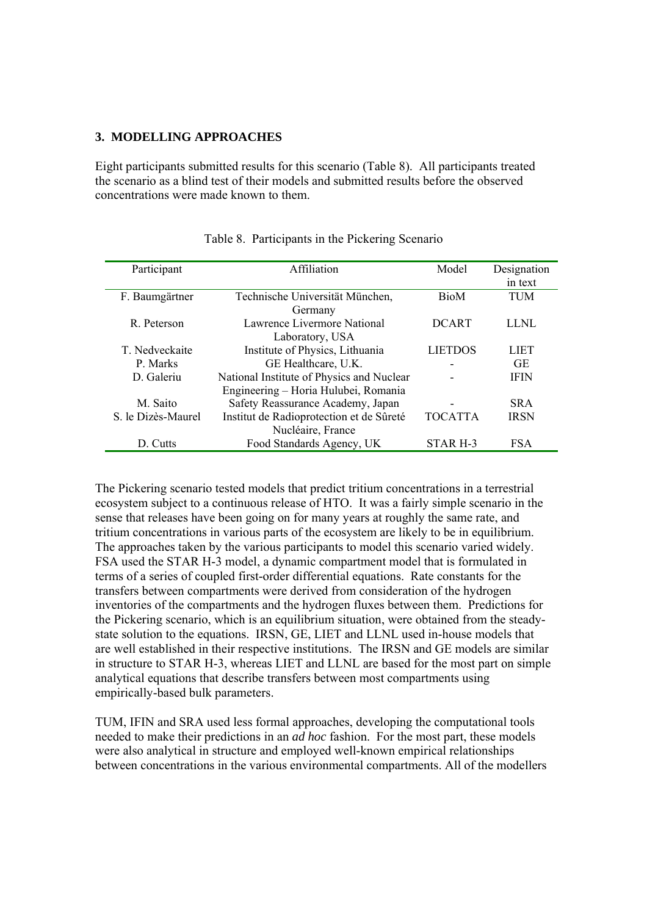#### **3. MODELLING APPROACHES**

Eight participants submitted results for this scenario (Table 8). All participants treated the scenario as a blind test of their models and submitted results before the observed concentrations were made known to them.

| Participant        | Affiliation                               | Model          | Designation |
|--------------------|-------------------------------------------|----------------|-------------|
|                    |                                           |                | in text     |
| F. Baumgärtner     | Technische Universität München,           | <b>BioM</b>    | <b>TUM</b>  |
|                    | Germany                                   |                |             |
| R. Peterson        | Lawrence Livermore National               | <b>DCART</b>   | LLNL        |
|                    | Laboratory, USA                           |                |             |
| T. Nedveckaite     | Institute of Physics, Lithuania           | <b>LIETDOS</b> | LIET        |
| P. Marks           | GE Healthcare, U.K.                       |                | <b>GE</b>   |
| D. Galeriu         | National Institute of Physics and Nuclear |                | <b>IFIN</b> |
|                    | Engineering – Horia Hulubei, Romania      |                |             |
| M. Saito           | Safety Reassurance Academy, Japan         |                | <b>SRA</b>  |
| S. le Dizès-Maurel | Institut de Radioprotection et de Sûreté  | <b>TOCATTA</b> | <b>IRSN</b> |
|                    | Nucléaire, France                         |                |             |
| D. Cutts           | Food Standards Agency, UK                 | STAR H-3       | <b>FSA</b>  |

## Table 8. Participants in the Pickering Scenario

The Pickering scenario tested models that predict tritium concentrations in a terrestrial ecosystem subject to a continuous release of HTO. It was a fairly simple scenario in the sense that releases have been going on for many years at roughly the same rate, and tritium concentrations in various parts of the ecosystem are likely to be in equilibrium. The approaches taken by the various participants to model this scenario varied widely. FSA used the STAR H-3 model, a dynamic compartment model that is formulated in terms of a series of coupled first-order differential equations. Rate constants for the transfers between compartments were derived from consideration of the hydrogen inventories of the compartments and the hydrogen fluxes between them. Predictions for the Pickering scenario, which is an equilibrium situation, were obtained from the steadystate solution to the equations. IRSN, GE, LIET and LLNL used in-house models that are well established in their respective institutions. The IRSN and GE models are similar in structure to STAR H-3, whereas LIET and LLNL are based for the most part on simple analytical equations that describe transfers between most compartments using empirically-based bulk parameters.

TUM, IFIN and SRA used less formal approaches, developing the computational tools needed to make their predictions in an *ad hoc* fashion. For the most part, these models were also analytical in structure and employed well-known empirical relationships between concentrations in the various environmental compartments. All of the modellers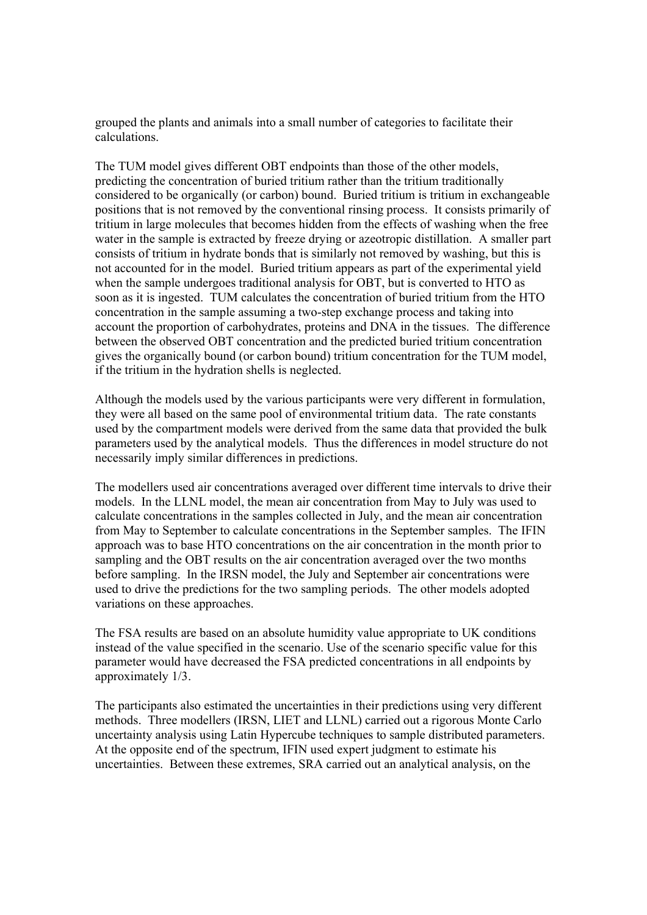grouped the plants and animals into a small number of categories to facilitate their calculations.

The TUM model gives different OBT endpoints than those of the other models, predicting the concentration of buried tritium rather than the tritium traditionally considered to be organically (or carbon) bound. Buried tritium is tritium in exchangeable positions that is not removed by the conventional rinsing process. It consists primarily of tritium in large molecules that becomes hidden from the effects of washing when the free water in the sample is extracted by freeze drying or azeotropic distillation. A smaller part consists of tritium in hydrate bonds that is similarly not removed by washing, but this is not accounted for in the model. Buried tritium appears as part of the experimental yield when the sample undergoes traditional analysis for OBT, but is converted to HTO as soon as it is ingested. TUM calculates the concentration of buried tritium from the HTO concentration in the sample assuming a two-step exchange process and taking into account the proportion of carbohydrates, proteins and DNA in the tissues. The difference between the observed OBT concentration and the predicted buried tritium concentration gives the organically bound (or carbon bound) tritium concentration for the TUM model, if the tritium in the hydration shells is neglected.

Although the models used by the various participants were very different in formulation, they were all based on the same pool of environmental tritium data. The rate constants used by the compartment models were derived from the same data that provided the bulk parameters used by the analytical models. Thus the differences in model structure do not necessarily imply similar differences in predictions.

The modellers used air concentrations averaged over different time intervals to drive their models. In the LLNL model, the mean air concentration from May to July was used to calculate concentrations in the samples collected in July, and the mean air concentration from May to September to calculate concentrations in the September samples. The IFIN approach was to base HTO concentrations on the air concentration in the month prior to sampling and the OBT results on the air concentration averaged over the two months before sampling. In the IRSN model, the July and September air concentrations were used to drive the predictions for the two sampling periods. The other models adopted variations on these approaches.

The FSA results are based on an absolute humidity value appropriate to UK conditions instead of the value specified in the scenario. Use of the scenario specific value for this parameter would have decreased the FSA predicted concentrations in all endpoints by approximately 1/3.

The participants also estimated the uncertainties in their predictions using very different methods. Three modellers (IRSN, LIET and LLNL) carried out a rigorous Monte Carlo uncertainty analysis using Latin Hypercube techniques to sample distributed parameters. At the opposite end of the spectrum, IFIN used expert judgment to estimate his uncertainties. Between these extremes, SRA carried out an analytical analysis, on the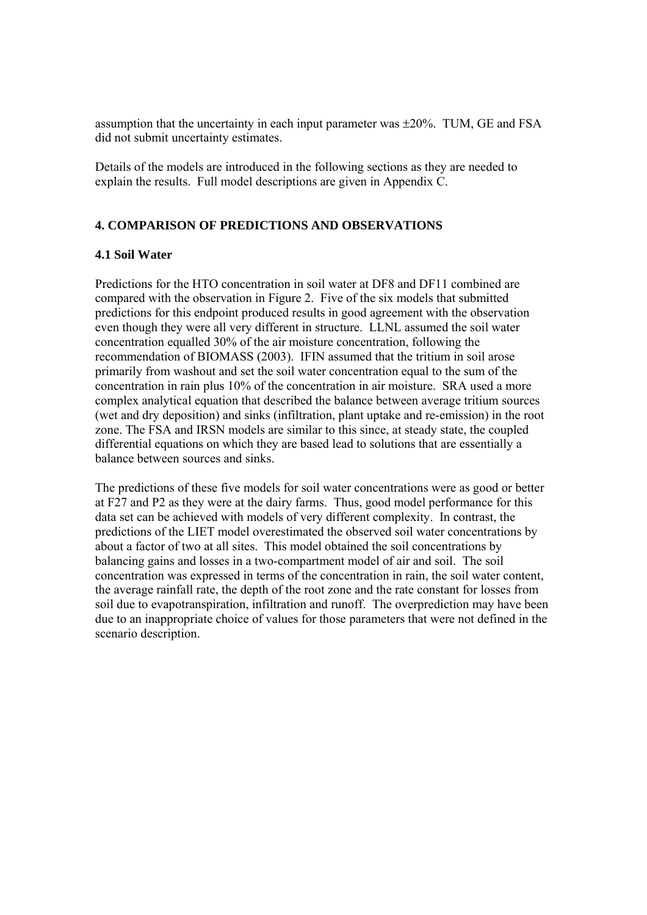assumption that the uncertainty in each input parameter was ±20%. TUM, GE and FSA did not submit uncertainty estimates.

Details of the models are introduced in the following sections as they are needed to explain the results. Full model descriptions are given in Appendix C.

## **4. COMPARISON OF PREDICTIONS AND OBSERVATIONS**

#### **4.1 Soil Water**

Predictions for the HTO concentration in soil water at DF8 and DF11 combined are compared with the observation in Figure 2. Five of the six models that submitted predictions for this endpoint produced results in good agreement with the observation even though they were all very different in structure. LLNL assumed the soil water concentration equalled 30% of the air moisture concentration, following the recommendation of BIOMASS (2003). IFIN assumed that the tritium in soil arose primarily from washout and set the soil water concentration equal to the sum of the concentration in rain plus 10% of the concentration in air moisture. SRA used a more complex analytical equation that described the balance between average tritium sources (wet and dry deposition) and sinks (infiltration, plant uptake and re-emission) in the root zone. The FSA and IRSN models are similar to this since, at steady state, the coupled differential equations on which they are based lead to solutions that are essentially a balance between sources and sinks.

The predictions of these five models for soil water concentrations were as good or better at F27 and P2 as they were at the dairy farms. Thus, good model performance for this data set can be achieved with models of very different complexity. In contrast, the predictions of the LIET model overestimated the observed soil water concentrations by about a factor of two at all sites. This model obtained the soil concentrations by balancing gains and losses in a two-compartment model of air and soil. The soil concentration was expressed in terms of the concentration in rain, the soil water content, the average rainfall rate, the depth of the root zone and the rate constant for losses from soil due to evapotranspiration, infiltration and runoff. The overprediction may have been due to an inappropriate choice of values for those parameters that were not defined in the scenario description.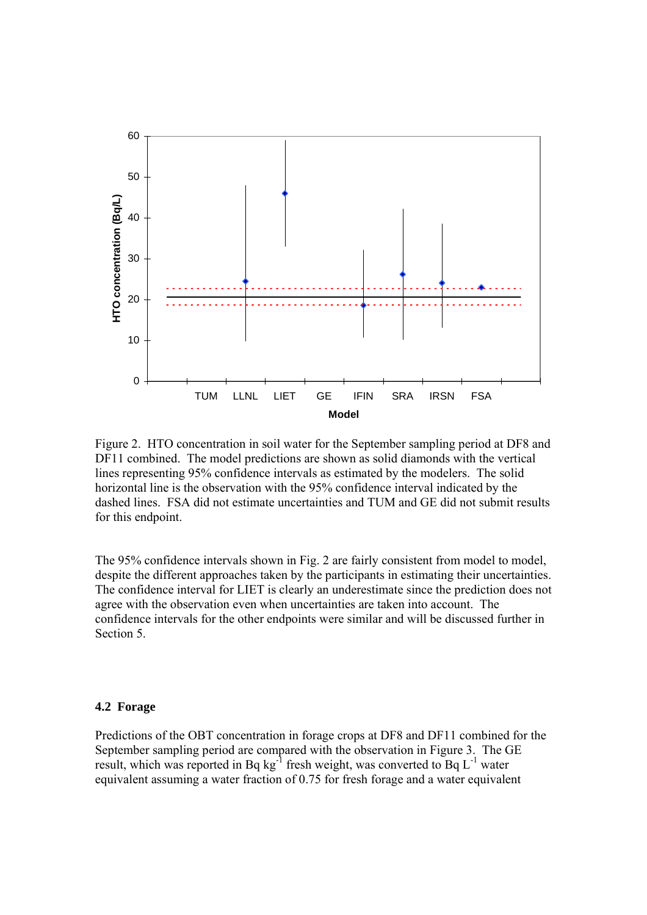

Figure 2. HTO concentration in soil water for the September sampling period at DF8 and DF11 combined. The model predictions are shown as solid diamonds with the vertical lines representing 95% confidence intervals as estimated by the modelers. The solid horizontal line is the observation with the 95% confidence interval indicated by the dashed lines. FSA did not estimate uncertainties and TUM and GE did not submit results for this endpoint.

The 95% confidence intervals shown in Fig. 2 are fairly consistent from model to model, despite the different approaches taken by the participants in estimating their uncertainties. The confidence interval for LIET is clearly an underestimate since the prediction does not agree with the observation even when uncertainties are taken into account. The confidence intervals for the other endpoints were similar and will be discussed further in Section 5.

#### **4.2 Forage**

Predictions of the OBT concentration in forage crops at DF8 and DF11 combined for the September sampling period are compared with the observation in Figure 3. The GE result, which was reported in Bq kg<sup>-1</sup> fresh weight, was converted to Bq  $L^{-1}$  water equivalent assuming a water fraction of 0.75 for fresh forage and a water equivalent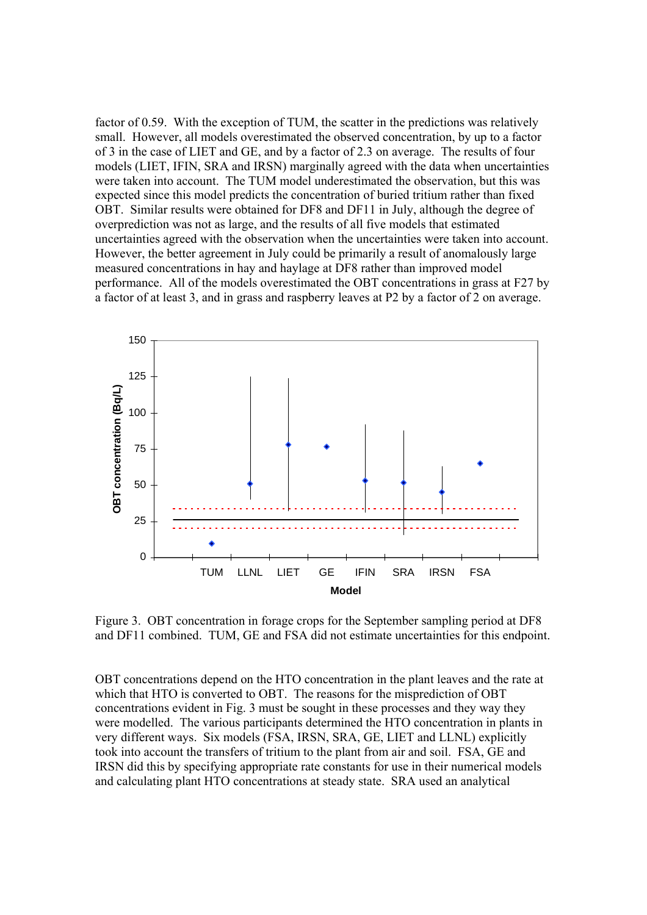factor of 0.59. With the exception of TUM, the scatter in the predictions was relatively small. However, all models overestimated the observed concentration, by up to a factor of 3 in the case of LIET and GE, and by a factor of 2.3 on average. The results of four models (LIET, IFIN, SRA and IRSN) marginally agreed with the data when uncertainties were taken into account. The TUM model underestimated the observation, but this was expected since this model predicts the concentration of buried tritium rather than fixed OBT. Similar results were obtained for DF8 and DF11 in July, although the degree of overprediction was not as large, and the results of all five models that estimated uncertainties agreed with the observation when the uncertainties were taken into account. However, the better agreement in July could be primarily a result of anomalously large measured concentrations in hay and haylage at DF8 rather than improved model performance. All of the models overestimated the OBT concentrations in grass at F27 by a factor of at least 3, and in grass and raspberry leaves at P2 by a factor of 2 on average.



Figure 3. OBT concentration in forage crops for the September sampling period at DF8 and DF11 combined. TUM, GE and FSA did not estimate uncertainties for this endpoint.

OBT concentrations depend on the HTO concentration in the plant leaves and the rate at which that HTO is converted to OBT. The reasons for the misprediction of OBT concentrations evident in Fig. 3 must be sought in these processes and they way they were modelled. The various participants determined the HTO concentration in plants in very different ways. Six models (FSA, IRSN, SRA, GE, LIET and LLNL) explicitly took into account the transfers of tritium to the plant from air and soil. FSA, GE and IRSN did this by specifying appropriate rate constants for use in their numerical models and calculating plant HTO concentrations at steady state. SRA used an analytical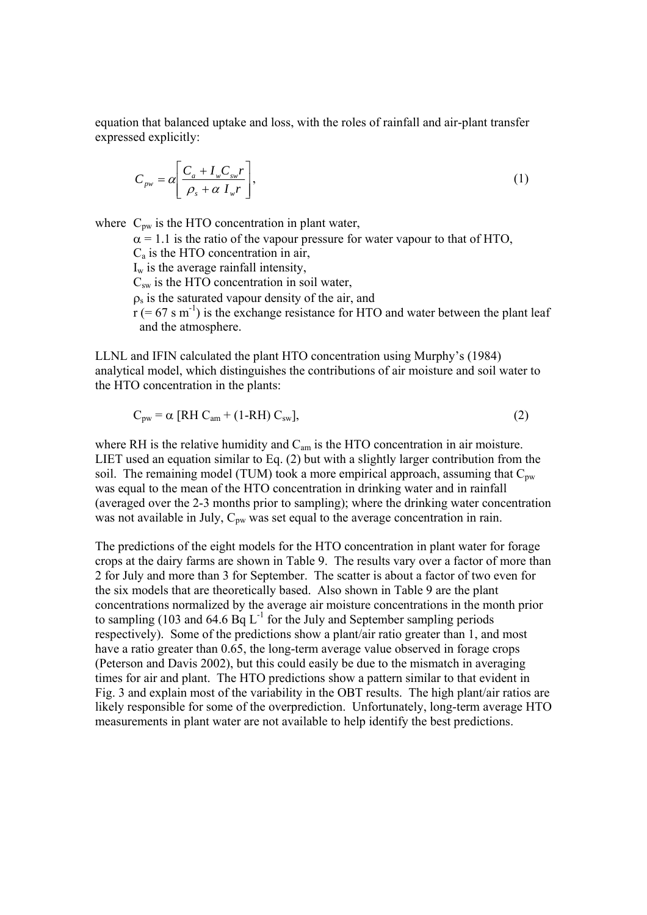equation that balanced uptake and loss, with the roles of rainfall and air-plant transfer expressed explicitly:

$$
C_{\scriptscriptstyle{pw}} = \alpha \left[ \frac{C_a + I_{\scriptscriptstyle{w}} C_{\scriptscriptstyle{sw}} r}{\rho_s + \alpha I_{\scriptscriptstyle{w}} r} \right],\tag{1}
$$

where  $C_{\text{pw}}$  is the HTO concentration in plant water,

 $\alpha$  = 1.1 is the ratio of the vapour pressure for water vapour to that of HTO,  $C_a$  is the HTO concentration in air,  $I_w$  is the average rainfall intensity,  $C_{sw}$  is the HTO concentration in soil water,  $\rho_s$  is the saturated vapour density of the air, and  $r$  (= 67 s m<sup>-1</sup>) is the exchange resistance for HTO and water between the plant leaf and the atmosphere.

LLNL and IFIN calculated the plant HTO concentration using Murphy's (1984) analytical model, which distinguishes the contributions of air moisture and soil water to the HTO concentration in the plants:

$$
C_{pw} = \alpha \text{ [RH } C_{am} + (1 - RH) C_{sw}], \qquad (2)
$$

where RH is the relative humidity and  $C_{am}$  is the HTO concentration in air moisture. LIET used an equation similar to Eq. (2) but with a slightly larger contribution from the soil. The remaining model (TUM) took a more empirical approach, assuming that  $C_{\text{pw}}$ was equal to the mean of the HTO concentration in drinking water and in rainfall (averaged over the 2-3 months prior to sampling); where the drinking water concentration was not available in July,  $C_{pw}$  was set equal to the average concentration in rain.

The predictions of the eight models for the HTO concentration in plant water for forage crops at the dairy farms are shown in Table 9. The results vary over a factor of more than 2 for July and more than 3 for September. The scatter is about a factor of two even for the six models that are theoretically based. Also shown in Table 9 are the plant concentrations normalized by the average air moisture concentrations in the month prior to sampling (103 and 64.6 Bq  $L^{-1}$  for the July and September sampling periods respectively). Some of the predictions show a plant/air ratio greater than 1, and most have a ratio greater than 0.65, the long-term average value observed in forage crops (Peterson and Davis 2002), but this could easily be due to the mismatch in averaging times for air and plant. The HTO predictions show a pattern similar to that evident in Fig. 3 and explain most of the variability in the OBT results. The high plant/air ratios are likely responsible for some of the overprediction. Unfortunately, long-term average HTO measurements in plant water are not available to help identify the best predictions.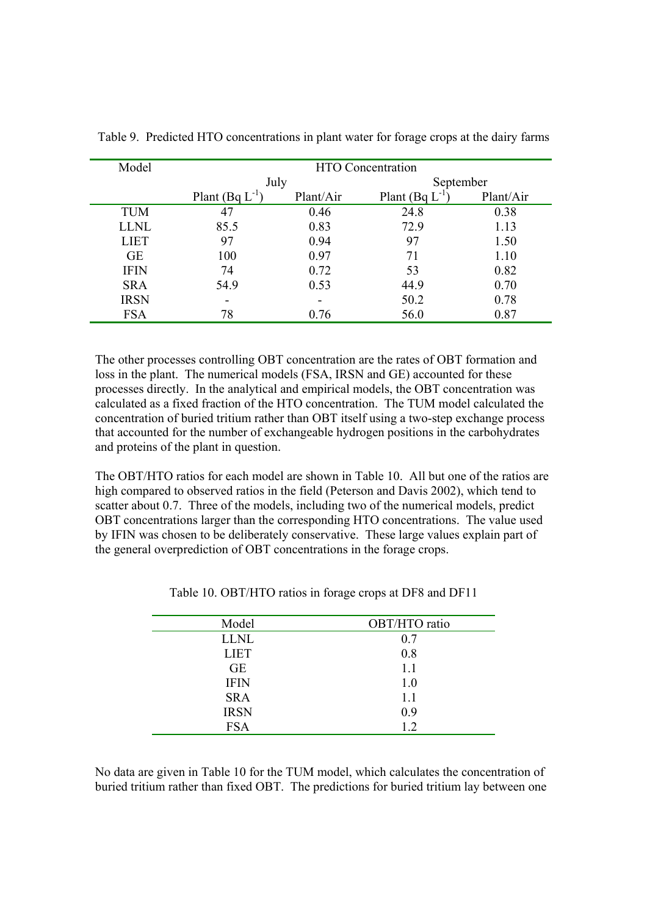| Model       |                          | <b>HTO</b> Concentration |                 |           |  |
|-------------|--------------------------|--------------------------|-----------------|-----------|--|
|             | July                     |                          | September       |           |  |
|             | Plant (Bq $L$ )          | Plant/Air                | Plant (Bq $L$ ) | Plant/Air |  |
| <b>TUM</b>  | 47                       | 0.46                     | 24.8            | 0.38      |  |
| <b>LLNL</b> | 85.5                     | 0.83                     | 72.9            | 1.13      |  |
| <b>LIET</b> | 97                       | 0.94                     | 97              | 1.50      |  |
| <b>GE</b>   | 100                      | 0.97                     | 71              | 1.10      |  |
| <b>IFIN</b> | 74                       | 0.72                     | 53              | 0.82      |  |
| <b>SRA</b>  | 54.9                     | 0.53                     | 44.9            | 0.70      |  |
| <b>IRSN</b> | $\overline{\phantom{0}}$ |                          | 50.2            | 0.78      |  |
| <b>FSA</b>  | 78                       | 0.76                     | 56.0            | 0.87      |  |

Table 9. Predicted HTO concentrations in plant water for forage crops at the dairy farms

The other processes controlling OBT concentration are the rates of OBT formation and loss in the plant. The numerical models (FSA, IRSN and GE) accounted for these processes directly. In the analytical and empirical models, the OBT concentration was calculated as a fixed fraction of the HTO concentration. The TUM model calculated the concentration of buried tritium rather than OBT itself using a two-step exchange process that accounted for the number of exchangeable hydrogen positions in the carbohydrates and proteins of the plant in question.

The OBT/HTO ratios for each model are shown in Table 10. All but one of the ratios are high compared to observed ratios in the field (Peterson and Davis 2002), which tend to scatter about 0.7. Three of the models, including two of the numerical models, predict OBT concentrations larger than the corresponding HTO concentrations. The value used by IFIN was chosen to be deliberately conservative. These large values explain part of the general overprediction of OBT concentrations in the forage crops.

| OBT/HTO ratio |
|---------------|
| 0.7           |
| 0.8           |
| 1.1           |
| 1.0           |
| 1.1           |
| 0.9           |
| 1.2           |
|               |

Table 10. OBT/HTO ratios in forage crops at DF8 and DF11

No data are given in Table 10 for the TUM model, which calculates the concentration of buried tritium rather than fixed OBT. The predictions for buried tritium lay between one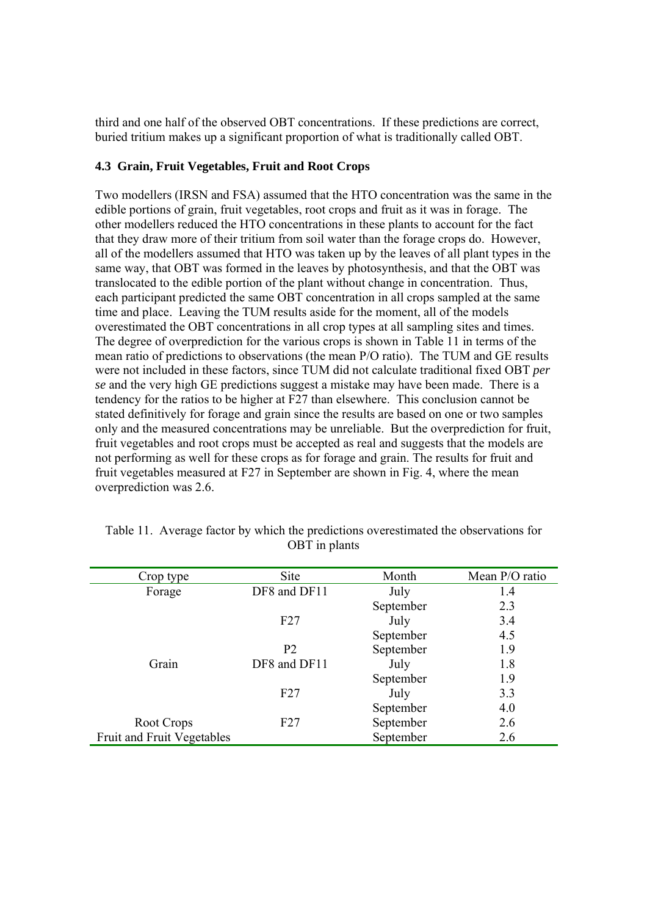third and one half of the observed OBT concentrations. If these predictions are correct, buried tritium makes up a significant proportion of what is traditionally called OBT.

## **4.3 Grain, Fruit Vegetables, Fruit and Root Crops**

Two modellers (IRSN and FSA) assumed that the HTO concentration was the same in the edible portions of grain, fruit vegetables, root crops and fruit as it was in forage. The other modellers reduced the HTO concentrations in these plants to account for the fact that they draw more of their tritium from soil water than the forage crops do. However, all of the modellers assumed that HTO was taken up by the leaves of all plant types in the same way, that OBT was formed in the leaves by photosynthesis, and that the OBT was translocated to the edible portion of the plant without change in concentration. Thus, each participant predicted the same OBT concentration in all crops sampled at the same time and place. Leaving the TUM results aside for the moment, all of the models overestimated the OBT concentrations in all crop types at all sampling sites and times. The degree of overprediction for the various crops is shown in Table 11 in terms of the mean ratio of predictions to observations (the mean P/O ratio). The TUM and GE results were not included in these factors, since TUM did not calculate traditional fixed OBT *per se* and the very high GE predictions suggest a mistake may have been made. There is a tendency for the ratios to be higher at F27 than elsewhere. This conclusion cannot be stated definitively for forage and grain since the results are based on one or two samples only and the measured concentrations may be unreliable. But the overprediction for fruit, fruit vegetables and root crops must be accepted as real and suggests that the models are not performing as well for these crops as for forage and grain. The results for fruit and fruit vegetables measured at F27 in September are shown in Fig. 4, where the mean overprediction was 2.6.

| Crop type                  | Site           | Month     | Mean P/O ratio |
|----------------------------|----------------|-----------|----------------|
| Forage                     | DF8 and DF11   | July      | 1.4            |
|                            |                | September | 2.3            |
|                            | F27            | July      | 3.4            |
|                            |                | September | 4.5            |
|                            | P <sub>2</sub> | September | 1.9            |
| Grain                      | DF8 and DF11   | July      | 1.8            |
|                            |                | September | 1.9            |
|                            | F27            | July      | 3.3            |
|                            |                | September | 4.0            |
| Root Crops                 | F27            | September | 2.6            |
| Fruit and Fruit Vegetables |                | September | 2.6            |

Table 11. Average factor by which the predictions overestimated the observations for OBT in plants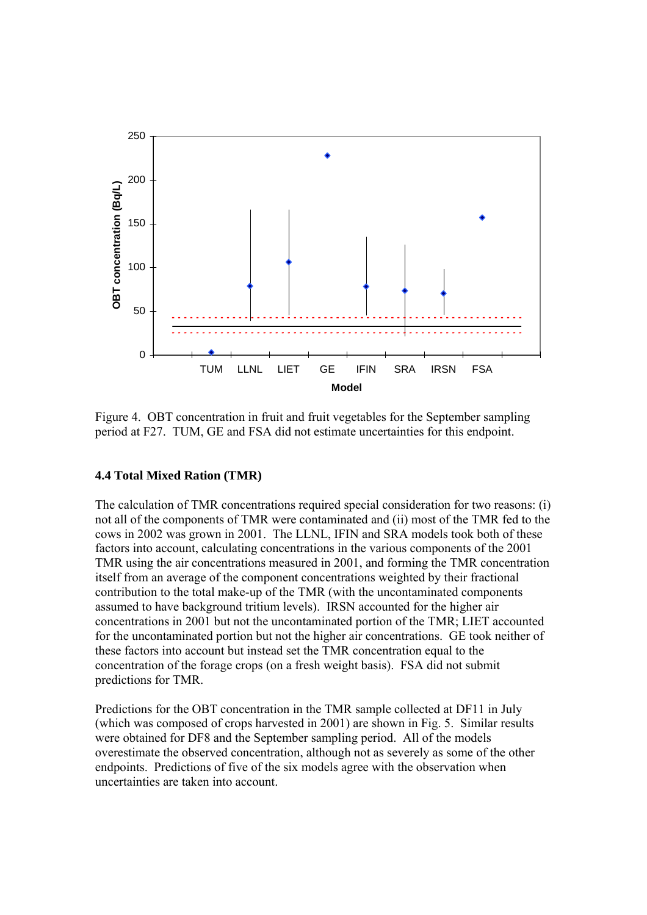

Figure 4. OBT concentration in fruit and fruit vegetables for the September sampling period at F27. TUM, GE and FSA did not estimate uncertainties for this endpoint.

## **4.4 Total Mixed Ration (TMR)**

The calculation of TMR concentrations required special consideration for two reasons: (i) not all of the components of TMR were contaminated and (ii) most of the TMR fed to the cows in 2002 was grown in 2001. The LLNL, IFIN and SRA models took both of these factors into account, calculating concentrations in the various components of the 2001 TMR using the air concentrations measured in 2001, and forming the TMR concentration itself from an average of the component concentrations weighted by their fractional contribution to the total make-up of the TMR (with the uncontaminated components assumed to have background tritium levels). IRSN accounted for the higher air concentrations in 2001 but not the uncontaminated portion of the TMR; LIET accounted for the uncontaminated portion but not the higher air concentrations. GE took neither of these factors into account but instead set the TMR concentration equal to the concentration of the forage crops (on a fresh weight basis). FSA did not submit predictions for TMR.

Predictions for the OBT concentration in the TMR sample collected at DF11 in July (which was composed of crops harvested in 2001) are shown in Fig. 5. Similar results were obtained for DF8 and the September sampling period. All of the models overestimate the observed concentration, although not as severely as some of the other endpoints. Predictions of five of the six models agree with the observation when uncertainties are taken into account.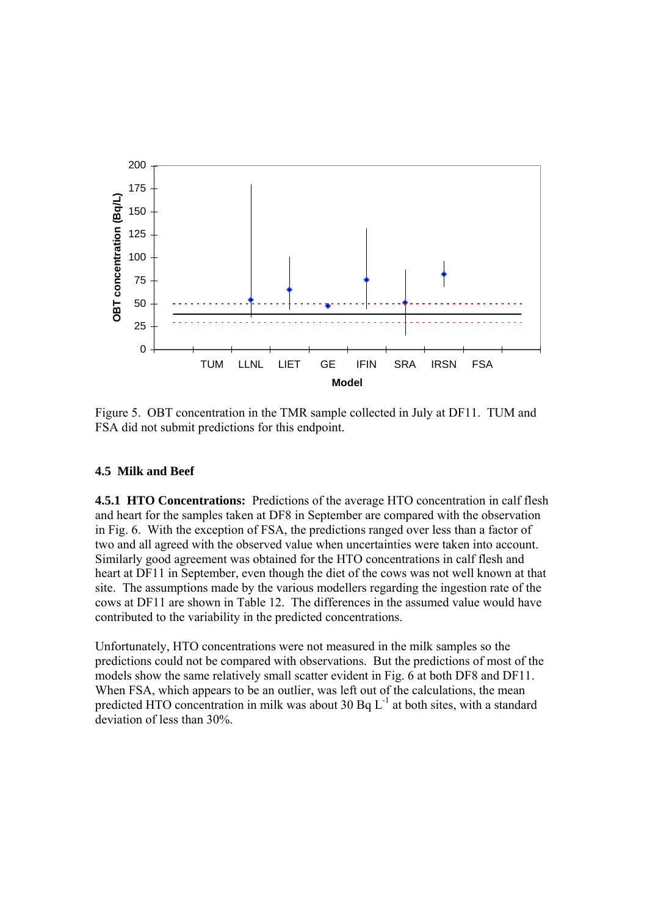

Figure 5. OBT concentration in the TMR sample collected in July at DF11. TUM and FSA did not submit predictions for this endpoint.

## **4.5 Milk and Beef**

**4.5.1 HTO Concentrations:** Predictions of the average HTO concentration in calf flesh and heart for the samples taken at DF8 in September are compared with the observation in Fig. 6. With the exception of FSA, the predictions ranged over less than a factor of two and all agreed with the observed value when uncertainties were taken into account. Similarly good agreement was obtained for the HTO concentrations in calf flesh and heart at DF11 in September, even though the diet of the cows was not well known at that site. The assumptions made by the various modellers regarding the ingestion rate of the cows at DF11 are shown in Table 12. The differences in the assumed value would have contributed to the variability in the predicted concentrations.

Unfortunately, HTO concentrations were not measured in the milk samples so the predictions could not be compared with observations. But the predictions of most of the models show the same relatively small scatter evident in Fig. 6 at both DF8 and DF11. When FSA, which appears to be an outlier, was left out of the calculations, the mean predicted HTO concentration in milk was about 30 Bq  $L^{-1}$  at both sites, with a standard deviation of less than 30%.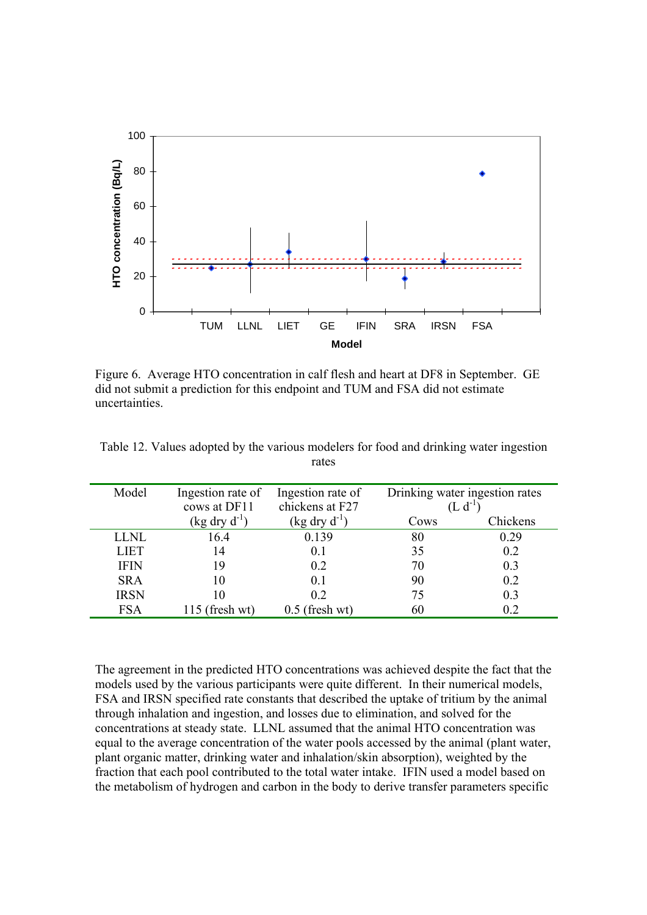

Figure 6. Average HTO concentration in calf flesh and heart at DF8 in September. GE did not submit a prediction for this endpoint and TUM and FSA did not estimate uncertainties.

| Model       | Ingestion rate of        | Ingestion rate of        | Drinking water ingestion rates |          |
|-------------|--------------------------|--------------------------|--------------------------------|----------|
|             | cows at DF11             | chickens at F27          |                                |          |
|             | $(\text{kg dry d}^{-1})$ | $(\text{kg dry d}^{-1})$ | Cows                           | Chickens |
| <b>LLNL</b> | 16.4                     | 0.139                    | 80                             | 0.29     |
| <b>LIET</b> | 14                       | 0.1                      | 35                             | 0.2      |
| <b>IFIN</b> | 19                       | 0 <sub>2</sub>           | 70                             | 0.3      |
| <b>SRA</b>  | 10                       | 01                       | 90                             | 0.2      |
| <b>IRSN</b> | 10                       | 02                       | 75                             | 0.3      |
| <b>FSA</b>  | $115$ (fresh wt)         | $0.5$ (fresh wt)         | 60                             | 02       |

Table 12. Values adopted by the various modelers for food and drinking water ingestion rates

The agreement in the predicted HTO concentrations was achieved despite the fact that the models used by the various participants were quite different. In their numerical models, FSA and IRSN specified rate constants that described the uptake of tritium by the animal through inhalation and ingestion, and losses due to elimination, and solved for the concentrations at steady state. LLNL assumed that the animal HTO concentration was equal to the average concentration of the water pools accessed by the animal (plant water, plant organic matter, drinking water and inhalation/skin absorption), weighted by the fraction that each pool contributed to the total water intake. IFIN used a model based on the metabolism of hydrogen and carbon in the body to derive transfer parameters specific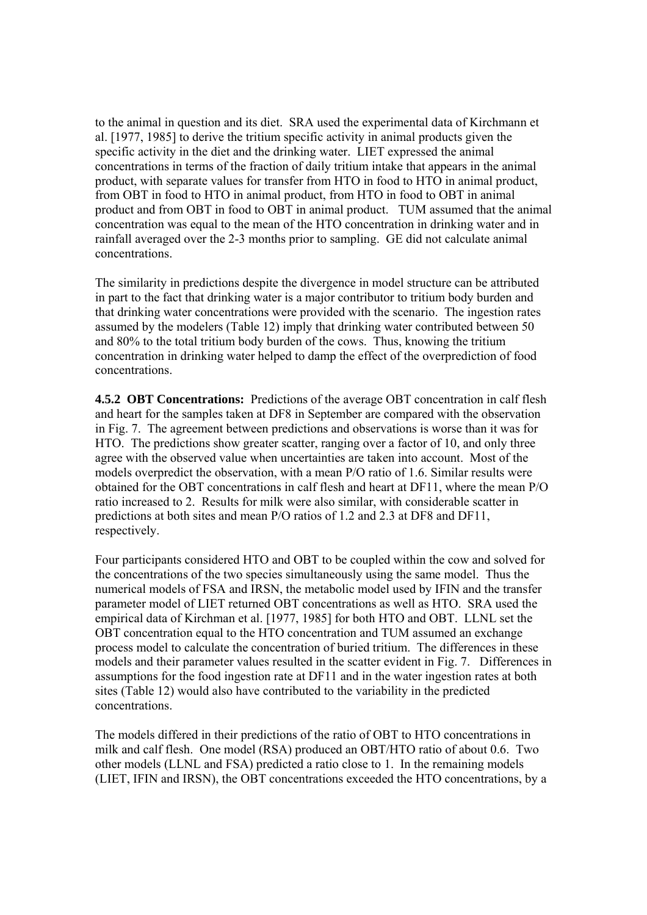to the animal in question and its diet. SRA used the experimental data of Kirchmann et al. [1977, 1985] to derive the tritium specific activity in animal products given the specific activity in the diet and the drinking water. LIET expressed the animal concentrations in terms of the fraction of daily tritium intake that appears in the animal product, with separate values for transfer from HTO in food to HTO in animal product, from OBT in food to HTO in animal product, from HTO in food to OBT in animal product and from OBT in food to OBT in animal product. TUM assumed that the animal concentration was equal to the mean of the HTO concentration in drinking water and in rainfall averaged over the 2-3 months prior to sampling. GE did not calculate animal concentrations.

The similarity in predictions despite the divergence in model structure can be attributed in part to the fact that drinking water is a major contributor to tritium body burden and that drinking water concentrations were provided with the scenario. The ingestion rates assumed by the modelers (Table 12) imply that drinking water contributed between 50 and 80% to the total tritium body burden of the cows. Thus, knowing the tritium concentration in drinking water helped to damp the effect of the overprediction of food concentrations.

**4.5.2 OBT Concentrations:** Predictions of the average OBT concentration in calf flesh and heart for the samples taken at DF8 in September are compared with the observation in Fig. 7. The agreement between predictions and observations is worse than it was for HTO. The predictions show greater scatter, ranging over a factor of 10, and only three agree with the observed value when uncertainties are taken into account. Most of the models overpredict the observation, with a mean P/O ratio of 1.6. Similar results were obtained for the OBT concentrations in calf flesh and heart at DF11, where the mean P/O ratio increased to 2. Results for milk were also similar, with considerable scatter in predictions at both sites and mean P/O ratios of 1.2 and 2.3 at DF8 and DF11, respectively.

Four participants considered HTO and OBT to be coupled within the cow and solved for the concentrations of the two species simultaneously using the same model. Thus the numerical models of FSA and IRSN, the metabolic model used by IFIN and the transfer parameter model of LIET returned OBT concentrations as well as HTO. SRA used the empirical data of Kirchman et al. [1977, 1985] for both HTO and OBT. LLNL set the OBT concentration equal to the HTO concentration and TUM assumed an exchange process model to calculate the concentration of buried tritium. The differences in these models and their parameter values resulted in the scatter evident in Fig. 7. Differences in assumptions for the food ingestion rate at DF11 and in the water ingestion rates at both sites (Table 12) would also have contributed to the variability in the predicted concentrations.

The models differed in their predictions of the ratio of OBT to HTO concentrations in milk and calf flesh. One model (RSA) produced an OBT/HTO ratio of about 0.6. Two other models (LLNL and FSA) predicted a ratio close to 1. In the remaining models (LIET, IFIN and IRSN), the OBT concentrations exceeded the HTO concentrations, by a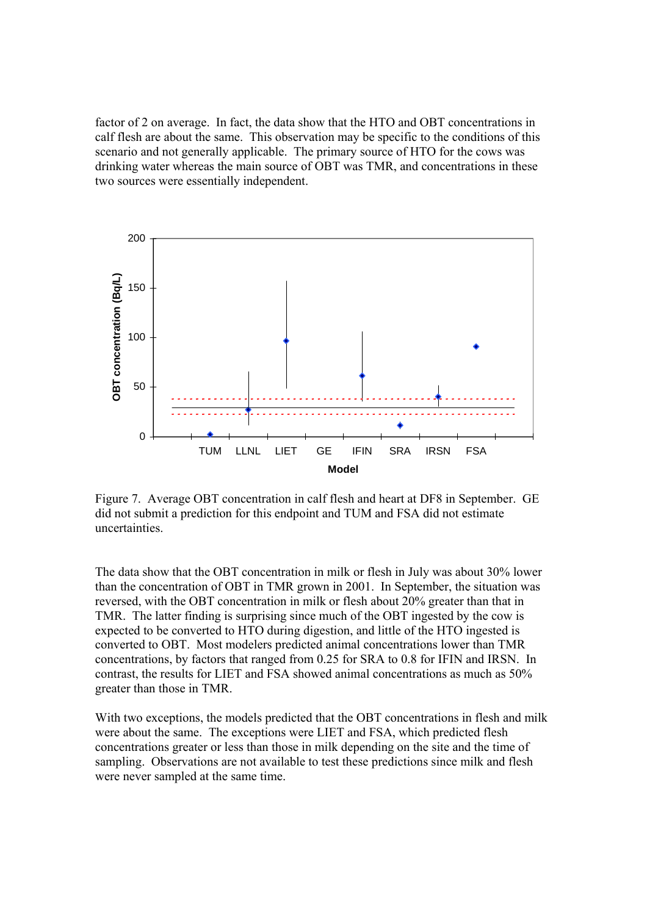factor of 2 on average. In fact, the data show that the HTO and OBT concentrations in calf flesh are about the same. This observation may be specific to the conditions of this scenario and not generally applicable. The primary source of HTO for the cows was drinking water whereas the main source of OBT was TMR, and concentrations in these two sources were essentially independent.



Figure 7. Average OBT concentration in calf flesh and heart at DF8 in September. GE did not submit a prediction for this endpoint and TUM and FSA did not estimate uncertainties.

The data show that the OBT concentration in milk or flesh in July was about 30% lower than the concentration of OBT in TMR grown in 2001. In September, the situation was reversed, with the OBT concentration in milk or flesh about 20% greater than that in TMR. The latter finding is surprising since much of the OBT ingested by the cow is expected to be converted to HTO during digestion, and little of the HTO ingested is converted to OBT. Most modelers predicted animal concentrations lower than TMR concentrations, by factors that ranged from 0.25 for SRA to 0.8 for IFIN and IRSN. In contrast, the results for LIET and FSA showed animal concentrations as much as 50% greater than those in TMR.

With two exceptions, the models predicted that the OBT concentrations in flesh and milk were about the same. The exceptions were LIET and FSA, which predicted flesh concentrations greater or less than those in milk depending on the site and the time of sampling. Observations are not available to test these predictions since milk and flesh were never sampled at the same time.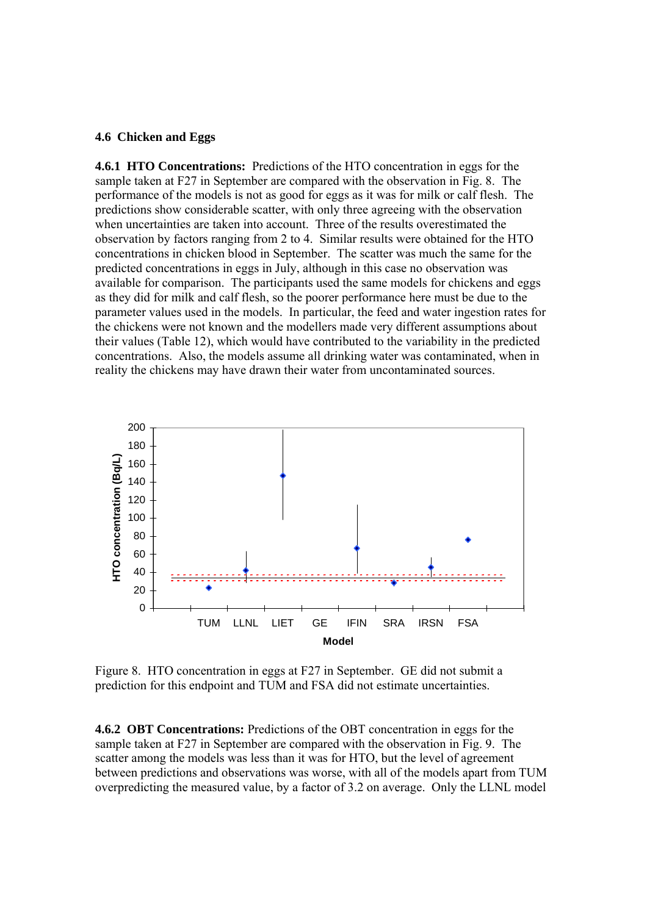#### **4.6 Chicken and Eggs**

**4.6.1 HTO Concentrations:** Predictions of the HTO concentration in eggs for the sample taken at F27 in September are compared with the observation in Fig. 8. The performance of the models is not as good for eggs as it was for milk or calf flesh. The predictions show considerable scatter, with only three agreeing with the observation when uncertainties are taken into account. Three of the results overestimated the observation by factors ranging from 2 to 4. Similar results were obtained for the HTO concentrations in chicken blood in September. The scatter was much the same for the predicted concentrations in eggs in July, although in this case no observation was available for comparison. The participants used the same models for chickens and eggs as they did for milk and calf flesh, so the poorer performance here must be due to the parameter values used in the models. In particular, the feed and water ingestion rates for the chickens were not known and the modellers made very different assumptions about their values (Table 12), which would have contributed to the variability in the predicted concentrations. Also, the models assume all drinking water was contaminated, when in reality the chickens may have drawn their water from uncontaminated sources.



Figure 8. HTO concentration in eggs at F27 in September. GE did not submit a prediction for this endpoint and TUM and FSA did not estimate uncertainties.

**4.6.2 OBT Concentrations:** Predictions of the OBT concentration in eggs for the sample taken at F27 in September are compared with the observation in Fig. 9. The scatter among the models was less than it was for HTO, but the level of agreement between predictions and observations was worse, with all of the models apart from TUM overpredicting the measured value, by a factor of 3.2 on average. Only the LLNL model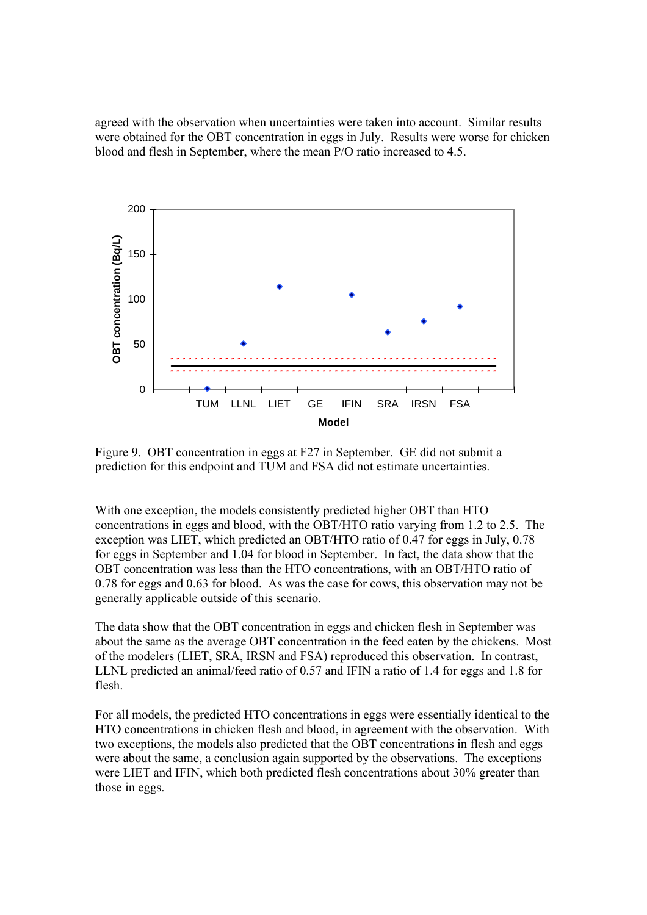agreed with the observation when uncertainties were taken into account. Similar results were obtained for the OBT concentration in eggs in July. Results were worse for chicken blood and flesh in September, where the mean P/O ratio increased to 4.5.



Figure 9. OBT concentration in eggs at F27 in September. GE did not submit a prediction for this endpoint and TUM and FSA did not estimate uncertainties.

With one exception, the models consistently predicted higher OBT than HTO concentrations in eggs and blood, with the OBT/HTO ratio varying from 1.2 to 2.5. The exception was LIET, which predicted an OBT/HTO ratio of 0.47 for eggs in July, 0.78 for eggs in September and 1.04 for blood in September. In fact, the data show that the OBT concentration was less than the HTO concentrations, with an OBT/HTO ratio of 0.78 for eggs and 0.63 for blood. As was the case for cows, this observation may not be generally applicable outside of this scenario.

The data show that the OBT concentration in eggs and chicken flesh in September was about the same as the average OBT concentration in the feed eaten by the chickens. Most of the modelers (LIET, SRA, IRSN and FSA) reproduced this observation. In contrast, LLNL predicted an animal/feed ratio of 0.57 and IFIN a ratio of 1.4 for eggs and 1.8 for flesh.

For all models, the predicted HTO concentrations in eggs were essentially identical to the HTO concentrations in chicken flesh and blood, in agreement with the observation. With two exceptions, the models also predicted that the OBT concentrations in flesh and eggs were about the same, a conclusion again supported by the observations. The exceptions were LIET and IFIN, which both predicted flesh concentrations about 30% greater than those in eggs.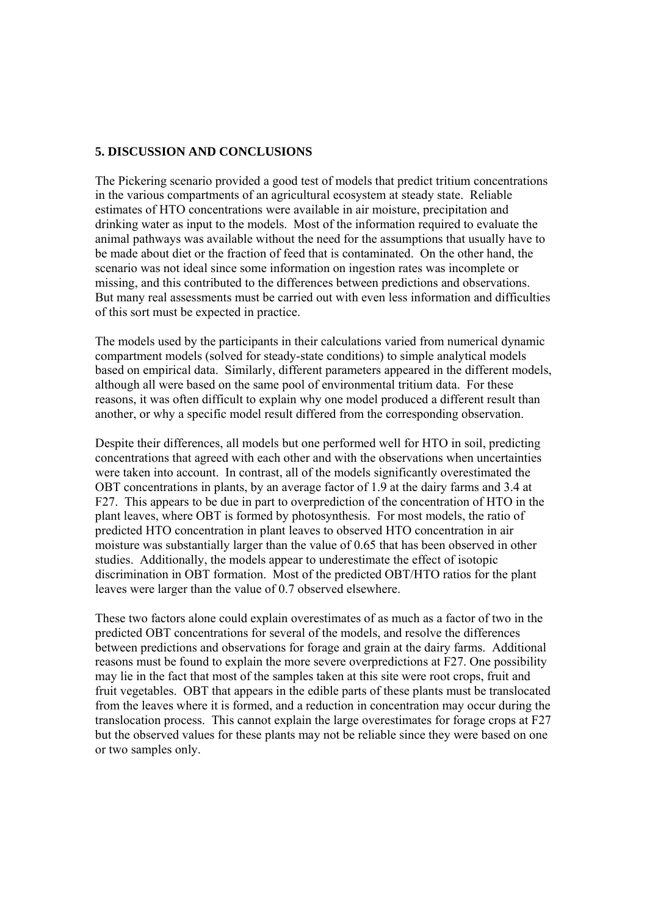## **5. DISCUSSION AND CONCLUSIONS**

The Pickering scenario provided a good test of models that predict tritium concentrations in the various compartments of an agricultural ecosystem at steady state. Reliable estimates of HTO concentrations were available in air moisture, precipitation and drinking water as input to the models. Most of the information required to evaluate the animal pathways was available without the need for the assumptions that usually have to be made about diet or the fraction of feed that is contaminated. On the other hand, the scenario was not ideal since some information on ingestion rates was incomplete or missing, and this contributed to the differences between predictions and observations. But many real assessments must be carried out with even less information and difficulties of this sort must be expected in practice.

The models used by the participants in their calculations varied from numerical dynamic compartment models (solved for steady-state conditions) to simple analytical models based on empirical data. Similarly, different parameters appeared in the different models, although all were based on the same pool of environmental tritium data. For these reasons, it was often difficult to explain why one model produced a different result than another, or why a specific model result differed from the corresponding observation.

Despite their differences, all models but one performed well for HTO in soil, predicting concentrations that agreed with each other and with the observations when uncertainties were taken into account. In contrast, all of the models significantly overestimated the OBT concentrations in plants, by an average factor of 1.9 at the dairy farms and 3.4 at F27. This appears to be due in part to overprediction of the concentration of HTO in the plant leaves, where OBT is formed by photosynthesis. For most models, the ratio of predicted HTO concentration in plant leaves to observed HTO concentration in air moisture was substantially larger than the value of 0.65 that has been observed in other studies. Additionally, the models appear to underestimate the effect of isotopic discrimination in OBT formation. Most of the predicted OBT/HTO ratios for the plant leaves were larger than the value of 0.7 observed elsewhere.

These two factors alone could explain overestimates of as much as a factor of two in the predicted OBT concentrations for several of the models, and resolve the differences between predictions and observations for forage and grain at the dairy farms. Additional reasons must be found to explain the more severe overpredictions at F27. One possibility may lie in the fact that most of the samples taken at this site were root crops, fruit and fruit vegetables. OBT that appears in the edible parts of these plants must be translocated from the leaves where it is formed, and a reduction in concentration may occur during the translocation process. This cannot explain the large overestimates for forage crops at F27 but the observed values for these plants may not be reliable since they were based on one or two samples only.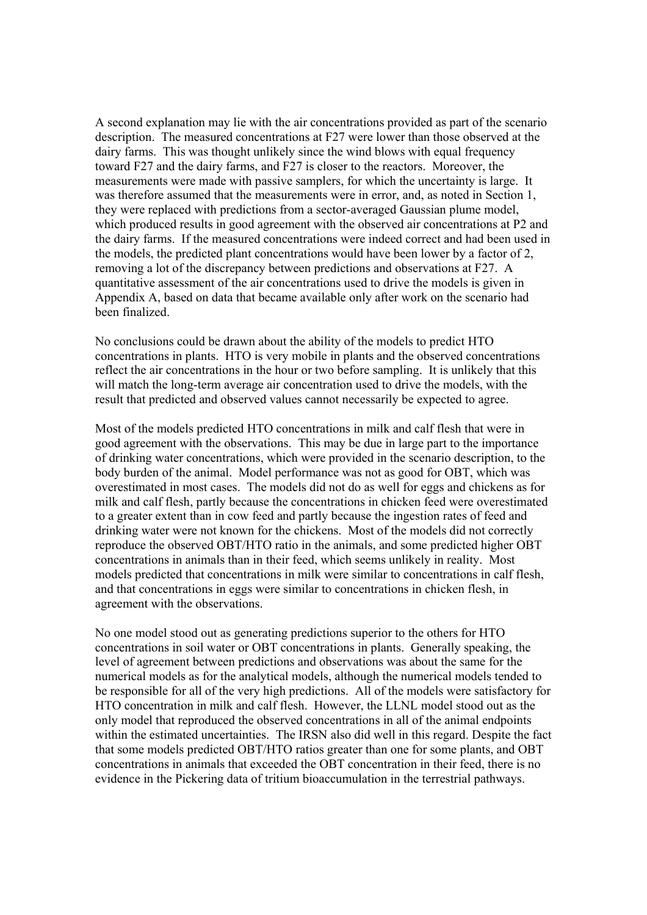A second explanation may lie with the air concentrations provided as part of the scenario description. The measured concentrations at F27 were lower than those observed at the dairy farms. This was thought unlikely since the wind blows with equal frequency toward F27 and the dairy farms, and F27 is closer to the reactors. Moreover, the measurements were made with passive samplers, for which the uncertainty is large. It was therefore assumed that the measurements were in error, and, as noted in Section 1, they were replaced with predictions from a sector-averaged Gaussian plume model, which produced results in good agreement with the observed air concentrations at P2 and the dairy farms. If the measured concentrations were indeed correct and had been used in the models, the predicted plant concentrations would have been lower by a factor of 2, removing a lot of the discrepancy between predictions and observations at F27. A quantitative assessment of the air concentrations used to drive the models is given in Appendix A, based on data that became available only after work on the scenario had been finalized.

No conclusions could be drawn about the ability of the models to predict HTO concentrations in plants. HTO is very mobile in plants and the observed concentrations reflect the air concentrations in the hour or two before sampling. It is unlikely that this will match the long-term average air concentration used to drive the models, with the result that predicted and observed values cannot necessarily be expected to agree.

Most of the models predicted HTO concentrations in milk and calf flesh that were in good agreement with the observations. This may be due in large part to the importance of drinking water concentrations, which were provided in the scenario description, to the body burden of the animal. Model performance was not as good for OBT, which was overestimated in most cases. The models did not do as well for eggs and chickens as for milk and calf flesh, partly because the concentrations in chicken feed were overestimated to a greater extent than in cow feed and partly because the ingestion rates of feed and drinking water were not known for the chickens. Most of the models did not correctly reproduce the observed OBT/HTO ratio in the animals, and some predicted higher OBT concentrations in animals than in their feed, which seems unlikely in reality. Most models predicted that concentrations in milk were similar to concentrations in calf flesh, and that concentrations in eggs were similar to concentrations in chicken flesh, in agreement with the observations.

No one model stood out as generating predictions superior to the others for HTO concentrations in soil water or OBT concentrations in plants. Generally speaking, the level of agreement between predictions and observations was about the same for the numerical models as for the analytical models, although the numerical models tended to be responsible for all of the very high predictions. All of the models were satisfactory for HTO concentration in milk and calf flesh. However, the LLNL model stood out as the only model that reproduced the observed concentrations in all of the animal endpoints within the estimated uncertainties. The IRSN also did well in this regard. Despite the fact that some models predicted OBT/HTO ratios greater than one for some plants, and OBT concentrations in animals that exceeded the OBT concentration in their feed, there is no evidence in the Pickering data of tritium bioaccumulation in the terrestrial pathways.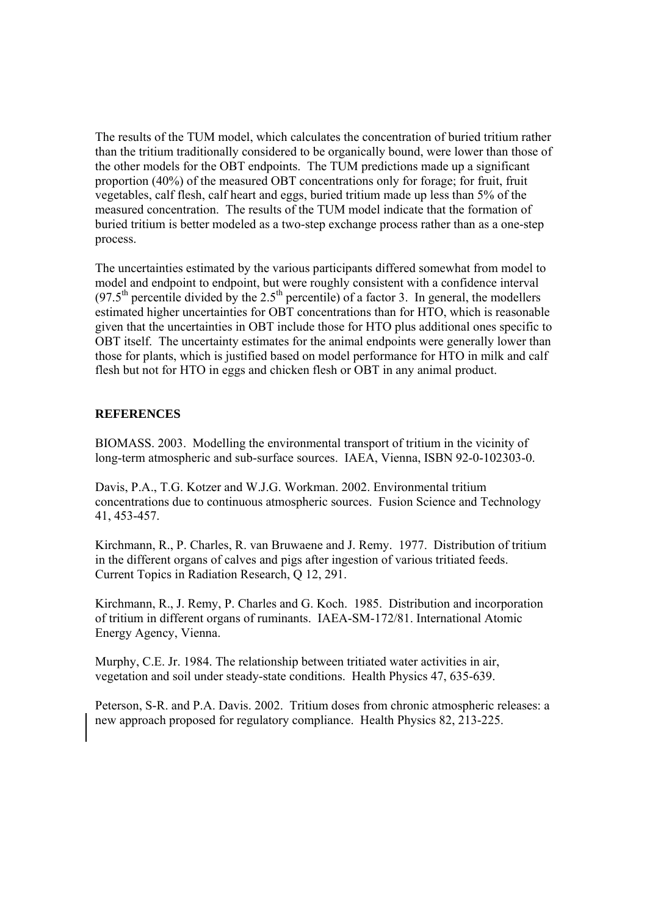The results of the TUM model, which calculates the concentration of buried tritium rather than the tritium traditionally considered to be organically bound, were lower than those of the other models for the OBT endpoints. The TUM predictions made up a significant proportion (40%) of the measured OBT concentrations only for forage; for fruit, fruit vegetables, calf flesh, calf heart and eggs, buried tritium made up less than 5% of the measured concentration. The results of the TUM model indicate that the formation of buried tritium is better modeled as a two-step exchange process rather than as a one-step process.

The uncertainties estimated by the various participants differed somewhat from model to model and endpoint to endpoint, but were roughly consistent with a confidence interval  $(97.5<sup>th</sup>$  percentile divided by the 2.5<sup>th</sup> percentile) of a factor 3. In general, the modellers estimated higher uncertainties for OBT concentrations than for HTO, which is reasonable given that the uncertainties in OBT include those for HTO plus additional ones specific to OBT itself. The uncertainty estimates for the animal endpoints were generally lower than those for plants, which is justified based on model performance for HTO in milk and calf flesh but not for HTO in eggs and chicken flesh or OBT in any animal product.

## **REFERENCES**

BIOMASS. 2003. Modelling the environmental transport of tritium in the vicinity of long-term atmospheric and sub-surface sources. IAEA, Vienna, ISBN 92-0-102303-0.

Davis, P.A., T.G. Kotzer and W.J.G. Workman. 2002. Environmental tritium concentrations due to continuous atmospheric sources. Fusion Science and Technology 41, 453-457.

Kirchmann, R., P. Charles, R. van Bruwaene and J. Remy. 1977. Distribution of tritium in the different organs of calves and pigs after ingestion of various tritiated feeds. Current Topics in Radiation Research, Q 12, 291.

Kirchmann, R., J. Remy, P. Charles and G. Koch. 1985. Distribution and incorporation of tritium in different organs of ruminants. IAEA-SM-172/81. International Atomic Energy Agency, Vienna.

Murphy, C.E. Jr. 1984. The relationship between tritiated water activities in air, vegetation and soil under steady-state conditions. Health Physics 47, 635-639.

Peterson, S-R. and P.A. Davis. 2002. Tritium doses from chronic atmospheric releases: a new approach proposed for regulatory compliance. Health Physics 82, 213-225.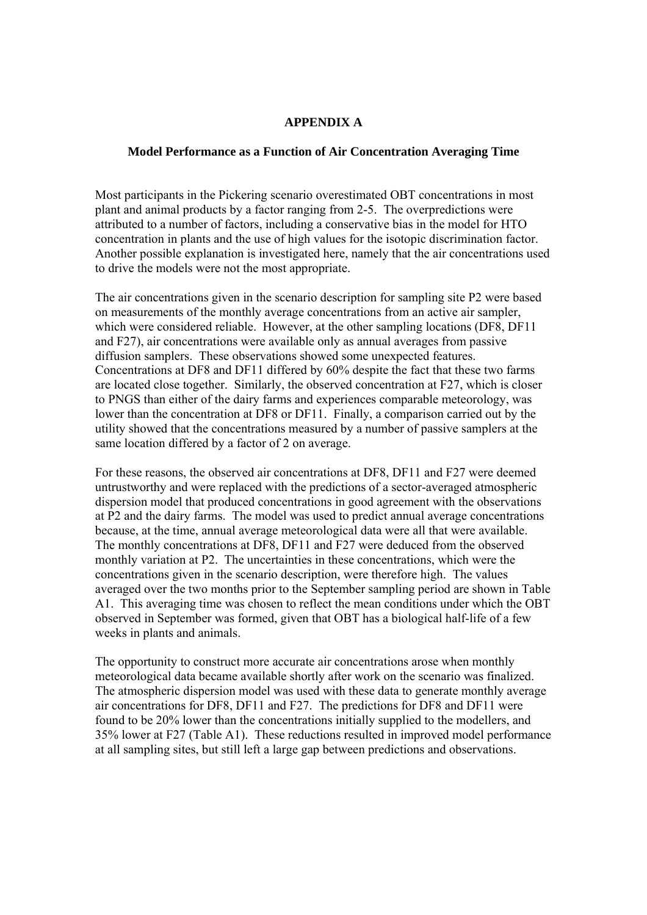## **APPENDIX A**

#### **Model Performance as a Function of Air Concentration Averaging Time**

Most participants in the Pickering scenario overestimated OBT concentrations in most plant and animal products by a factor ranging from 2-5. The overpredictions were attributed to a number of factors, including a conservative bias in the model for HTO concentration in plants and the use of high values for the isotopic discrimination factor. Another possible explanation is investigated here, namely that the air concentrations used to drive the models were not the most appropriate.

The air concentrations given in the scenario description for sampling site P2 were based on measurements of the monthly average concentrations from an active air sampler, which were considered reliable. However, at the other sampling locations (DF8, DF11 and F27), air concentrations were available only as annual averages from passive diffusion samplers. These observations showed some unexpected features. Concentrations at DF8 and DF11 differed by 60% despite the fact that these two farms are located close together. Similarly, the observed concentration at F27, which is closer to PNGS than either of the dairy farms and experiences comparable meteorology, was lower than the concentration at DF8 or DF11. Finally, a comparison carried out by the utility showed that the concentrations measured by a number of passive samplers at the same location differed by a factor of 2 on average.

For these reasons, the observed air concentrations at DF8, DF11 and F27 were deemed untrustworthy and were replaced with the predictions of a sector-averaged atmospheric dispersion model that produced concentrations in good agreement with the observations at P2 and the dairy farms. The model was used to predict annual average concentrations because, at the time, annual average meteorological data were all that were available. The monthly concentrations at DF8, DF11 and F27 were deduced from the observed monthly variation at P2. The uncertainties in these concentrations, which were the concentrations given in the scenario description, were therefore high. The values averaged over the two months prior to the September sampling period are shown in Table A1. This averaging time was chosen to reflect the mean conditions under which the OBT observed in September was formed, given that OBT has a biological half-life of a few weeks in plants and animals.

The opportunity to construct more accurate air concentrations arose when monthly meteorological data became available shortly after work on the scenario was finalized. The atmospheric dispersion model was used with these data to generate monthly average air concentrations for DF8, DF11 and F27. The predictions for DF8 and DF11 were found to be 20% lower than the concentrations initially supplied to the modellers, and 35% lower at F27 (Table A1). These reductions resulted in improved model performance at all sampling sites, but still left a large gap between predictions and observations.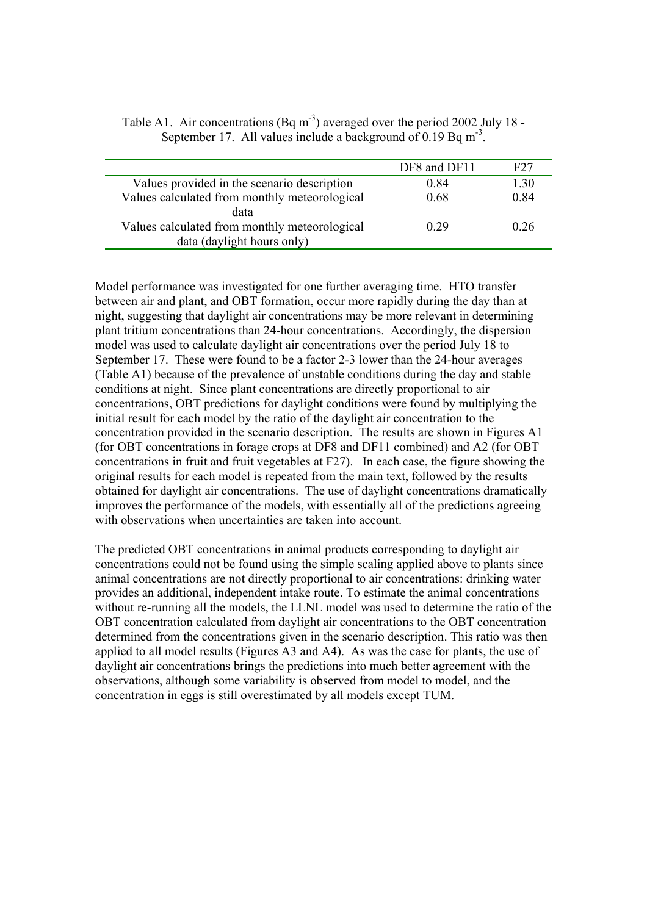|                                               | DF8 and DF11 | F27  |
|-----------------------------------------------|--------------|------|
| Values provided in the scenario description   | 0.84         | 1.30 |
| Values calculated from monthly meteorological | 0.68         | 0.84 |
| data                                          |              |      |
| Values calculated from monthly meteorological | 0.29         | 0.26 |
| data (daylight hours only)                    |              |      |

Table A1. Air concentrations (Bq m<sup>-3</sup>) averaged over the period 2002 July 18 -September 17. All values include a background of  $0.19$  Bq m<sup>-3</sup>.

Model performance was investigated for one further averaging time. HTO transfer between air and plant, and OBT formation, occur more rapidly during the day than at night, suggesting that daylight air concentrations may be more relevant in determining plant tritium concentrations than 24-hour concentrations. Accordingly, the dispersion model was used to calculate daylight air concentrations over the period July 18 to September 17. These were found to be a factor 2-3 lower than the 24-hour averages (Table A1) because of the prevalence of unstable conditions during the day and stable conditions at night. Since plant concentrations are directly proportional to air concentrations, OBT predictions for daylight conditions were found by multiplying the initial result for each model by the ratio of the daylight air concentration to the concentration provided in the scenario description. The results are shown in Figures A1 (for OBT concentrations in forage crops at DF8 and DF11 combined) and A2 (for OBT concentrations in fruit and fruit vegetables at F27). In each case, the figure showing the original results for each model is repeated from the main text, followed by the results obtained for daylight air concentrations. The use of daylight concentrations dramatically improves the performance of the models, with essentially all of the predictions agreeing with observations when uncertainties are taken into account.

The predicted OBT concentrations in animal products corresponding to daylight air concentrations could not be found using the simple scaling applied above to plants since animal concentrations are not directly proportional to air concentrations: drinking water provides an additional, independent intake route. To estimate the animal concentrations without re-running all the models, the LLNL model was used to determine the ratio of the OBT concentration calculated from daylight air concentrations to the OBT concentration determined from the concentrations given in the scenario description. This ratio was then applied to all model results (Figures A3 and A4). As was the case for plants, the use of daylight air concentrations brings the predictions into much better agreement with the observations, although some variability is observed from model to model, and the concentration in eggs is still overestimated by all models except TUM.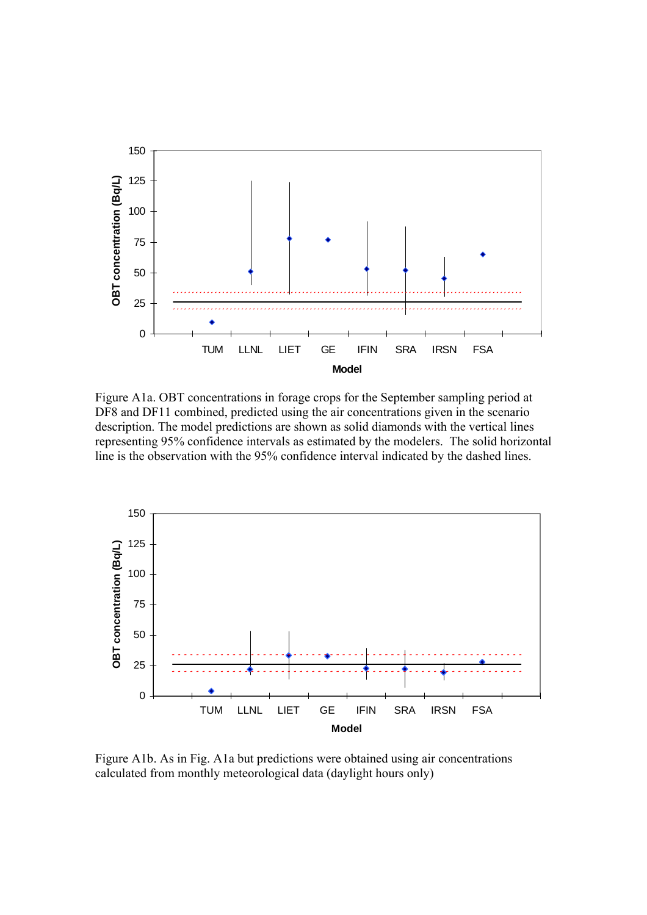

Figure A1a. OBT concentrations in forage crops for the September sampling period at DF8 and DF11 combined, predicted using the air concentrations given in the scenario description. The model predictions are shown as solid diamonds with the vertical lines representing 95% confidence intervals as estimated by the modelers. The solid horizontal line is the observation with the 95% confidence interval indicated by the dashed lines.



Figure A1b. As in Fig. A1a but predictions were obtained using air concentrations calculated from monthly meteorological data (daylight hours only)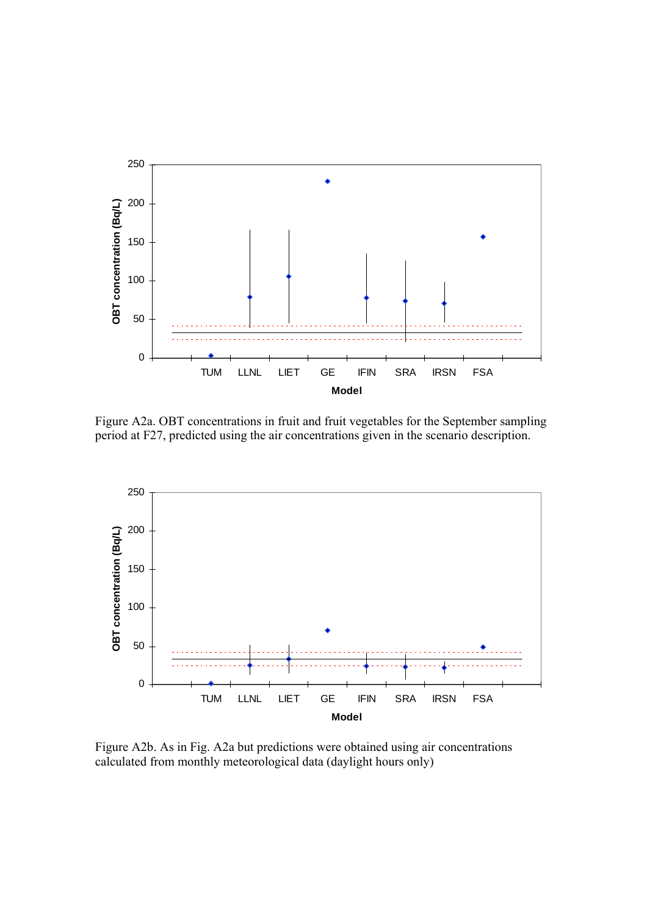

Figure A2a. OBT concentrations in fruit and fruit vegetables for the September sampling period at F27, predicted using the air concentrations given in the scenario description.



Figure A2b. As in Fig. A2a but predictions were obtained using air concentrations calculated from monthly meteorological data (daylight hours only)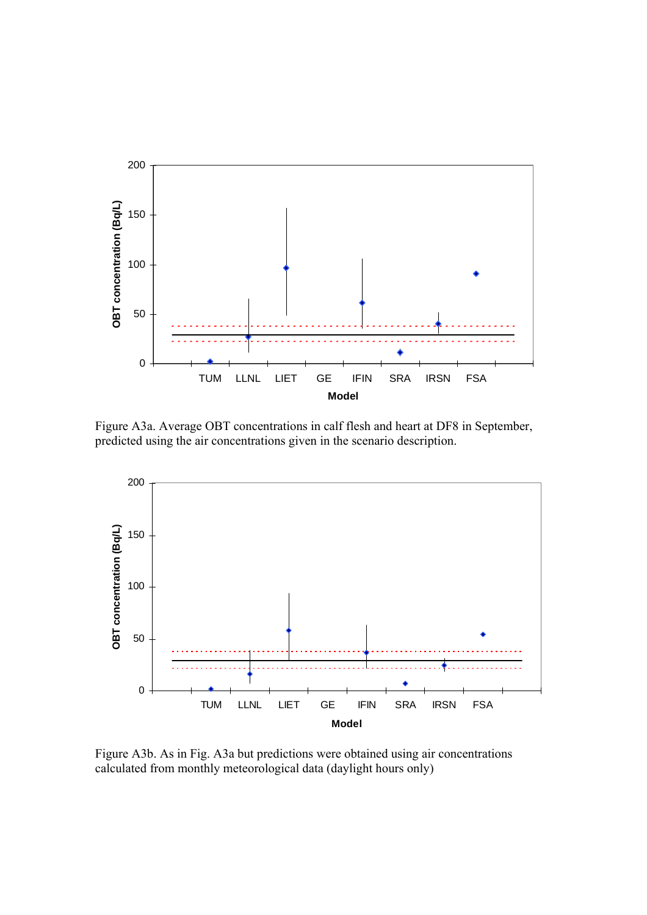

 Figure A3a. Average OBT concentrations in calf flesh and heart at DF8 in September, predicted using the air concentrations given in the scenario description.



Figure A3b. As in Fig. A3a but predictions were obtained using air concentrations calculated from monthly meteorological data (daylight hours only)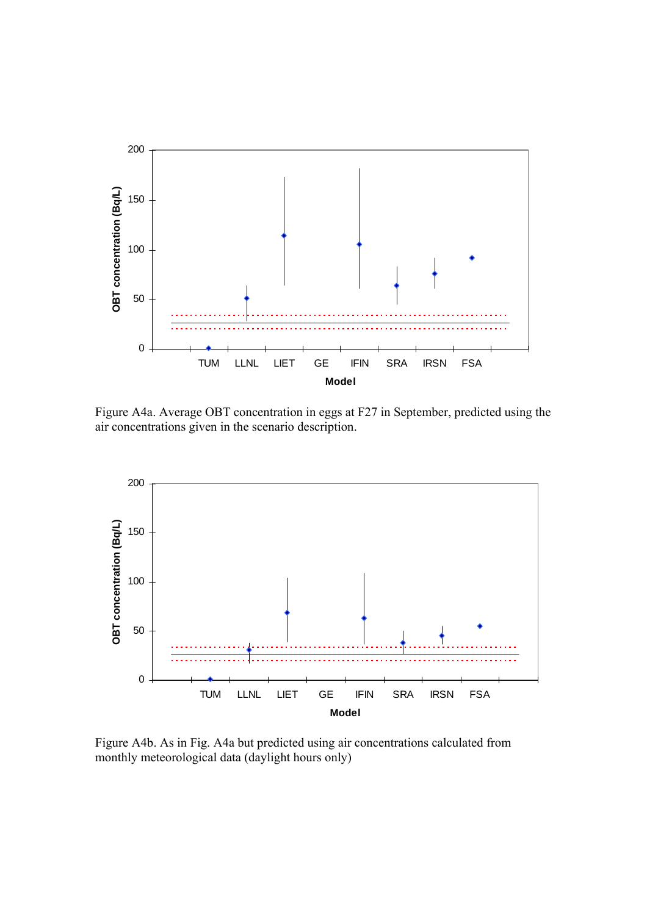

Figure A4a. Average OBT concentration in eggs at F27 in September, predicted using the air concentrations given in the scenario description.



Figure A4b. As in Fig. A4a but predicted using air concentrations calculated from monthly meteorological data (daylight hours only)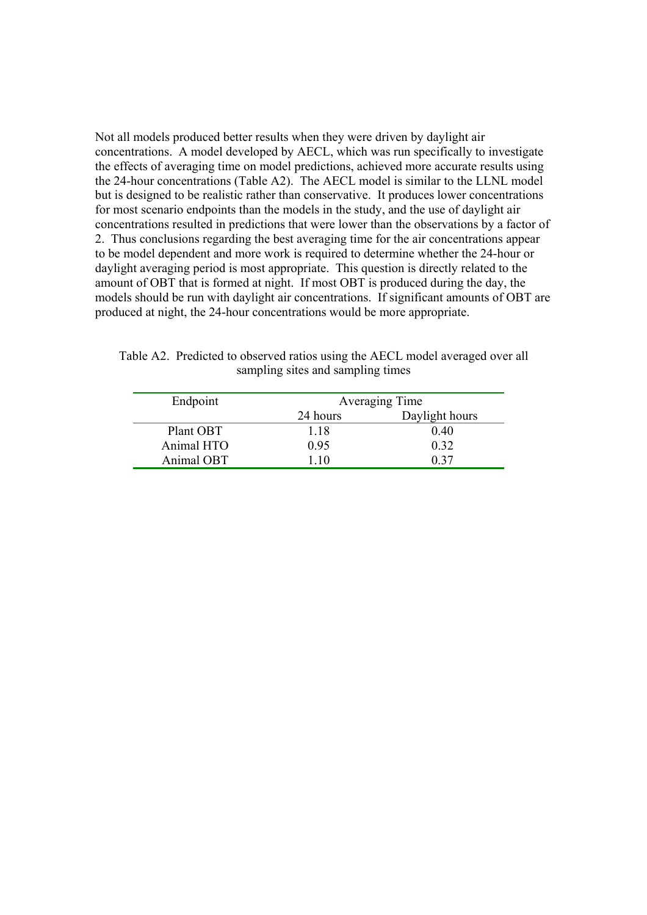Not all models produced better results when they were driven by daylight air concentrations. A model developed by AECL, which was run specifically to investigate the effects of averaging time on model predictions, achieved more accurate results using the 24-hour concentrations (Table A2). The AECL model is similar to the LLNL model but is designed to be realistic rather than conservative. It produces lower concentrations for most scenario endpoints than the models in the study, and the use of daylight air concentrations resulted in predictions that were lower than the observations by a factor of 2. Thus conclusions regarding the best averaging time for the air concentrations appear to be model dependent and more work is required to determine whether the 24-hour or daylight averaging period is most appropriate. This question is directly related to the amount of OBT that is formed at night. If most OBT is produced during the day, the models should be run with daylight air concentrations. If significant amounts of OBT are produced at night, the 24-hour concentrations would be more appropriate.

| Endpoint   | Averaging Time |                |  |
|------------|----------------|----------------|--|
|            | 24 hours       | Daylight hours |  |
| Plant OBT  | 1.18           | 0.40           |  |
| Animal HTO | 0.95           | 0.32           |  |
| Animal OBT | l 10           | በ 37           |  |

Table A2. Predicted to observed ratios using the AECL model averaged over all sampling sites and sampling times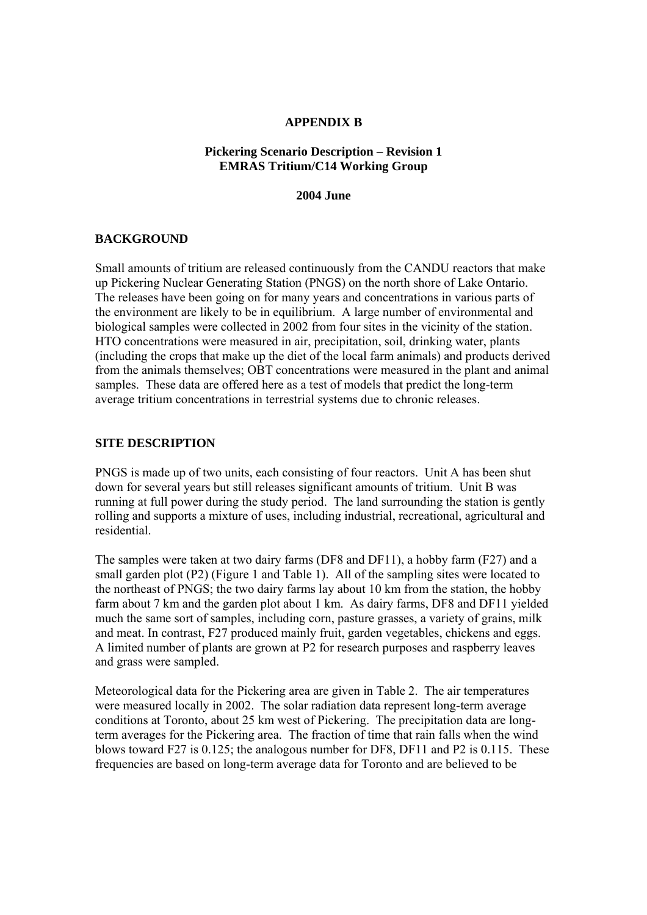#### **APPENDIX B**

## **Pickering Scenario Description – Revision 1 EMRAS Tritium/C14 Working Group**

**2004 June**

## **BACKGROUND**

Small amounts of tritium are released continuously from the CANDU reactors that make up Pickering Nuclear Generating Station (PNGS) on the north shore of Lake Ontario. The releases have been going on for many years and concentrations in various parts of the environment are likely to be in equilibrium. A large number of environmental and biological samples were collected in 2002 from four sites in the vicinity of the station. HTO concentrations were measured in air, precipitation, soil, drinking water, plants (including the crops that make up the diet of the local farm animals) and products derived from the animals themselves; OBT concentrations were measured in the plant and animal samples. These data are offered here as a test of models that predict the long-term average tritium concentrations in terrestrial systems due to chronic releases.

## **SITE DESCRIPTION**

PNGS is made up of two units, each consisting of four reactors. Unit A has been shut down for several years but still releases significant amounts of tritium. Unit B was running at full power during the study period. The land surrounding the station is gently rolling and supports a mixture of uses, including industrial, recreational, agricultural and residential.

The samples were taken at two dairy farms (DF8 and DF11), a hobby farm (F27) and a small garden plot (P2) (Figure 1 and Table 1). All of the sampling sites were located to the northeast of PNGS; the two dairy farms lay about 10 km from the station, the hobby farm about 7 km and the garden plot about 1 km.As dairy farms, DF8 and DF11 yielded much the same sort of samples, including corn, pasture grasses, a variety of grains, milk and meat. In contrast, F27 produced mainly fruit, garden vegetables, chickens and eggs. A limited number of plants are grown at P2 for research purposes and raspberry leaves and grass were sampled.

Meteorological data for the Pickering area are given in Table 2. The air temperatures were measured locally in 2002. The solar radiation data represent long-term average conditions at Toronto, about 25 km west of Pickering. The precipitation data are longterm averages for the Pickering area. The fraction of time that rain falls when the wind blows toward F27 is 0.125; the analogous number for DF8, DF11 and P2 is 0.115. These frequencies are based on long-term average data for Toronto and are believed to be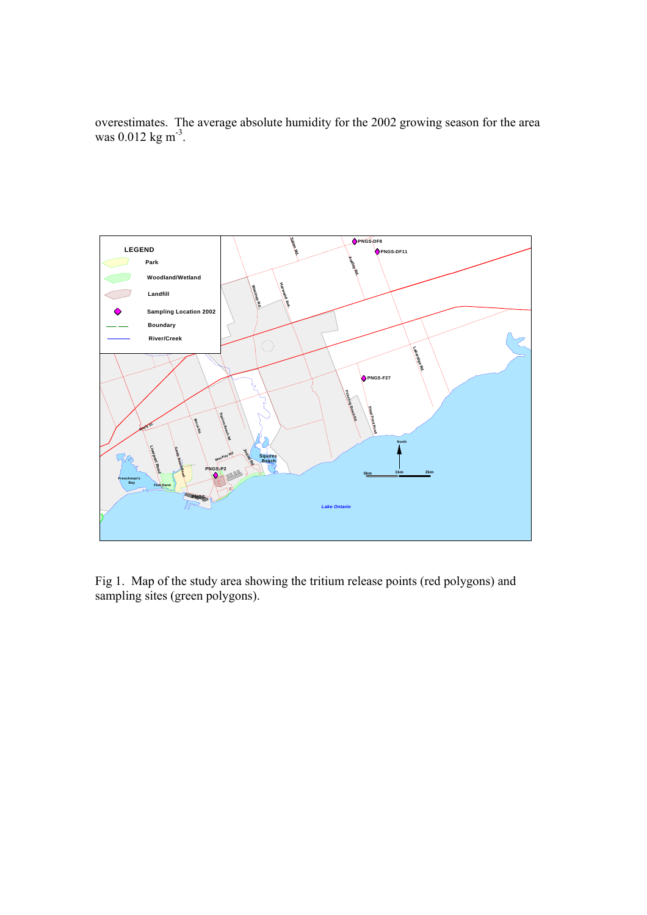overestimates. The average absolute humidity for the 2002 growing season for the area was 0.012 kg m<sup>-3</sup>.



Fig 1. Map of the study area showing the tritium release points (red polygons) and sampling sites (green polygons).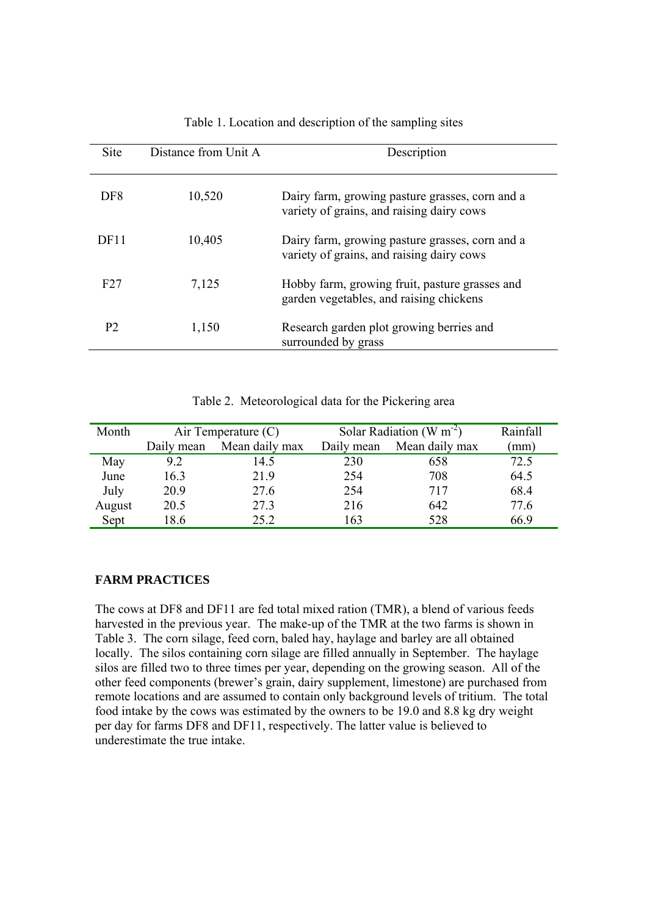| <b>Site</b>     | Distance from Unit A | Description                                                                                  |
|-----------------|----------------------|----------------------------------------------------------------------------------------------|
| DF8             | 10,520               | Dairy farm, growing pasture grasses, corn and a<br>variety of grains, and raising dairy cows |
| DF11            | 10,405               | Dairy farm, growing pasture grasses, corn and a<br>variety of grains, and raising dairy cows |
| F <sub>27</sub> | 7,125                | Hobby farm, growing fruit, pasture grasses and<br>garden vegetables, and raising chickens    |
| P <sub>2</sub>  | 1,150                | Research garden plot growing berries and<br>surrounded by grass                              |

#### Table 1. Location and description of the sampling sites

| Table 2. Meteorological data for the Pickering area |  |
|-----------------------------------------------------|--|
|                                                     |  |

| Month  | Air Temperature $(C)$ |                | Solar Radiation (W $m^{-2}$ ) |                | Rainfall |
|--------|-----------------------|----------------|-------------------------------|----------------|----------|
|        | Daily mean            | Mean daily max | Daily mean                    | Mean daily max | (mm)     |
| May    | 9.2                   | 14.5           | 230                           | 658            | 72.5     |
| June   | 16.3                  | 21.9           | 254                           | 708            | 64.5     |
| July   | 20.9                  | 27.6           | 254                           | 717            | 68.4     |
| August | 20.5                  | 27.3           | 216                           | 642            | 77.6     |
| Sept   | 18.6                  | 25.2           | 163                           | 528            | 66.9     |

## **FARM PRACTICES**

The cows at DF8 and DF11 are fed total mixed ration (TMR), a blend of various feeds harvested in the previous year. The make-up of the TMR at the two farms is shown in Table 3. The corn silage, feed corn, baled hay, haylage and barley are all obtained locally. The silos containing corn silage are filled annually in September. The haylage silos are filled two to three times per year, depending on the growing season. All of the other feed components (brewer's grain, dairy supplement, limestone) are purchased from remote locations and are assumed to contain only background levels of tritium. The total food intake by the cows was estimated by the owners to be 19.0 and 8.8 kg dry weight per day for farms DF8 and DF11, respectively. The latter value is believed to underestimate the true intake.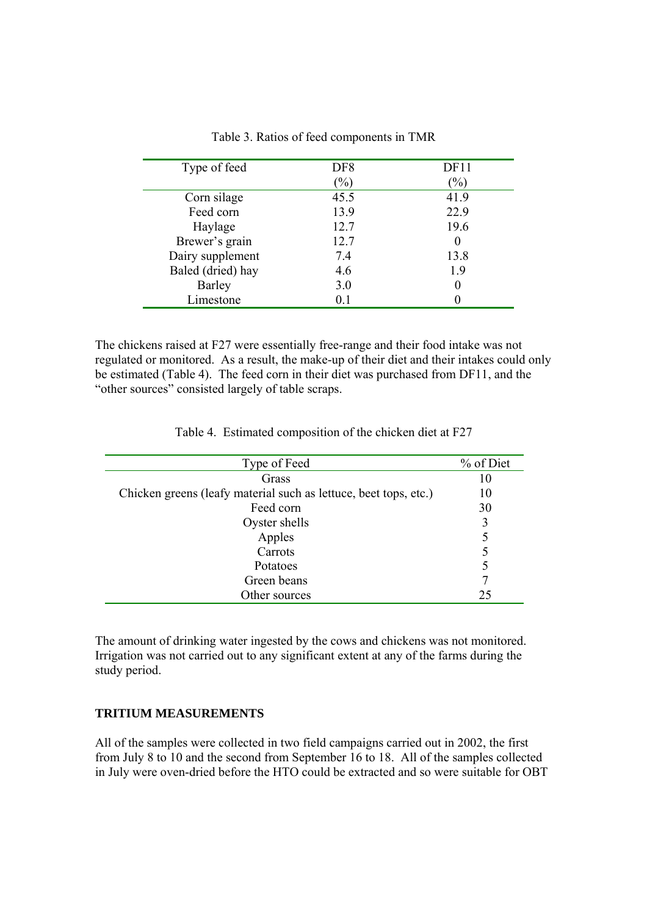| Type of feed      | DF <sub>8</sub> | DF11          |
|-------------------|-----------------|---------------|
|                   | $\frac{1}{2}$   | $\frac{9}{0}$ |
| Corn silage       | 45.5            | 41.9          |
| Feed corn         | 13.9            | 22.9          |
| Haylage           | 12.7            | 19.6          |
| Brewer's grain    | 12.7            | $\theta$      |
| Dairy supplement  | 7.4             | 13.8          |
| Baled (dried) hay | 4.6             | 1.9           |
| <b>Barley</b>     | 3.0             | 0             |
| Limestone         | 0.1             |               |

Table 3. Ratios of feed components in TMR

The chickens raised at F27 were essentially free-range and their food intake was not regulated or monitored. As a result, the make-up of their diet and their intakes could only be estimated (Table 4). The feed corn in their diet was purchased from DF11, and the "other sources" consisted largely of table scraps.

Table 4. Estimated composition of the chicken diet at F27

| Type of Feed                                                     | % of Diet |
|------------------------------------------------------------------|-----------|
| Grass                                                            | 10        |
| Chicken greens (leafy material such as lettuce, beet tops, etc.) | 10        |
| Feed corn                                                        | 30        |
| Oyster shells                                                    | 3         |
| Apples                                                           | 5         |
| Carrots                                                          | 5         |
| <b>Potatoes</b>                                                  | 5         |
| Green beans                                                      |           |
| Other sources                                                    | 25        |

The amount of drinking water ingested by the cows and chickens was not monitored. Irrigation was not carried out to any significant extent at any of the farms during the study period.

#### **TRITIUM MEASUREMENTS**

All of the samples were collected in two field campaigns carried out in 2002, the first from July 8 to 10 and the second from September 16 to 18. All of the samples collected in July were oven-dried before the HTO could be extracted and so were suitable for OBT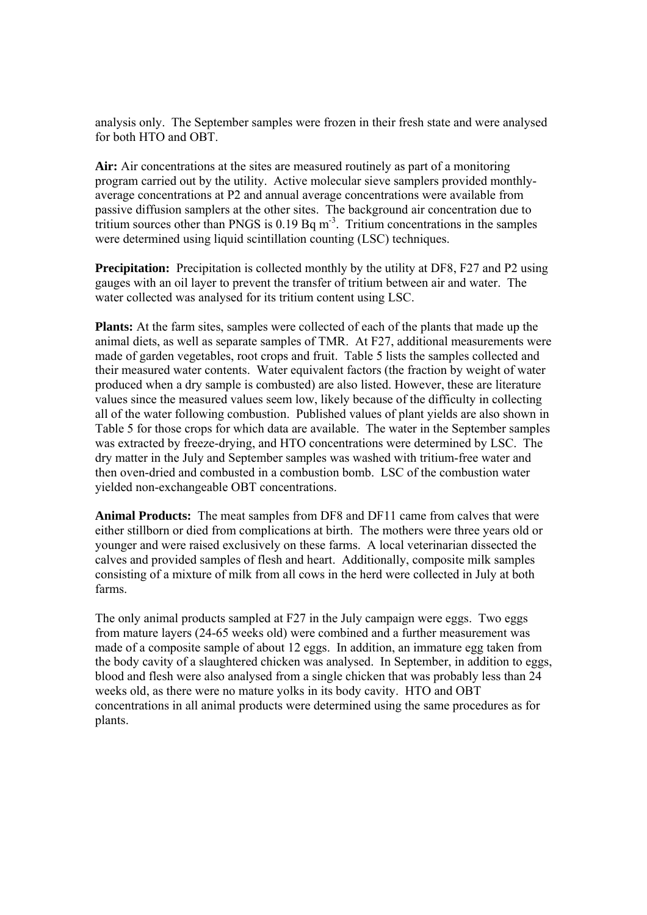analysis only. The September samples were frozen in their fresh state and were analysed for both HTO and OBT.

**Air:** Air concentrations at the sites are measured routinely as part of a monitoring program carried out by the utility. Active molecular sieve samplers provided monthlyaverage concentrations at P2 and annual average concentrations were available from passive diffusion samplers at the other sites. The background air concentration due to tritium sources other than PNGS is  $0.19$  Bq m<sup>-3</sup>. Tritium concentrations in the samples were determined using liquid scintillation counting (LSC) techniques.

**Precipitation:** Precipitation is collected monthly by the utility at DF8, F27 and P2 using gauges with an oil layer to prevent the transfer of tritium between air and water. The water collected was analysed for its tritium content using LSC.

**Plants:** At the farm sites, samples were collected of each of the plants that made up the animal diets, as well as separate samples of TMR. At F27, additional measurements were made of garden vegetables, root crops and fruit. Table 5 lists the samples collected and their measured water contents. Water equivalent factors (the fraction by weight of water produced when a dry sample is combusted) are also listed. However, these are literature values since the measured values seem low, likely because of the difficulty in collecting all of the water following combustion. Published values of plant yields are also shown in Table 5 for those crops for which data are available. The water in the September samples was extracted by freeze-drying, and HTO concentrations were determined by LSC. The dry matter in the July and September samples was washed with tritium-free water and then oven-dried and combusted in a combustion bomb. LSC of the combustion water yielded non-exchangeable OBT concentrations.

**Animal Products:** The meat samples from DF8 and DF11 came from calves that were either stillborn or died from complications at birth. The mothers were three years old or younger and were raised exclusively on these farms. A local veterinarian dissected the calves and provided samples of flesh and heart. Additionally, composite milk samples consisting of a mixture of milk from all cows in the herd were collected in July at both farms.

The only animal products sampled at F27 in the July campaign were eggs. Two eggs from mature layers (24-65 weeks old) were combined and a further measurement was made of a composite sample of about 12 eggs. In addition, an immature egg taken from the body cavity of a slaughtered chicken was analysed. In September, in addition to eggs, blood and flesh were also analysed from a single chicken that was probably less than 24 weeks old, as there were no mature yolks in its body cavity. HTO and OBT concentrations in all animal products were determined using the same procedures as for plants.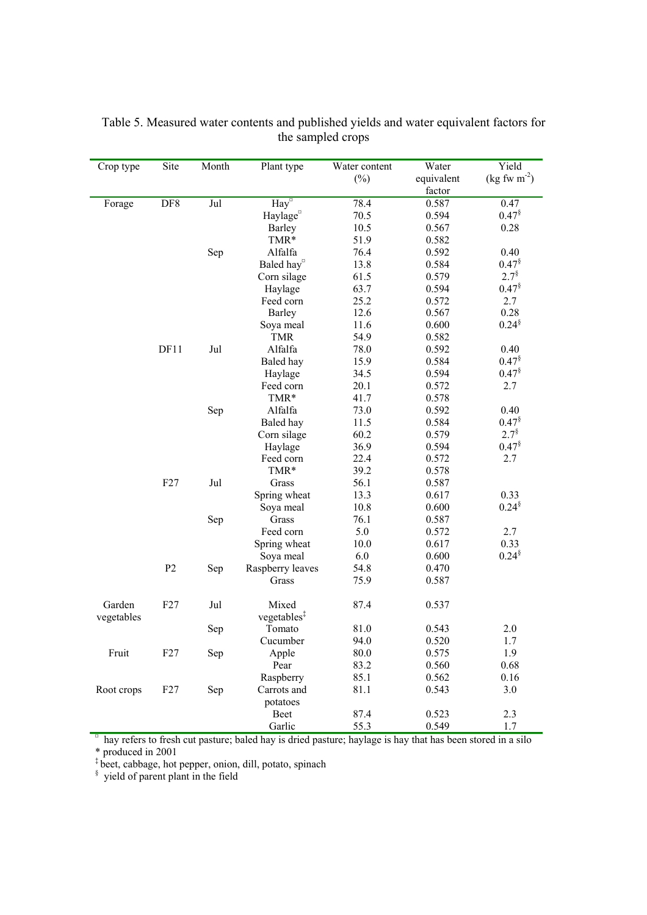| Crop type  | Site | Month | Plant type                         | Water content | Water      | Yield                                   |
|------------|------|-------|------------------------------------|---------------|------------|-----------------------------------------|
|            |      |       |                                    | $(\%)$        | equivalent | $(\text{kg} \text{ fw } \text{m}^{-2})$ |
|            |      |       |                                    |               | factor     |                                         |
| Forage     | DF8  | Jul   | $\overline{\text{Hay}}^{\text{d}}$ | 78.4          | 0.587      | 0.47                                    |
|            |      |       | Haylage <sup>¤</sup>               | 70.5          | 0.594      | $0.47^{\$}$                             |
|            |      |       | <b>Barley</b>                      | 10.5          | 0.567      | 0.28                                    |
|            |      |       | TMR*                               | 51.9          | 0.582      |                                         |
|            |      | Sep   | Alfalfa                            | 76.4          | 0.592      | 0.40                                    |
|            |      |       | Baled hay <sup>o</sup>             | 13.8          | 0.584      | 0.47 <sup>§</sup>                       |
|            |      |       | Corn silage                        | 61.5          | 0.579      | $2.7^{\$}$                              |
|            |      |       | Haylage                            | 63.7          | 0.594      | $0.47$ <sup>§</sup>                     |
|            |      |       | Feed corn                          | 25.2          | 0.572      | 2.7                                     |
|            |      |       | <b>Barley</b>                      | 12.6          | 0.567      | 0.28                                    |
|            |      |       | Soya meal                          | 11.6          | 0.600      | $0.24^{\$}$                             |
|            |      |       | <b>TMR</b>                         | 54.9          | 0.582      |                                         |
|            | DF11 | Jul   | Alfalfa                            | 78.0          | 0.592      | 0.40                                    |
|            |      |       | Baled hay                          | 15.9          | 0.584      | 0.47 <sup>§</sup>                       |
|            |      |       | Haylage                            | 34.5          | 0.594      | $0.47^{8}$                              |
|            |      |       | Feed corn                          | 20.1          | 0.572      | 2.7                                     |
|            |      |       | TMR*                               | 41.7          | 0.578      |                                         |
|            |      | Sep   | Alfalfa                            | 73.0          | 0.592      | 0.40                                    |
|            |      |       | Baled hay                          | 11.5          | 0.584      | $0.47^{\$}$                             |
|            |      |       | Corn silage                        | 60.2          | 0.579      | $2.7^{\$}$                              |
|            |      |       | Haylage                            | 36.9          | 0.594      | $0.47^{\$}$                             |
|            |      |       | Feed corn                          | 22.4          | 0.572      | 2.7                                     |
|            |      |       | TMR*                               | 39.2          | 0.578      |                                         |
|            | F27  | Jul   | Grass                              | 56.1          | 0.587      |                                         |
|            |      |       | Spring wheat                       | 13.3          | 0.617      | 0.33                                    |
|            |      |       | Soya meal                          | 10.8          | 0.600      | $0.24^{\$}$                             |
|            |      | Sep   | Grass                              | 76.1          | 0.587      |                                         |
|            |      |       | Feed corn                          | 5.0           | 0.572      | 2.7                                     |
|            |      |       | Spring wheat                       | 10.0          | 0.617      | 0.33                                    |
|            |      |       | Soya meal                          | 6.0           | 0.600      | $0.24^{\$}$                             |
|            | P2   | Sep   | Raspberry leaves                   | 54.8          | 0.470      |                                         |
|            |      |       | Grass                              | 75.9          | 0.587      |                                         |
| Garden     | F27  | Jul   | Mixed                              | 87.4          | 0.537      |                                         |
| vegetables |      |       | vegetables <sup>‡</sup>            |               |            |                                         |
|            |      | Sep   | Tomato                             | 81.0          | 0.543      | 2.0                                     |
|            |      |       | Cucumber                           | 94.0          | 0.520      | 1.7                                     |
| Fruit      | F27  | Sep   | Apple                              | 80.0          | 0.575      | 1.9                                     |
|            |      |       | Pear                               | 83.2          | 0.560      | 0.68                                    |
|            |      |       | Raspberry                          | 85.1          | 0.562      | 0.16                                    |
| Root crops | F27  |       | Carrots and                        | 81.1          | 0.543      | 3.0                                     |
|            |      | Sep   |                                    |               |            |                                         |
|            |      |       | potatoes<br>Beet                   | 87.4          | 0.523      | 2.3                                     |
|            |      |       |                                    | 55.3          |            |                                         |
|            |      |       | Garlic                             |               | 0.549      | 1.7                                     |

Table 5. Measured water contents and published yields and water equivalent factors for the sampled crops

Garlic 55.3 0.549 1.7 and 55 and 55.3 6.549 1.7 and 55.3 6.549 1.7 and 55.3 6.549 55.3 6.549 5.549 5.549 5.549 5.549 5.549 5.549 5.549 5.549 5.549 5.549 5.549 5.549 5.549 5.549 5.549 5.549 5.549 5.549 5.549 5.549 5.549 5.5

\* produced in 2001

‡ beet, cabbage, hot pepper, onion, dill, potato, spinach § yield of parent plant in the field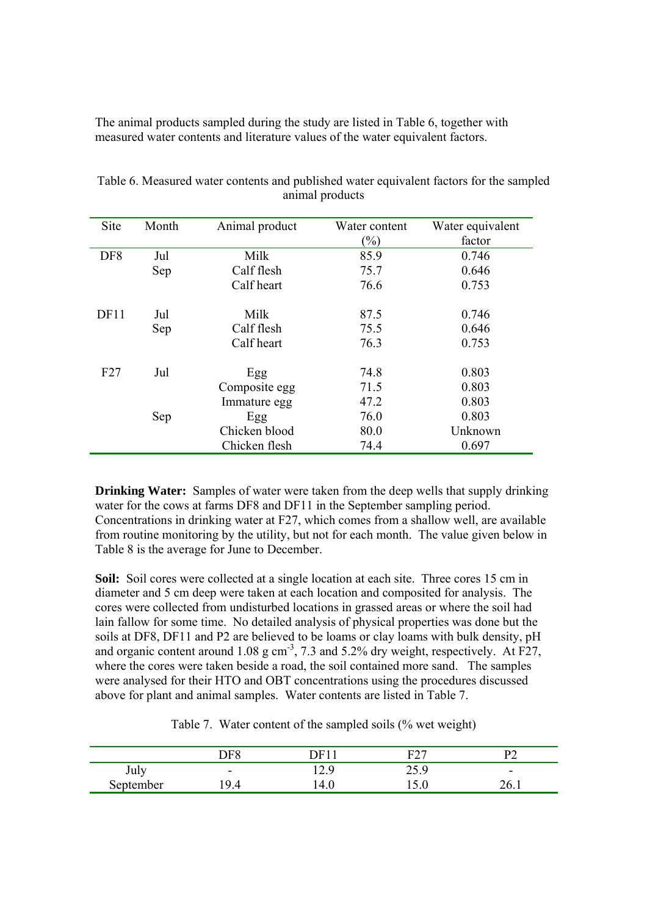The animal products sampled during the study are listed in Table 6, together with measured water contents and literature values of the water equivalent factors.

| Site            | Month | Animal product | Water content<br>$\left(\frac{0}{0}\right)$ | Water equivalent<br>factor |
|-----------------|-------|----------------|---------------------------------------------|----------------------------|
| DF <sub>8</sub> | Jul   | Milk           | 85.9                                        | 0.746                      |
|                 | Sep   | Calf flesh     | 75.7                                        | 0.646                      |
|                 |       | Calf heart     | 76.6                                        | 0.753                      |
| DF11            | Jul   | Milk           | 87.5                                        | 0.746                      |
|                 | Sep   | Calf flesh     | 75.5                                        | 0.646                      |
|                 |       | Calf heart     | 76.3                                        | 0.753                      |
| F27             | Jul   | Egg            | 74.8                                        | 0.803                      |
|                 |       | Composite egg  | 71.5                                        | 0.803                      |
|                 |       | Immature egg   | 47.2                                        | 0.803                      |
|                 | Sep   | Egg            | 76.0                                        | 0.803                      |
|                 |       | Chicken blood  | 80.0                                        | Unknown                    |
|                 |       | Chicken flesh  | 74.4                                        | 0.697                      |

Table 6. Measured water contents and published water equivalent factors for the sampled animal products

**Drinking Water:** Samples of water were taken from the deep wells that supply drinking water for the cows at farms DF8 and DF11 in the September sampling period. Concentrations in drinking water at F27, which comes from a shallow well, are available from routine monitoring by the utility, but not for each month. The value given below in Table 8 is the average for June to December.

**Soil:** Soil cores were collected at a single location at each site. Three cores 15 cm in diameter and 5 cm deep were taken at each location and composited for analysis. The cores were collected from undisturbed locations in grassed areas or where the soil had lain fallow for some time. No detailed analysis of physical properties was done but the soils at DF8, DF11 and P2 are believed to be loams or clay loams with bulk density, pH and organic content around 1.08 g cm<sup>-3</sup>, 7.3 and 5.2% dry weight, respectively. At F27, where the cores were taken beside a road, the soil contained more sand. The samples were analysed for their HTO and OBT concentrations using the procedures discussed above for plant and animal samples. Water contents are listed in Table 7.

Table 7. Water content of the sampled soils (% wet weight)

|           | $\overline{F}$             | 1 H I      | E27         |                          |
|-----------|----------------------------|------------|-------------|--------------------------|
| July      | $\overline{\phantom{0}}$   | -C<br>14.J | ıζ<br>ر . ب | $\overline{\phantom{a}}$ |
| September | $\Omega$<br>$\overline{4}$ |            | 1 J .V      | . .<br>∠∪.               |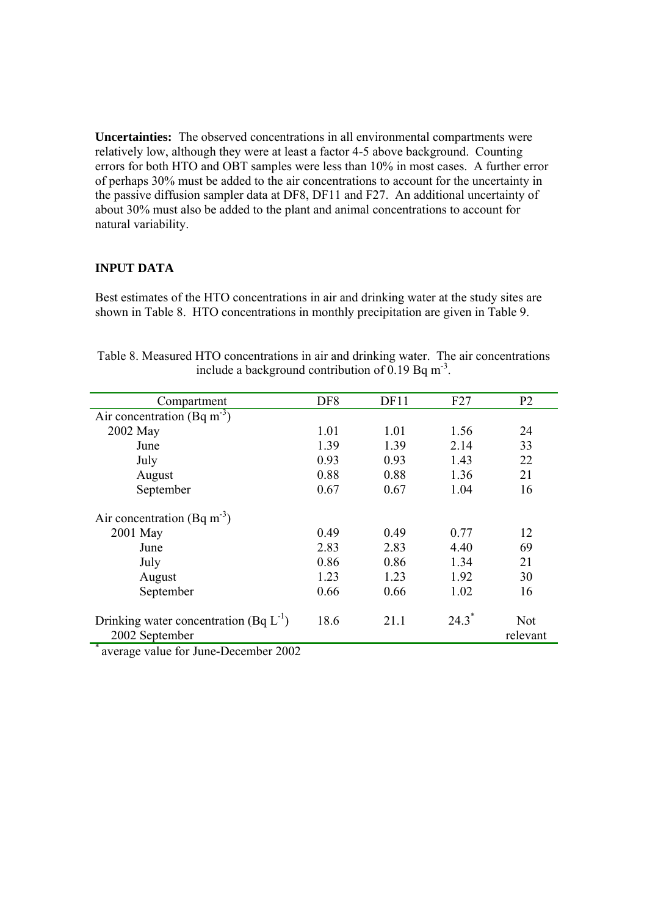**Uncertainties:** The observed concentrations in all environmental compartments were relatively low, although they were at least a factor 4-5 above background. Counting errors for both HTO and OBT samples were less than 10% in most cases. A further error of perhaps 30% must be added to the air concentrations to account for the uncertainty in the passive diffusion sampler data at DF8, DF11 and F27. An additional uncertainty of about 30% must also be added to the plant and animal concentrations to account for natural variability.

## **INPUT DATA**

Best estimates of the HTO concentrations in air and drinking water at the study sites are shown in Table 8. HTO concentrations in monthly precipitation are given in Table 9.

| Compartment                                                                               | DF <sub>8</sub> | DF11 | F27  | P <sub>2</sub>         |
|-------------------------------------------------------------------------------------------|-----------------|------|------|------------------------|
| Air concentration (Bq m <sup>-3</sup> )                                                   |                 |      |      |                        |
| 2002 May                                                                                  | 1.01            | 1.01 | 1.56 | 24                     |
| June                                                                                      | 1.39            | 1.39 | 2.14 | 33                     |
| July                                                                                      | 0.93            | 0.93 | 1.43 | 22                     |
| August                                                                                    | 0.88            | 0.88 | 1.36 | 21                     |
| September                                                                                 | 0.67            | 0.67 | 1.04 | 16                     |
| Air concentration (Bq m <sup>-3</sup> )                                                   |                 |      |      |                        |
| 2001 May                                                                                  | 0.49            | 0.49 | 0.77 | 12                     |
| June                                                                                      | 2.83            | 2.83 | 4.40 | 69                     |
| July                                                                                      | 0.86            | 0.86 | 1.34 | 21                     |
| August                                                                                    | 1.23            | 1.23 | 1.92 | 30                     |
| September                                                                                 | 0.66            | 0.66 | 1.02 | 16                     |
| Drinking water concentration (Bq $L^{-1}$ )<br>2002 September<br>$\overline{\phantom{a}}$ | 18.6            | 21.1 | 24.3 | <b>Not</b><br>relevant |

Table 8. Measured HTO concentrations in air and drinking water. The air concentrations include a background contribution of 0.19 Bq  $m<sup>-3</sup>$ .

average value for June-December 2002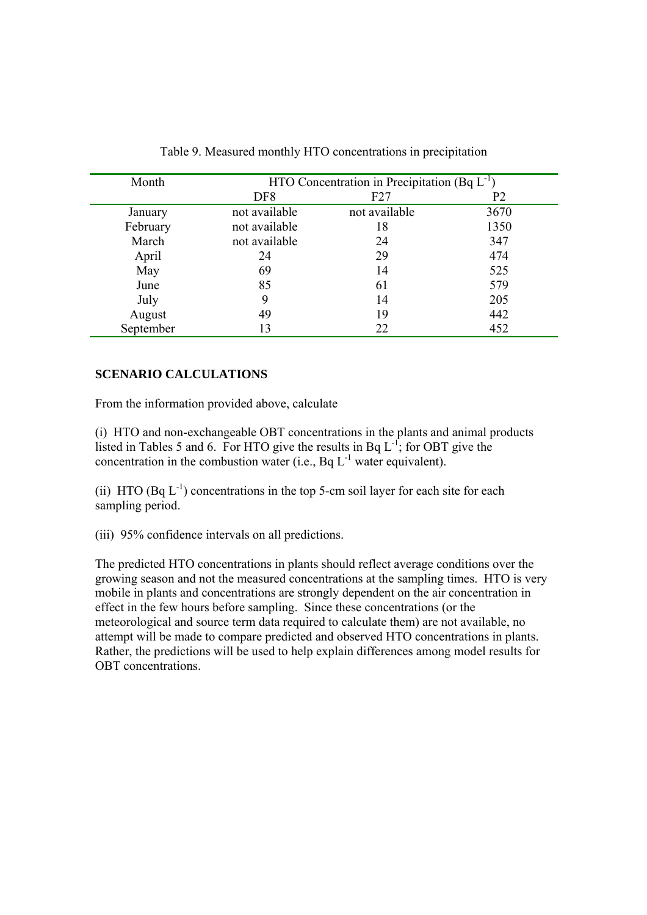| Month     | HTO Concentration in Precipitation (Bq $L^{-1}$ ) |               |      |  |  |
|-----------|---------------------------------------------------|---------------|------|--|--|
|           | DF <sub>8</sub>                                   | F27           | P2   |  |  |
| January   | not available                                     | not available | 3670 |  |  |
| February  | not available                                     | 18            | 1350 |  |  |
| March     | not available                                     | 24            | 347  |  |  |
| April     | 24                                                | 29            | 474  |  |  |
| May       | 69                                                | 14            | 525  |  |  |
| June      | 85                                                | 61            | 579  |  |  |
| July      | 9                                                 | 14            | 205  |  |  |
| August    | 49                                                | 19            | 442  |  |  |
| September | 13                                                | 22            | 452  |  |  |

Table 9. Measured monthly HTO concentrations in precipitation

## **SCENARIO CALCULATIONS**

From the information provided above, calculate

(i) HTO and non-exchangeable OBT concentrations in the plants and animal products listed in Tables 5 and 6. For HTO give the results in Bq  $L^{-1}$ ; for OBT give the concentration in the combustion water (i.e., Bq  $L^{-1}$  water equivalent).

(ii) HTO (Bq  $L^{-1}$ ) concentrations in the top 5-cm soil layer for each site for each sampling period.

(iii) 95% confidence intervals on all predictions.

The predicted HTO concentrations in plants should reflect average conditions over the growing season and not the measured concentrations at the sampling times. HTO is very mobile in plants and concentrations are strongly dependent on the air concentration in effect in the few hours before sampling. Since these concentrations (or the meteorological and source term data required to calculate them) are not available, no attempt will be made to compare predicted and observed HTO concentrations in plants. Rather, the predictions will be used to help explain differences among model results for OBT concentrations.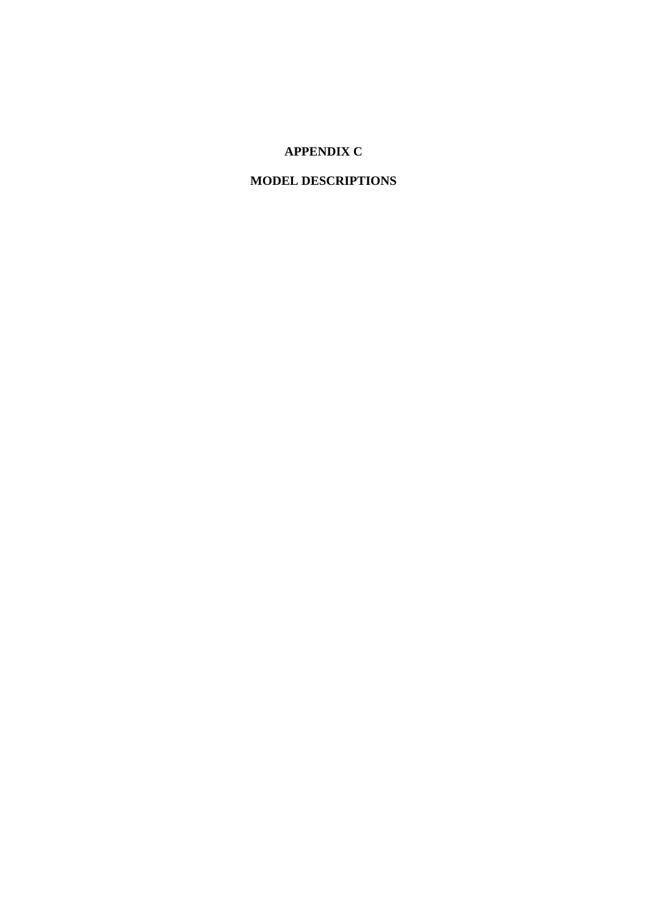# **APPENDIX C**

# **MODEL DESCRIPTIONS**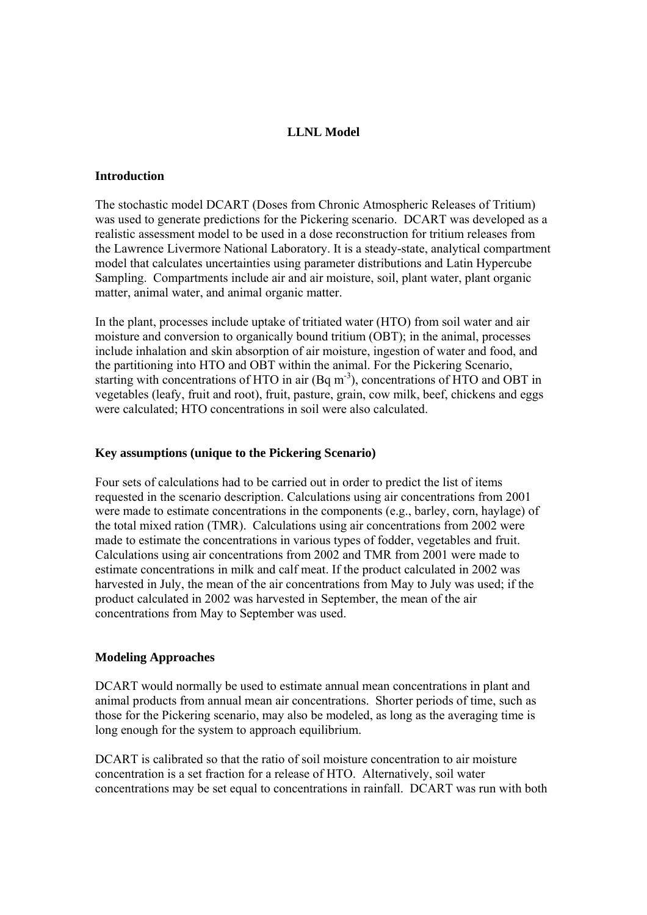## **LLNL Model**

## **Introduction**

The stochastic model DCART (Doses from Chronic Atmospheric Releases of Tritium) was used to generate predictions for the Pickering scenario. DCART was developed as a realistic assessment model to be used in a dose reconstruction for tritium releases from the Lawrence Livermore National Laboratory. It is a steady-state, analytical compartment model that calculates uncertainties using parameter distributions and Latin Hypercube Sampling. Compartments include air and air moisture, soil, plant water, plant organic matter, animal water, and animal organic matter.

In the plant, processes include uptake of tritiated water (HTO) from soil water and air moisture and conversion to organically bound tritium (OBT); in the animal, processes include inhalation and skin absorption of air moisture, ingestion of water and food, and the partitioning into HTO and OBT within the animal. For the Pickering Scenario, starting with concentrations of HTO in air  $(Bq m<sup>-3</sup>)$ , concentrations of HTO and OBT in vegetables (leafy, fruit and root), fruit, pasture, grain, cow milk, beef, chickens and eggs were calculated; HTO concentrations in soil were also calculated.

#### **Key assumptions (unique to the Pickering Scenario)**

Four sets of calculations had to be carried out in order to predict the list of items requested in the scenario description. Calculations using air concentrations from 2001 were made to estimate concentrations in the components (e.g., barley, corn, haylage) of the total mixed ration (TMR). Calculations using air concentrations from 2002 were made to estimate the concentrations in various types of fodder, vegetables and fruit. Calculations using air concentrations from 2002 and TMR from 2001 were made to estimate concentrations in milk and calf meat. If the product calculated in 2002 was harvested in July, the mean of the air concentrations from May to July was used; if the product calculated in 2002 was harvested in September, the mean of the air concentrations from May to September was used.

#### **Modeling Approaches**

DCART would normally be used to estimate annual mean concentrations in plant and animal products from annual mean air concentrations. Shorter periods of time, such as those for the Pickering scenario, may also be modeled, as long as the averaging time is long enough for the system to approach equilibrium.

DCART is calibrated so that the ratio of soil moisture concentration to air moisture concentration is a set fraction for a release of HTO. Alternatively, soil water concentrations may be set equal to concentrations in rainfall. DCART was run with both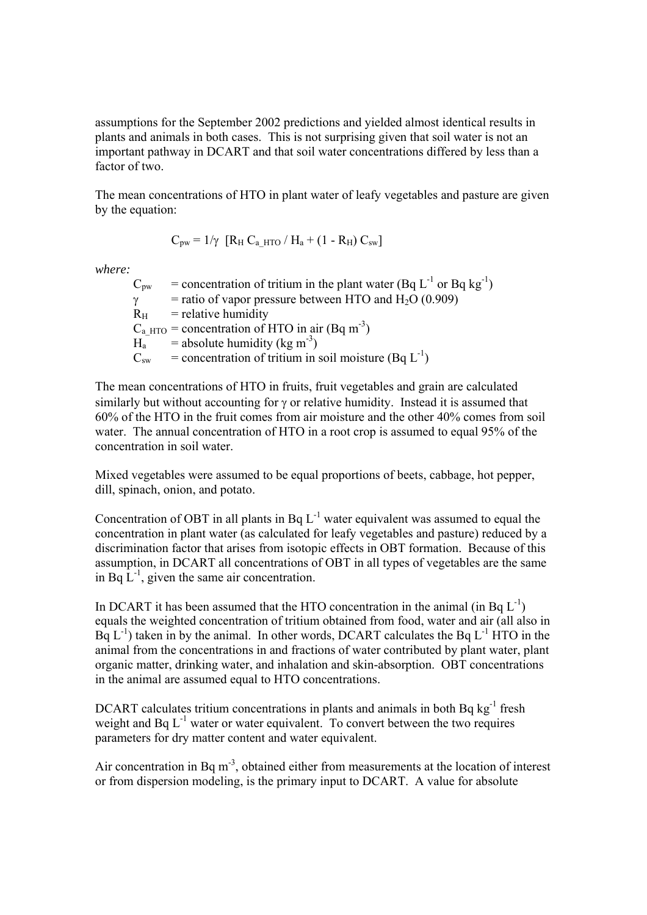assumptions for the September 2002 predictions and yielded almost identical results in plants and animals in both cases. This is not surprising given that soil water is not an important pathway in DCART and that soil water concentrations differed by less than a factor of two.

The mean concentrations of HTO in plant water of leafy vegetables and pasture are given by the equation:

$$
C_{pw} = 1/\gamma \ \left[ R_H \ C_{a\_HTO} \ / \ H_a + (1 - R_H) \ C_{sw} \right]
$$

*where:* 

 $C_{pw}$  = concentration of tritium in the plant water (Bq L<sup>-1</sup> or Bq kg<sup>-1</sup>)  $\gamma$  = ratio of vapor pressure between HTO and H<sub>2</sub>O (0.909)  $R<sub>H</sub>$  = relative humidity  $C_{\text{a HTO}}$  = concentration of HTO in air (Bq m<sup>-3</sup>)  $H_a$  = absolute humidity (kg m<sup>-3</sup>)  $C<sub>sw</sub>$  = concentration of tritium in soil moisture (Bq  $L<sup>-1</sup>$ )

The mean concentrations of HTO in fruits, fruit vegetables and grain are calculated similarly but without accounting for γ or relative humidity. Instead it is assumed that 60% of the HTO in the fruit comes from air moisture and the other 40% comes from soil water. The annual concentration of HTO in a root crop is assumed to equal 95% of the concentration in soil water.

Mixed vegetables were assumed to be equal proportions of beets, cabbage, hot pepper, dill, spinach, onion, and potato.

Concentration of OBT in all plants in Bq  $L^{-1}$  water equivalent was assumed to equal the concentration in plant water (as calculated for leafy vegetables and pasture) reduced by a discrimination factor that arises from isotopic effects in OBT formation. Because of this assumption, in DCART all concentrations of OBT in all types of vegetables are the same in Bq  $L^{-1}$ , given the same air concentration.

In DCART it has been assumed that the HTO concentration in the animal (in Bq  $L^{-1}$ ) equals the weighted concentration of tritium obtained from food, water and air (all also in  $Bq L^{-1}$ ) taken in by the animal. In other words, DCART calculates the Bq  $L^{-1}$  HTO in the animal from the concentrations in and fractions of water contributed by plant water, plant organic matter, drinking water, and inhalation and skin-absorption. OBT concentrations in the animal are assumed equal to HTO concentrations.

DCART calculates tritium concentrations in plants and animals in both Bq kg<sup>-1</sup> fresh weight and  $Bq L^{-1}$  water or water equivalent. To convert between the two requires parameters for dry matter content and water equivalent.

Air concentration in Bq  $m<sup>-3</sup>$ , obtained either from measurements at the location of interest or from dispersion modeling, is the primary input to DCART. A value for absolute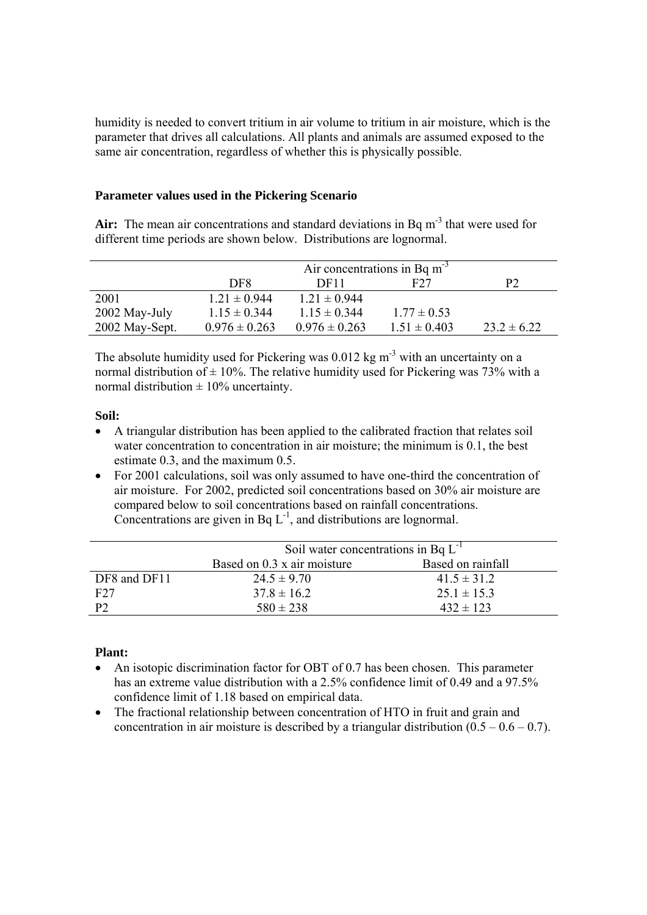humidity is needed to convert tritium in air volume to tritium in air moisture, which is the parameter that drives all calculations. All plants and animals are assumed exposed to the same air concentration, regardless of whether this is physically possible.

## **Parameter values used in the Pickering Scenario**

Air: The mean air concentrations and standard deviations in Bq m<sup>-3</sup> that were used for different time periods are shown below. Distributions are lognormal.

|                | Air concentrations in Bq $m^{-3}$ |                   |                  |                 |  |  |
|----------------|-----------------------------------|-------------------|------------------|-----------------|--|--|
|                | DF8                               | DF <sub>11</sub>  | F27              | P2              |  |  |
| 2001           | $1.21 \pm 0.944$                  | $1.21 \pm 0.944$  |                  |                 |  |  |
| 2002 May-July  | $1.15 \pm 0.344$                  | $1.15 \pm 0.344$  | $1.77 \pm 0.53$  |                 |  |  |
| 2002 May-Sept. | $0.976 \pm 0.263$                 | $0.976 \pm 0.263$ | $1.51 \pm 0.403$ | $23.2 \pm 6.22$ |  |  |

The absolute humidity used for Pickering was  $0.012$  kg m<sup>-3</sup> with an uncertainty on a normal distribution of  $\pm$  10%. The relative humidity used for Pickering was 73% with a normal distribution  $\pm 10\%$  uncertainty.

#### **Soil:**

- A triangular distribution has been applied to the calibrated fraction that relates soil water concentration to concentration in air moisture; the minimum is 0.1, the best estimate 0.3, and the maximum 0.5.
- For 2001 calculations, soil was only assumed to have one-third the concentration of air moisture. For 2002, predicted soil concentrations based on 30% air moisture are compared below to soil concentrations based on rainfall concentrations. Concentrations are given in Bq  $L^{-1}$ , and distributions are lognormal.

|              | Soil water concentrations in Bq $L^{-1}$ |                   |  |  |  |
|--------------|------------------------------------------|-------------------|--|--|--|
|              | Based on 0.3 x air moisture              | Based on rainfall |  |  |  |
| DF8 and DF11 | $24.5 \pm 9.70$                          | $41.5 \pm 31.2$   |  |  |  |
| F27          | $37.8 \pm 16.2$                          | $25.1 \pm 15.3$   |  |  |  |
| P2           | $580 \pm 238$                            | $432 \pm 123$     |  |  |  |

## **Plant:**

- An isotopic discrimination factor for OBT of 0.7 has been chosen. This parameter has an extreme value distribution with a 2.5% confidence limit of 0.49 and a 97.5% confidence limit of 1.18 based on empirical data.
- The fractional relationship between concentration of HTO in fruit and grain and concentration in air moisture is described by a triangular distribution  $(0.5 - 0.6 - 0.7)$ .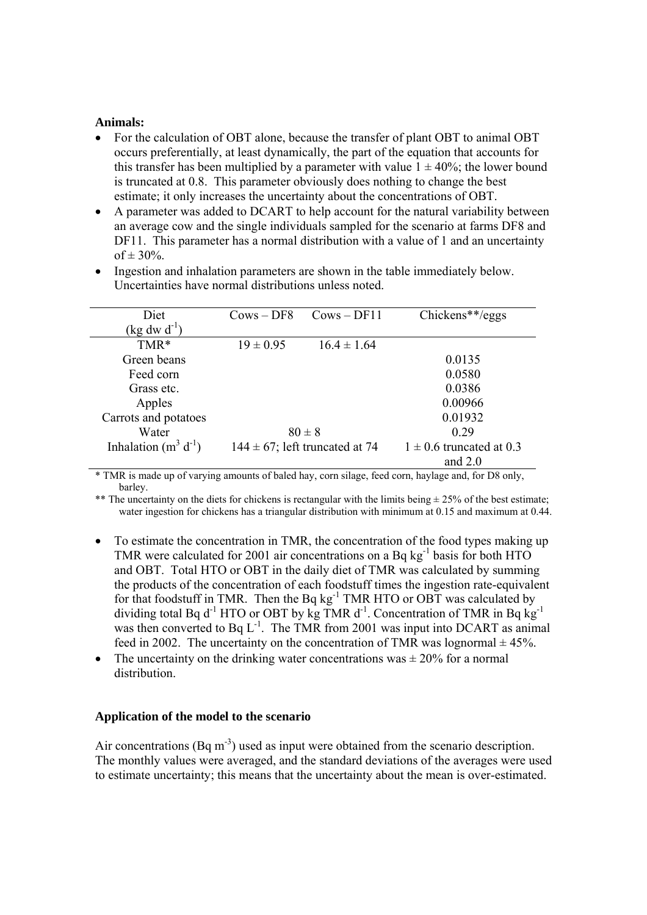## **Animals:**

- For the calculation of OBT alone, because the transfer of plant OBT to animal OBT occurs preferentially, at least dynamically, the part of the equation that accounts for this transfer has been multiplied by a parameter with value  $1 \pm 40\%$ ; the lower bound is truncated at 0.8. This parameter obviously does nothing to change the best estimate; it only increases the uncertainty about the concentrations of OBT.
- A parameter was added to DCART to help account for the natural variability between an average cow and the single individuals sampled for the scenario at farms DF8 and DF11. This parameter has a normal distribution with a value of 1 and an uncertainty of  $\pm 30\%$ .

| Diet                            | $Cows - DF8$  | $Cows - DF11$                       | $Chickens**/eggs$            |
|---------------------------------|---------------|-------------------------------------|------------------------------|
| $(\text{kg} \text{ dw d}^{-1})$ |               |                                     |                              |
| TMR*                            | $19 \pm 0.95$ | $16.4 \pm 1.64$                     |                              |
| Green beans                     |               |                                     | 0.0135                       |
| Feed corn                       |               |                                     | 0.0580                       |
| Grass etc.                      |               |                                     | 0.0386                       |
| Apples                          |               |                                     | 0.00966                      |
| Carrots and potatoes            |               |                                     | 0.01932                      |
| Water                           |               | $80 \pm 8$                          | 0.29                         |
| Inhalation $(m^3 d^{-1})$       |               | $144 \pm 67$ ; left truncated at 74 | $1 \pm 0.6$ truncated at 0.3 |
|                                 |               |                                     | and $2.0$                    |

• Ingestion and inhalation parameters are shown in the table immediately below. Uncertainties have normal distributions unless noted.

\* TMR is made up of varying amounts of baled hay, corn silage, feed corn, haylage and, for D8 only, barley.

\*\* The uncertainty on the diets for chickens is rectangular with the limits being  $\pm$  25% of the best estimate; water ingestion for chickens has a triangular distribution with minimum at 0.15 and maximum at 0.44.

- To estimate the concentration in TMR, the concentration of the food types making up TMR were calculated for 2001 air concentrations on a Bq  $kg^{-1}$  basis for both HTO and OBT. Total HTO or OBT in the daily diet of TMR was calculated by summing the products of the concentration of each foodstuff times the ingestion rate-equivalent for that foodstuff in TMR. Then the Bq kg<sup>-1</sup> TMR HTO or OBT was calculated by dividing total Bq  $d^{-1}$  HTO or OBT by kg TMR  $d^{-1}$ . Concentration of TMR in Bq kg<sup>-1</sup> was then converted to Bq  $L^{-1}$ . The TMR from 2001 was input into DCART as animal feed in 2002. The uncertainty on the concentration of TMR was lognormal  $\pm$  45%.
- The uncertainty on the drinking water concentrations was  $\pm$  20% for a normal distribution.

#### **Application of the model to the scenario**

Air concentrations (Bq  $m<sup>3</sup>$ ) used as input were obtained from the scenario description. The monthly values were averaged, and the standard deviations of the averages were used to estimate uncertainty; this means that the uncertainty about the mean is over-estimated.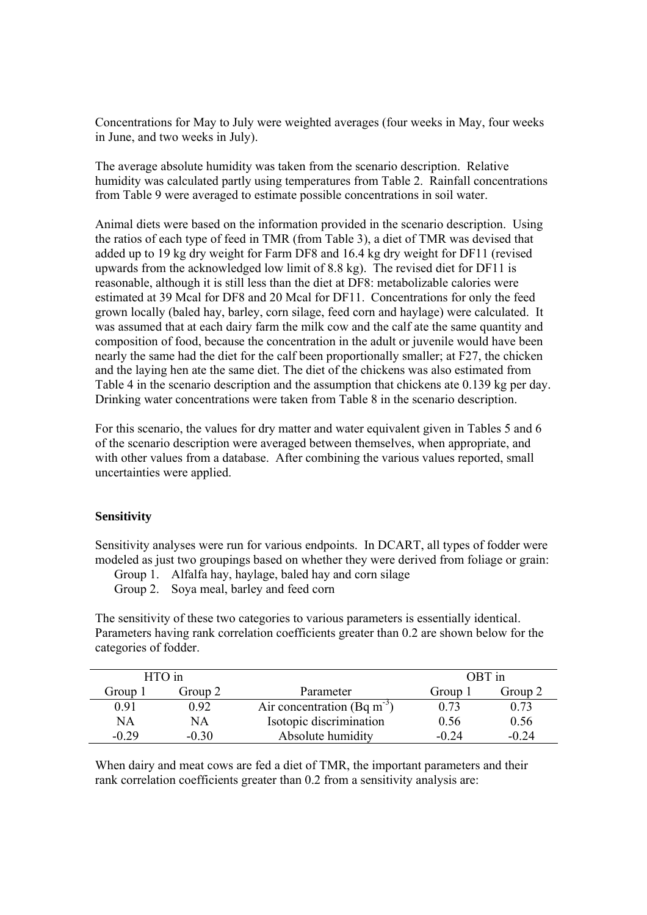Concentrations for May to July were weighted averages (four weeks in May, four weeks in June, and two weeks in July).

The average absolute humidity was taken from the scenario description. Relative humidity was calculated partly using temperatures from Table 2. Rainfall concentrations from Table 9 were averaged to estimate possible concentrations in soil water.

Animal diets were based on the information provided in the scenario description. Using the ratios of each type of feed in TMR (from Table 3), a diet of TMR was devised that added up to 19 kg dry weight for Farm DF8 and 16.4 kg dry weight for DF11 (revised upwards from the acknowledged low limit of 8.8 kg). The revised diet for DF11 is reasonable, although it is still less than the diet at DF8: metabolizable calories were estimated at 39 Mcal for DF8 and 20 Mcal for DF11. Concentrations for only the feed grown locally (baled hay, barley, corn silage, feed corn and haylage) were calculated. It was assumed that at each dairy farm the milk cow and the calf ate the same quantity and composition of food, because the concentration in the adult or juvenile would have been nearly the same had the diet for the calf been proportionally smaller; at F27, the chicken and the laying hen ate the same diet. The diet of the chickens was also estimated from Table 4 in the scenario description and the assumption that chickens ate 0.139 kg per day. Drinking water concentrations were taken from Table 8 in the scenario description.

For this scenario, the values for dry matter and water equivalent given in Tables 5 and 6 of the scenario description were averaged between themselves, when appropriate, and with other values from a database. After combining the various values reported, small uncertainties were applied.

#### **Sensitivity**

Sensitivity analyses were run for various endpoints. In DCART, all types of fodder were modeled as just two groupings based on whether they were derived from foliage or grain:

Group 1. Alfalfa hay, haylage, baled hay and corn silage

Group 2. Soya meal, barley and feed corn

The sensitivity of these two categories to various parameters is essentially identical. Parameters having rank correlation coefficients greater than 0.2 are shown below for the categories of fodder.

|         | HTO in  |                                         |         | OBT in  |
|---------|---------|-----------------------------------------|---------|---------|
| Group 1 | Group 2 | Parameter                               | Group 1 | Group 2 |
| 0.91    | 0.92    | Air concentration (Bq m <sup>-3</sup> ) | 0.73    | 0.73    |
| NA      | NA      | Isotopic discrimination                 | 0.56    | 0.56    |
| $-0.29$ | $-0.30$ | Absolute humidity                       | $-0.24$ | $-0.24$ |

When dairy and meat cows are fed a diet of TMR, the important parameters and their rank correlation coefficients greater than 0.2 from a sensitivity analysis are: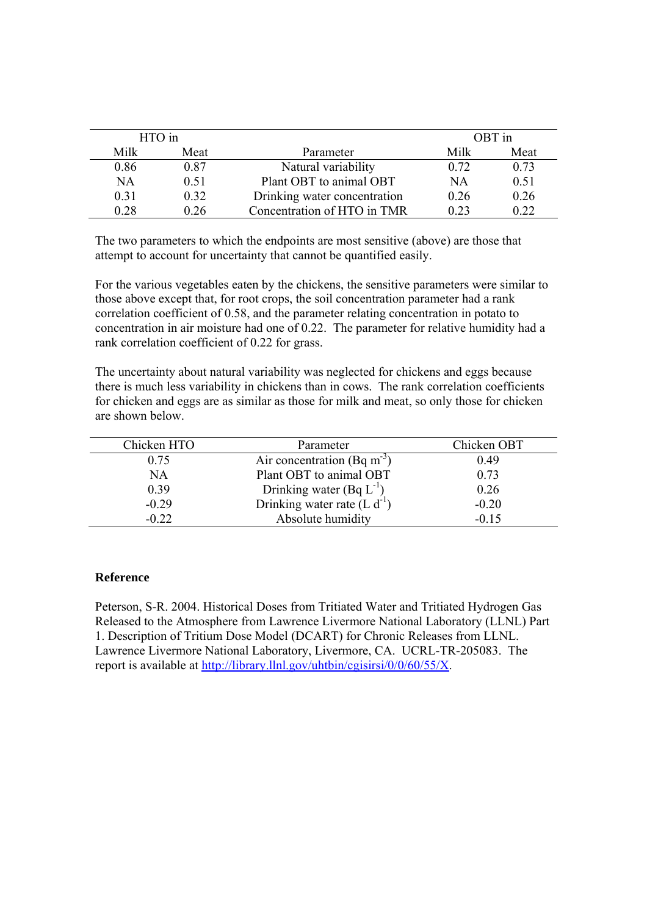| HTO in |      |                              |      | OBT in |
|--------|------|------------------------------|------|--------|
| Milk   | Meat | Parameter                    | Milk | Meat   |
| 0.86   | 0.87 | Natural variability          | 0.72 | 0.73   |
| NA     | 0.51 | Plant OBT to animal OBT      | ΝA   | 0.51   |
| 0.31   | 0.32 | Drinking water concentration | 0.26 | 0.26   |
| 0.28   | 0 26 | Concentration of HTO in TMR  | 0.23 | 0.22   |

The two parameters to which the endpoints are most sensitive (above) are those that attempt to account for uncertainty that cannot be quantified easily.

For the various vegetables eaten by the chickens, the sensitive parameters were similar to those above except that, for root crops, the soil concentration parameter had a rank correlation coefficient of 0.58, and the parameter relating concentration in potato to concentration in air moisture had one of 0.22. The parameter for relative humidity had a rank correlation coefficient of 0.22 for grass.

The uncertainty about natural variability was neglected for chickens and eggs because there is much less variability in chickens than in cows. The rank correlation coefficients for chicken and eggs are as similar as those for milk and meat, so only those for chicken are shown below.

| Chicken HTO | Parameter                                                        | Chicken OBT |
|-------------|------------------------------------------------------------------|-------------|
| 0.75        | Air concentration (Bq m <sup>-3</sup> )                          | 0.49        |
| <b>NA</b>   | Plant OBT to animal OBT                                          | 0.73        |
| 0.39        |                                                                  | 0.26        |
| $-0.29$     | Drinking water $(Bq L^{-1})$<br>Drinking water rate $(L d^{-1})$ | $-0.20$     |
| $-0.22$     | Absolute humidity                                                | $-0.15$     |

#### **Reference**

Peterson, S-R. 2004. Historical Doses from Tritiated Water and Tritiated Hydrogen Gas Released to the Atmosphere from Lawrence Livermore National Laboratory (LLNL) Part 1. Description of Tritium Dose Model (DCART) for Chronic Releases from LLNL. Lawrence Livermore National Laboratory, Livermore, CA. UCRL-TR-205083. The report is available at http://library.llnl.gov/uhtbin/cgisirsi/0/0/60/55/X.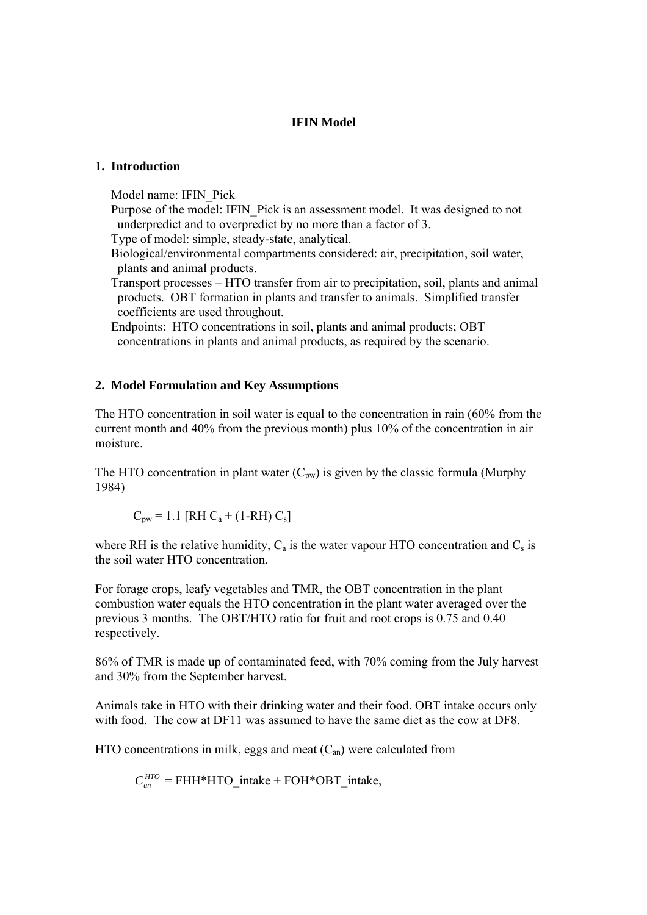## **IFIN Model**

## **1. Introduction**

Model name: IFIN\_Pick

Purpose of the model: IFIN Pick is an assessment model. It was designed to not underpredict and to overpredict by no more than a factor of 3.

Type of model: simple, steady-state, analytical.

 Biological/environmental compartments considered: air, precipitation, soil water, plants and animal products.

 Transport processes – HTO transfer from air to precipitation, soil, plants and animal products. OBT formation in plants and transfer to animals. Simplified transfer coefficients are used throughout.

 Endpoints: HTO concentrations in soil, plants and animal products; OBT concentrations in plants and animal products, as required by the scenario.

## **2. Model Formulation and Key Assumptions**

The HTO concentration in soil water is equal to the concentration in rain (60% from the current month and 40% from the previous month) plus 10% of the concentration in air moisture.

The HTO concentration in plant water  $(C_{pw})$  is given by the classic formula (Murphy 1984)

$$
C_{\text{pw}} = 1.1 \text{ [RH } C_a + (1-RH) C_s \text{]}
$$

where RH is the relative humidity,  $C_a$  is the water vapour HTO concentration and  $C_s$  is the soil water HTO concentration.

For forage crops, leafy vegetables and TMR, the OBT concentration in the plant combustion water equals the HTO concentration in the plant water averaged over the previous 3 months. The OBT/HTO ratio for fruit and root crops is 0.75 and 0.40 respectively.

86% of TMR is made up of contaminated feed, with 70% coming from the July harvest and 30% from the September harvest.

Animals take in HTO with their drinking water and their food. OBT intake occurs only with food. The cow at DF11 was assumed to have the same diet as the cow at DF8.

HTO concentrations in milk, eggs and meat  $(C<sub>an</sub>)$  were calculated from

 $C_m^{HTO}$  = FHH\*HTO\_intake + FOH\*OBT\_intake,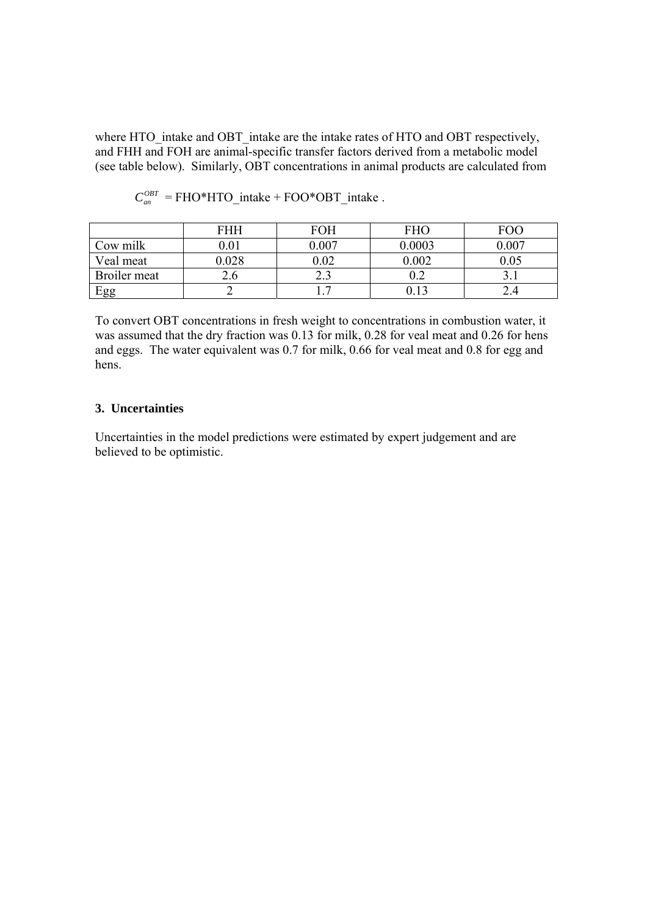where HTO intake and OBT intake are the intake rates of HTO and OBT respectively, and FHH and FOH are animal-specific transfer factors derived from a metabolic model (see table below). Similarly, OBT concentrations in animal products are calculated from

|              | FHH  | FOH      | <b>FHO</b> | FOC  |
|--------------|------|----------|------------|------|
| Cow milk     | 0.01 | 0.007    | 0.0003     | .007 |
| Veal meat    | .028 | $0.02\,$ | 0.002      |      |
| Broiler meat | 2.O  |          | ∪.∠        |      |
| Egg          |      |          |            |      |

 $C_{\text{cm}}^{OBT}$  = FHO\*HTO\_intake + FOO\*OBT\_intake .

To convert OBT concentrations in fresh weight to concentrations in combustion water, it was assumed that the dry fraction was 0.13 for milk, 0.28 for veal meat and 0.26 for hens and eggs. The water equivalent was 0.7 for milk, 0.66 for veal meat and 0.8 for egg and hens.

#### **3. Uncertainties**

Uncertainties in the model predictions were estimated by expert judgement and are believed to be optimistic.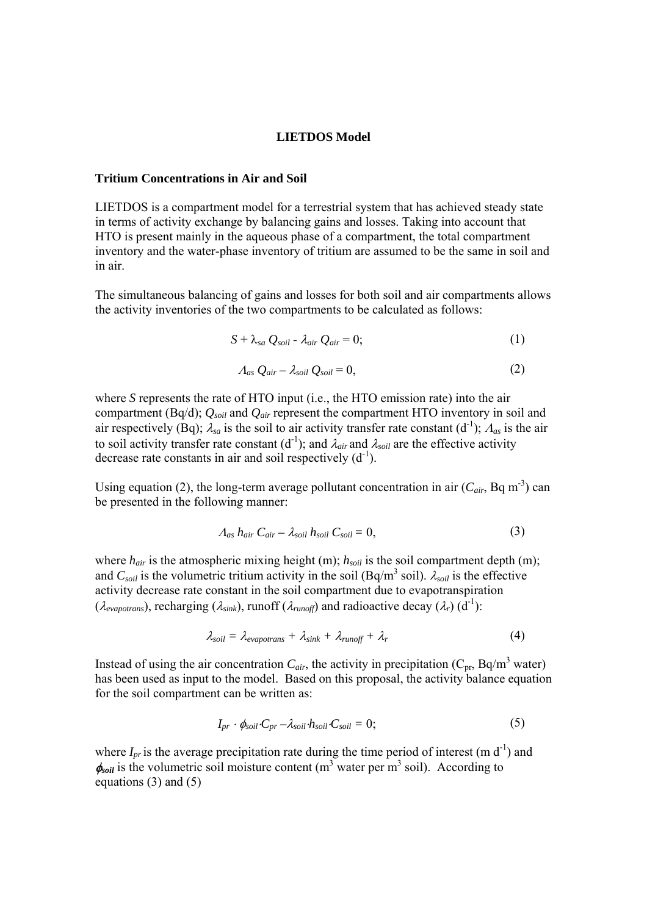#### **LIETDOS Model**

#### **Tritium Concentrations in Air and Soil**

LIETDOS is a compartment model for a terrestrial system that has achieved steady state in terms of activity exchange by balancing gains and losses. Taking into account that HTO is present mainly in the aqueous phase of a compartment, the total compartment inventory and the water-phase inventory of tritium are assumed to be the same in soil and in air.

The simultaneous balancing of gains and losses for both soil and air compartments allows the activity inventories of the two compartments to be calculated as follows:

$$
S + \lambda_{sa} Q_{soil} - \lambda_{air} Q_{air} = 0; \qquad (1)
$$

$$
A_{as} Q_{air} - \lambda_{soil} Q_{soil} = 0, \qquad (2)
$$

where *S* represents the rate of HTO input (i.e., the HTO emission rate) into the air compartment (Bq/d); *Qsoil* and *Qair* represent the compartment HTO inventory in soil and air respectively (Bq);  $\lambda_{sa}$  is the soil to air activity transfer rate constant (d<sup>-1</sup>);  $\Lambda_{as}$  is the air to soil activity transfer rate constant  $(d^{-1})$ ; and  $\lambda_{air}$  and  $\lambda_{soil}$  are the effective activity decrease rate constants in air and soil respectively  $(d^{-1})$ .

Using equation (2), the long-term average pollutant concentration in air  $(C_{air}$ , Bq m<sup>-3</sup>) can be presented in the following manner:

$$
A_{as} h_{air} C_{air} - \lambda_{soil} h_{soil} C_{soil} = 0,
$$
\n(3)

where  $h_{air}$  is the atmospheric mixing height (m);  $h_{soil}$  is the soil compartment depth (m); and  $C_{soil}$  is the volumetric tritium activity in the soil (Bq/m<sup>3</sup> soil).  $\lambda_{soil}$  is the effective activity decrease rate constant in the soil compartment due to evapotranspiration  $(\lambda_{evapor}$ , recharging  $(\lambda_{sink})$ , runoff  $(\lambda_{runoff})$  and radioactive decay  $(\lambda_r)$  (d<sup>-1</sup>):

$$
\lambda_{soil} = \lambda_{evapotrans} + \lambda_{sink} + \lambda_{runoff} + \lambda_r \tag{4}
$$

Instead of using the air concentration  $C_{air}$ , the activity in precipitation ( $C_{pr}$ , Bq/m<sup>3</sup> water) has been used as input to the model. Based on this proposal, the activity balance equation for the soil compartment can be written as:

$$
I_{pr} \cdot \phi_{soil} \cdot C_{pr} - \lambda_{soil} \cdot h_{soil} \cdot C_{soil} = 0; \qquad (5)
$$

where  $I_{pr}$  is the average precipitation rate during the time period of interest (m d<sup>-1</sup>) and  $\phi_{\text{soil}}$  is the volumetric soil moisture content (m<sup>3</sup> water per m<sup>3</sup> soil). According to equations (3) and (5)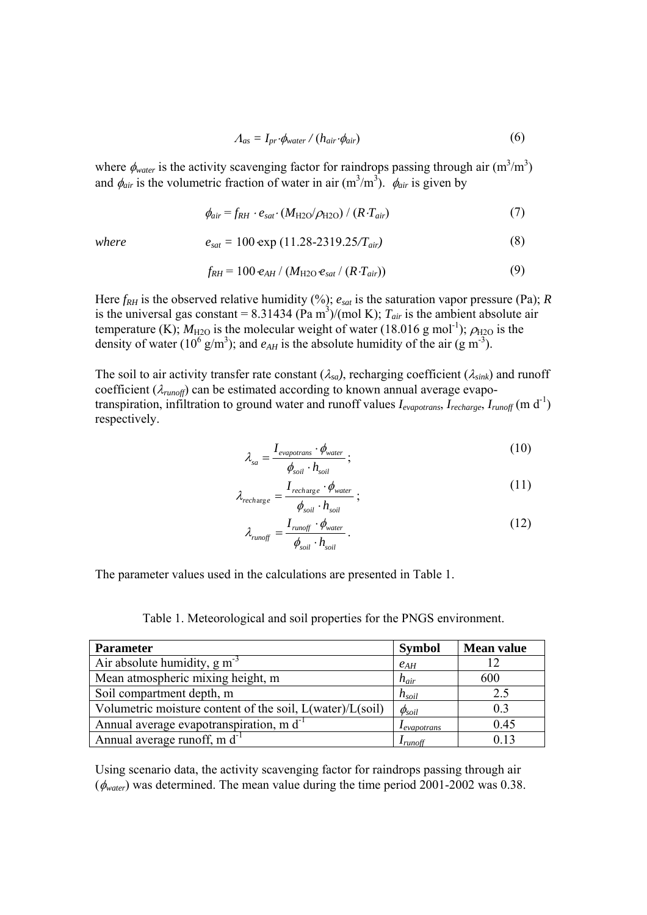$$
A_{as} = I_{pr} \cdot \phi_{water} / (h_{air} \cdot \phi_{air})
$$
 (6)

where  $\phi_{water}$  is the activity scavenging factor for raindrops passing through air  $(m^3/m^3)$ and  $\phi_{air}$  is the volumetric fraction of water in air  $(m^3/m^3)$ .  $\phi_{air}$  is given by

$$
\phi_{air} = f_{RH} \cdot e_{sat} \cdot (M_{\text{H2O}}/\rho_{\text{H2O}}) / (R \cdot T_{air}) \tag{7}
$$

*where* 
$$
e_{sat} = 100 \exp(11.28-2319.25/T_{air})
$$
 (8)

$$
f_{RH} = 100 e_{AH} / (M_{H2O} e_{sat} / (R \cdot T_{air})) \tag{9}
$$

Here  $f_{RH}$  is the observed relative humidity (%);  $e_{sat}$  is the saturation vapor pressure (Pa); *R* is the universal gas constant =  $8.31434$  (Pa m<sup>3</sup>)/(mol K);  $T_{air}$  is the ambient absolute air temperature (K);  $M_{\text{H2O}}$  is the molecular weight of water (18.016 g mol<sup>-1</sup>);  $\rho_{\text{H2O}}$  is the density of water ( $10^6$  g/m<sup>3</sup>); and  $e_{AH}$  is the absolute humidity of the air (g m<sup>-3</sup>).

The soil to air activity transfer rate constant  $(\lambda_{sa})$ , recharging coefficient  $(\lambda_{sink})$  and runoff coefficient  $(\lambda_{\text{runoff}})$  can be estimated according to known annual average evapotranspiration, infiltration to ground water and runoff values  $I_{evapotrans}$ ,  $I_{recharge}$ ,  $I_{runoff}$  (m d<sup>-1</sup>) respectively.

$$
\lambda_{sa} = \frac{I_{evapotrans} \cdot \phi_{water}}{\phi_{soil} \cdot h_{soil}};
$$
\n(10)

$$
\lambda_{recharge} = \frac{I_{recharge} \cdot \phi_{water}}{\phi_{soil} \cdot h_{soil}};
$$
\n(11)

$$
\lambda_{runoff} = \frac{I_{runoff} \cdot \phi_{water}}{\phi_{soil} \cdot h_{soil}}.
$$
\n(12)

The parameter values used in the calculations are presented in Table 1.

Table 1. Meteorological and soil properties for the PNGS environment.

| <b>Parameter</b>                                          | <b>Symbol</b>         | <b>Mean value</b> |
|-----------------------------------------------------------|-----------------------|-------------------|
| Air absolute humidity, $g m3$                             | $e_{AH}$              |                   |
| Mean atmospheric mixing height, m                         | $h_{\alpha i}$        | 600               |
| Soil compartment depth, m                                 | $h_{\textit{soil}}$   | 2.5               |
| Volumetric moisture content of the soil, L(water)/L(soil) | $\phi_{soil}$         | 0.3               |
| Annual average evapotranspiration, m d <sup>-1</sup>      | l evapotrans          | 0.45              |
| Annual average runoff, m d <sup>-1</sup>                  | $\mathbf{I}_{runoff}$ | 0.13              |

Using scenario data, the activity scavenging factor for raindrops passing through air (φ*water*) was determined. The mean value during the time period 2001-2002 was 0.38.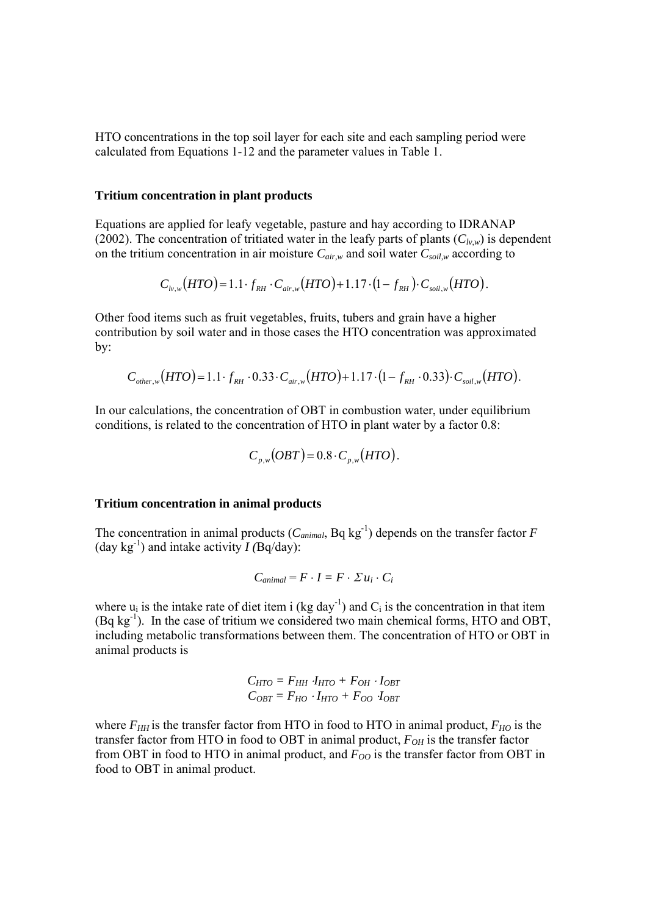HTO concentrations in the top soil layer for each site and each sampling period were calculated from Equations 1-12 and the parameter values in Table 1.

#### **Tritium concentration in plant products**

Equations are applied for leafy vegetable, pasture and hay according to IDRANAP (2002). The concentration of tritiated water in the leafy parts of plants  $(C_{l\nu,w})$  is dependent on the tritium concentration in air moisture  $C_{air,w}$  and soil water  $C_{soil,w}$  according to

$$
C_{h,v}(HTO) = 1.1 \cdot f_{RH} \cdot C_{air,w}(HTO) + 1.17 \cdot (1 - f_{RH}) \cdot C_{soil,w}(HTO).
$$

Other food items such as fruit vegetables, fruits, tubers and grain have a higher contribution by soil water and in those cases the HTO concentration was approximated by:

$$
C_{other,w}(HTO) = 1.1 \cdot f_{RH} \cdot 0.33 \cdot C_{air,w}(HTO) + 1.17 \cdot (1 - f_{RH} \cdot 0.33) \cdot C_{soil,w}(HTO).
$$

In our calculations, the concentration of OBT in combustion water, under equilibrium conditions, is related to the concentration of HTO in plant water by a factor 0.8:

$$
C_{p,w}(OBT)=0.8\cdot C_{p,w}(HTO).
$$

#### **Tritium concentration in animal products**

The concentration in animal products  $(C_{animal}$ , Bq kg<sup>-1</sup>) depends on the transfer factor *F* (day kg<sup>-1</sup>) and intake activity  $I(Bq/day)$ :

$$
C_{animal} = F \cdot I = F \cdot \Sigma u_i \cdot C_i
$$

where  $u_i$  is the intake rate of diet item i (kg day<sup>-1</sup>) and  $C_i$  is the concentration in that item  $(Bq \text{ kg}^{-1})$ . In the case of tritium we considered two main chemical forms, HTO and OBT, including metabolic transformations between them. The concentration of HTO or OBT in animal products is

$$
C_{HTO} = F_{HH} I_{HTO} + F_{OH} I_{OBT}
$$

$$
C_{OBT} = F_{HO} I_{HTO} + F_{OO} I_{OBT}
$$

where  $F_{HH}$  is the transfer factor from HTO in food to HTO in animal product,  $F_{HO}$  is the transfer factor from HTO in food to OBT in animal product,  $F_{OH}$  is the transfer factor from OBT in food to HTO in animal product, and  $F_{OO}$  is the transfer factor from OBT in food to OBT in animal product.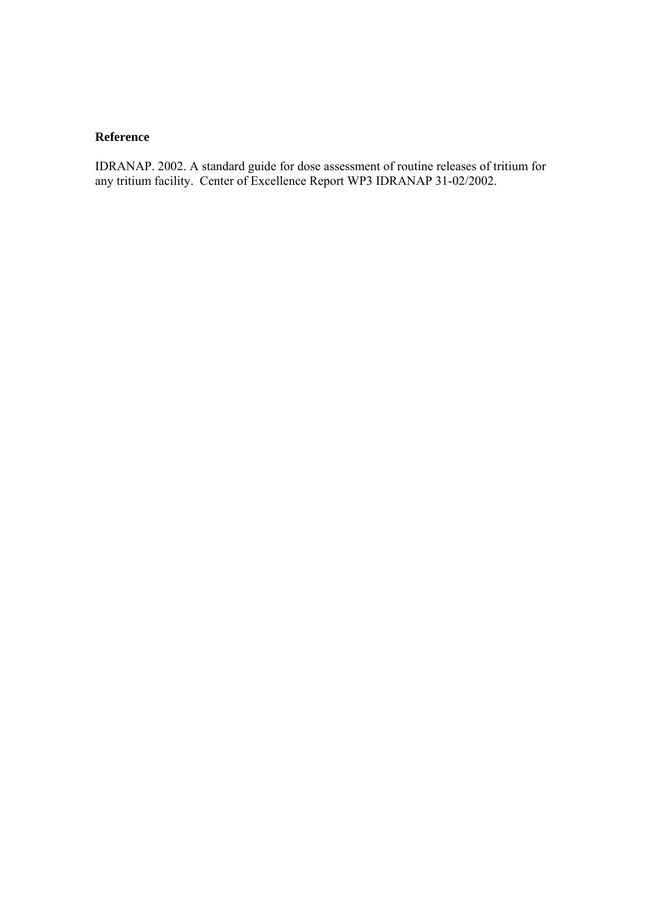## **Reference**

IDRANAP. 2002. A standard guide for dose assessment of routine releases of tritium for any tritium facility. Center of Excellence Report WP3 IDRANAP 31-02/2002.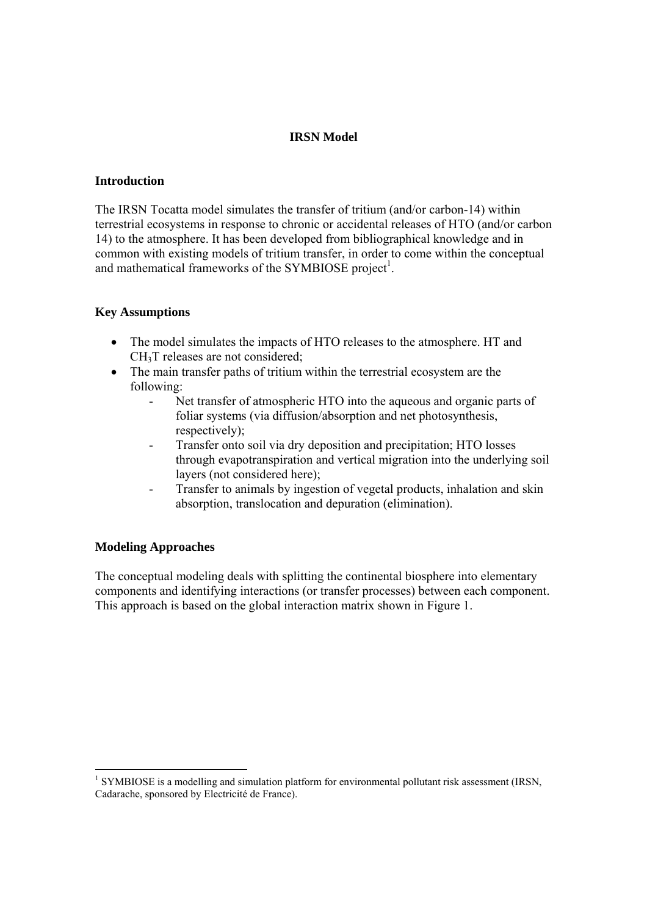## **IRSN Model**

#### **Introduction**

The IRSN Tocatta model simulates the transfer of tritium (and/or carbon-14) within terrestrial ecosystems in response to chronic or accidental releases of HTO (and/or carbon 14) to the atmosphere. It has been developed from bibliographical knowledge and in common with existing models of tritium transfer, in order to come within the conceptual and mathematical frameworks of the SYMBIOSE project<sup>1</sup>.

## **Key Assumptions**

- The model simulates the impacts of HTO releases to the atmosphere. HT and CH3T releases are not considered;
- The main transfer paths of tritium within the terrestrial ecosystem are the following:
	- Net transfer of atmospheric HTO into the aqueous and organic parts of foliar systems (via diffusion/absorption and net photosynthesis, respectively);
	- Transfer onto soil via dry deposition and precipitation; HTO losses through evapotranspiration and vertical migration into the underlying soil layers (not considered here);
	- Transfer to animals by ingestion of vegetal products, inhalation and skin absorption, translocation and depuration (elimination).

## **Modeling Approaches**

The conceptual modeling deals with splitting the continental biosphere into elementary components and identifying interactions (or transfer processes) between each component. This approach is based on the global interaction matrix shown in Figure 1.

<sup>&</sup>lt;sup>1</sup> SYMBIOSE is a modelling and simulation platform for environmental pollutant risk assessment (IRSN, Cadarache, sponsored by Electricité de France).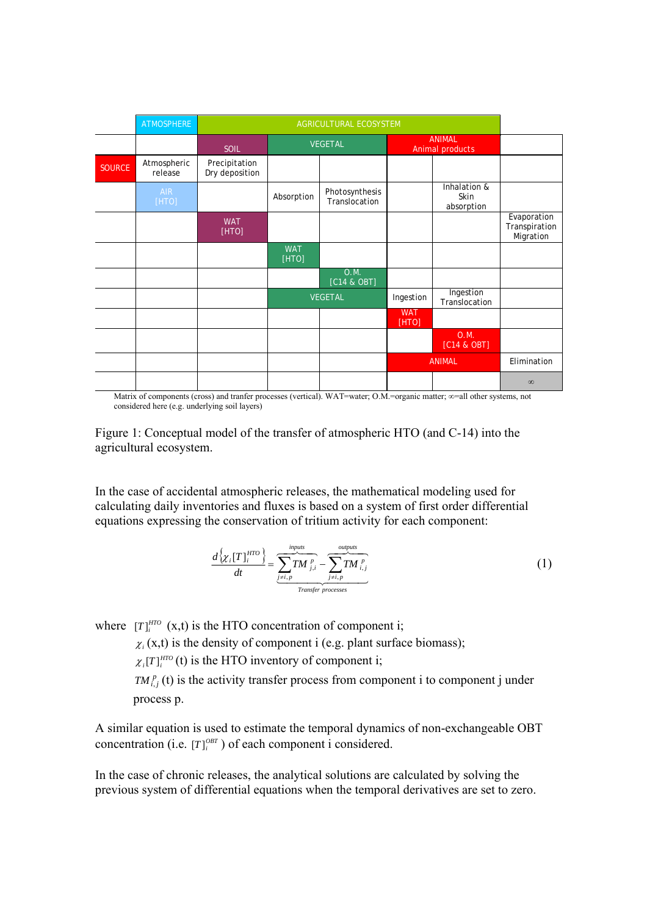|               | <b>ATMOSPHERE</b>      |                                 | AGRICULTURAL ECOSYSTEM |                                 |                     |                                    |                                           |
|---------------|------------------------|---------------------------------|------------------------|---------------------------------|---------------------|------------------------------------|-------------------------------------------|
|               |                        | <b>SOIL</b>                     |                        | <b>VEGETAL</b>                  |                     | <b>ANIMAL</b><br>Animal products   |                                           |
| <b>SOURCE</b> | Atmospheric<br>release | Precipitation<br>Dry deposition |                        |                                 |                     |                                    |                                           |
|               | <b>AIR</b><br>[HTO]    |                                 | Absorption             | Photosynthesis<br>Translocation |                     | Inhalation &<br>Skin<br>absorption |                                           |
|               |                        | <b>WAT</b><br>[HTO]             |                        |                                 |                     |                                    | Evaporation<br>Transpiration<br>Migration |
|               |                        |                                 | <b>WAT</b><br>[HTO]    |                                 |                     |                                    |                                           |
|               |                        |                                 |                        | 0.M.<br>[C14 & OBT]             |                     |                                    |                                           |
|               |                        |                                 |                        | <b>VEGETAL</b>                  | Ingestion           | Ingestion<br>Translocation         |                                           |
|               |                        |                                 |                        |                                 | <b>WAT</b><br>[HTO] |                                    |                                           |
|               |                        |                                 |                        |                                 |                     | 0.M.<br>[C14 & OBT]                |                                           |
|               |                        |                                 |                        |                                 |                     | <b>ANIMAL</b>                      | Elimination                               |
|               |                        |                                 |                        |                                 |                     |                                    | $\infty$                                  |

Matrix of components (cross) and tranfer processes (vertical). WAT=water; O.M.=organic matter; ∞=all other systems, not considered here (e.g. underlying soil layers)

Figure 1: Conceptual model of the transfer of atmospheric HTO (and C-14) into the agricultural ecosystem.

In the case of accidental atmospheric releases, the mathematical modeling used for calculating daily inventories and fluxes is based on a system of first order differential equations expressing the conservation of tritium activity for each component:

$$
\frac{d\left\{\chi_i[T]_i^{HTO}\right\}}{dt} = \underbrace{\sum_{j\neq i,p}^{inputs} TM_{j,i}^p}_{Transfer\ processes} - \underbrace{\sum_{j\neq i,p}^{outputs} TM_{i,j}^p}_{Pcoresess}
$$
 (1)

where  $[T]$ <sup>*HTO*</sup>  $(x,t)$  is the HTO concentration of component i;

 $\chi_i(x,t)$  is the density of component i (e.g. plant surface biomass);

 $\chi_i[T]_i^{HTO}$  (t) is the HTO inventory of component i;

 $TM_{i,j}^p$  (t) is the activity transfer process from component i to component j under process p.

A similar equation is used to estimate the temporal dynamics of non-exchangeable OBT concentration (i.e.  $[T]$ <sup> $(BT)$ </sup>) of each component i considered.

In the case of chronic releases, the analytical solutions are calculated by solving the previous system of differential equations when the temporal derivatives are set to zero.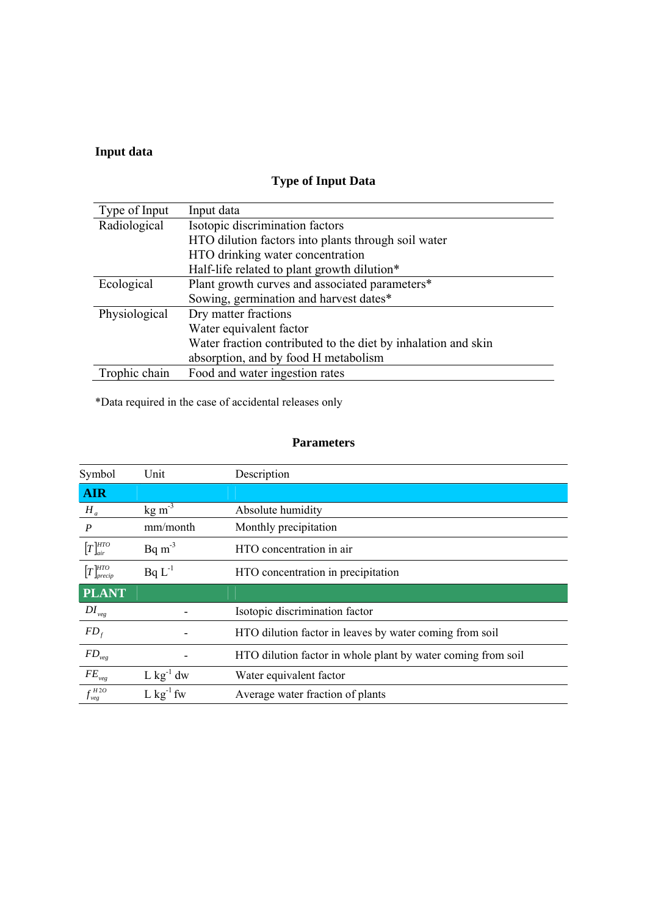# **Input data**

| Type of Input | Input data                                                    |
|---------------|---------------------------------------------------------------|
| Radiological  | Isotopic discrimination factors                               |
|               | HTO dilution factors into plants through soil water           |
|               | HTO drinking water concentration                              |
|               | Half-life related to plant growth dilution*                   |
| Ecological    | Plant growth curves and associated parameters*                |
|               | Sowing, germination and harvest dates*                        |
| Physiological | Dry matter fractions                                          |
|               | Water equivalent factor                                       |
|               | Water fraction contributed to the diet by inhalation and skin |
|               | absorption, and by food H metabolism                          |
| Trophic chain | Food and water ingestion rates                                |

# **Type of Input Data**

\*Data required in the case of accidental releases only

# **Parameters**

| Symbol                             | Unit                    | Description                                                  |
|------------------------------------|-------------------------|--------------------------------------------------------------|
| <b>AIR</b>                         |                         |                                                              |
| $H_a$                              | $kg \, \text{m}^{-3}$   | Absolute humidity                                            |
| $\boldsymbol{P}$                   | mm/month                | Monthly precipitation                                        |
| $[T]_{air}^{HTO}$                  | $Bq \, \text{m}^{-3}$   | HTO concentration in air                                     |
| $[T]_{\text{precip}}^{\text{HTO}}$ | $BqL^{-1}$              | HTO concentration in precipitation                           |
| <b>PLANT</b>                       |                         |                                                              |
| $DI_{\nu eg}$                      |                         | Isotopic discrimination factor                               |
| $FD_{f}$                           |                         | HTO dilution factor in leaves by water coming from soil      |
| $FD_{\nu eg}$                      |                         | HTO dilution factor in whole plant by water coming from soil |
| $FE_{veg}$                         | $L$ kg <sup>-1</sup> dw | Water equivalent factor                                      |
| $f_{\text{veg}}^{\text{H2O}}$      | $L$ kg <sup>-1</sup> fw | Average water fraction of plants                             |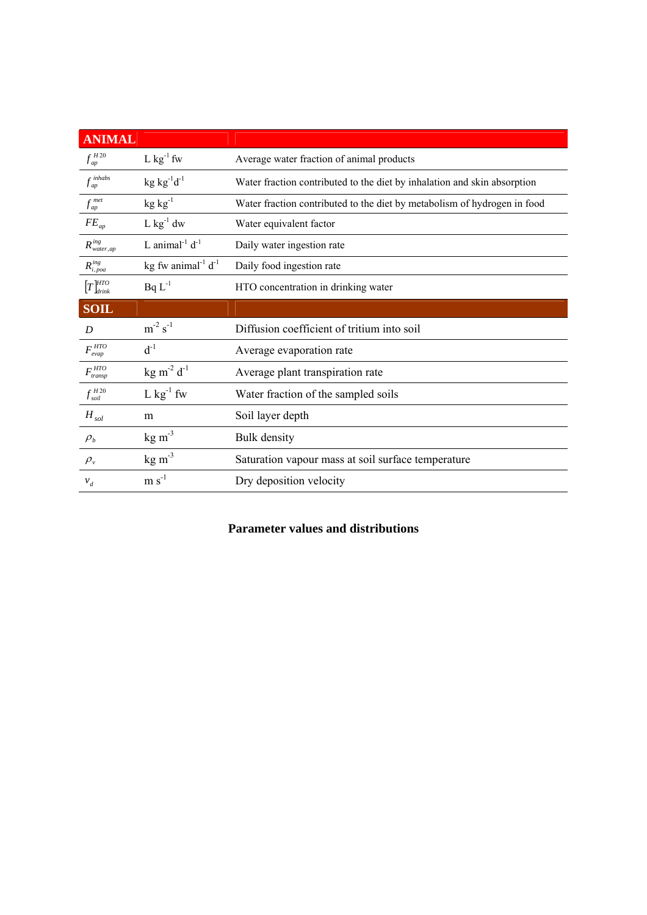| <b>ANIMAL</b>                      |                                       |                                                                          |
|------------------------------------|---------------------------------------|--------------------------------------------------------------------------|
| $f_{ap}^{H20}$                     | L $kg^{-1}$ fw                        | Average water fraction of animal products                                |
| $f_{ap}^{inhabs}$                  | $kg$ kg <sup>-1</sup> d <sup>-1</sup> | Water fraction contributed to the diet by inhalation and skin absorption |
| $f_{ap}^{met}$                     | $kg kg^{-1}$                          | Water fraction contributed to the diet by metabolism of hydrogen in food |
| $FE_{ap}$                          | $L$ kg <sup>-1</sup> dw               | Water equivalent factor                                                  |
| $R^{ing}_{water, ap}$              | L animal $^{-1}$ d $^{-1}$            | Daily water ingestion rate                                               |
| $R_{i,poa}^{ing}$                  | kg fw animal $^{-1}$ d $^{-1}$        | Daily food ingestion rate                                                |
| $[T]_{drink}^{HTO}$                | $BqL^{-1}$                            | HTO concentration in drinking water                                      |
| <b>SOIL</b>                        |                                       |                                                                          |
| D                                  | $m^{-2} s^{-1}$                       | Diffusion coefficient of tritium into soil                               |
| $F_{evap}^{HTO}$                   | $d^{-1}$                              | Average evaporation rate                                                 |
| $F_{\text{transp}}^{\text{HTO}}$   | $kg \, m^{-2} \, d^{-1}$              | Average plant transpiration rate                                         |
| $f_{\textit{soil}}^{\textit{H20}}$ | $L$ kg <sup>-1</sup> fw               | Water fraction of the sampled soils                                      |
| $H_{sol}$                          | m                                     | Soil layer depth                                                         |
| $\rho_{b}$                         | $kg \, \text{m}^{-3}$                 | Bulk density                                                             |
| $\rho_{v}$                         | $kg \, \text{m}^{-3}$                 | Saturation vapour mass at soil surface temperature                       |
| $v_d$                              | $m s-1$                               | Dry deposition velocity                                                  |

# **Parameter values and distributions**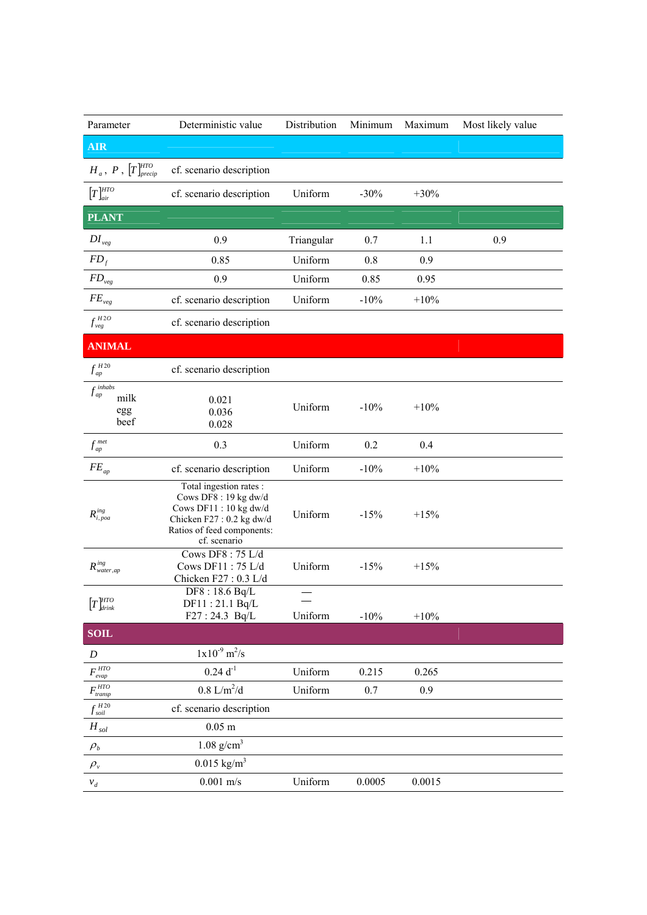| Parameter                                                   | Deterministic value                                                                                                                                | Distribution | Minimum | Maximum | Most likely value |
|-------------------------------------------------------------|----------------------------------------------------------------------------------------------------------------------------------------------------|--------------|---------|---------|-------------------|
| <b>AIR</b>                                                  |                                                                                                                                                    |              |         |         |                   |
| $H_a$ , $P$ , $\left[T\right]_{\text{precip}}^{\text{HTO}}$ | cf. scenario description                                                                                                                           |              |         |         |                   |
| $[T]^{HTO}_{air}$                                           | cf. scenario description                                                                                                                           | Uniform      | $-30%$  | $+30%$  |                   |
| <b>PLANT</b>                                                |                                                                                                                                                    |              |         |         |                   |
| $DI_{\nu eg}$                                               | 0.9                                                                                                                                                | Triangular   | 0.7     | 1.1     | 0.9               |
| $FD_f$                                                      | 0.85                                                                                                                                               | Uniform      | 0.8     | 0.9     |                   |
| ${\cal FD}_{\scriptscriptstyle{veg}}$                       | 0.9                                                                                                                                                | Uniform      | 0.85    | 0.95    |                   |
| $FE_{\rm \scriptscriptstyle veg}$                           | cf. scenario description                                                                                                                           | Uniform      | $-10%$  | $+10%$  |                   |
| $f_{\rm \it \nu eg}^{\rm \it H2O}$                          | cf. scenario description                                                                                                                           |              |         |         |                   |
| <b>ANIMAL</b>                                               |                                                                                                                                                    |              |         |         |                   |
| $f_{\mathit{ap}}^{\mathit{H20}}$                            | cf. scenario description                                                                                                                           |              |         |         |                   |
| $f_{\mathit{ap}}^{\mathit{inhabs}}$<br>milk<br>egg<br>beef  | 0.021<br>0.036<br>0.028                                                                                                                            | Uniform      | $-10%$  | $+10%$  |                   |
| $f_{ap}^{\textit{met}}$                                     | 0.3                                                                                                                                                | Uniform      | 0.2     | 0.4     |                   |
| $FE_{ap}$                                                   | cf. scenario description                                                                                                                           | Uniform      | $-10%$  | $+10%$  |                   |
| $R^{ing}_{i,poa}$                                           | Total ingestion rates :<br>Cows DF8 : 19 kg dw/d<br>Cows DF11:10 kg dw/d<br>Chicken F27: 0.2 kg dw/d<br>Ratios of feed components:<br>cf. scenario | Uniform      | $-15%$  | $+15%$  |                   |
| $R^{ing}_{water,ap}$                                        | Cows DF8: 75 L/d<br>Cows DF11: 75 L/d<br>Chicken F27: 0.3 L/d                                                                                      | Uniform      | $-15%$  | $+15%$  |                   |
| $\left[T\right]^{HTO}_{drink}$                              | DF8:18.6 Bq/L<br>DF11:21.1 Bq/L<br>F27:24.3 Bq/L                                                                                                   | Uniform      | $-10\%$ | $+10\%$ |                   |
| <b>SOIL</b>                                                 |                                                                                                                                                    |              |         |         |                   |
| D                                                           | $1x10^{-9}$ m <sup>2</sup> /s                                                                                                                      |              |         |         |                   |
| $F_{evap}^{HTO}$                                            | $0.24 d^{-1}$                                                                                                                                      | Uniform      | 0.215   | 0.265   |                   |
| $F_{\mathit{transp}}^{\mathit{HTO}}$                        | $0.8~\mathrm{L/m^2/d}$                                                                                                                             | Uniform      | 0.7     | 0.9     |                   |
| $f_{\mathit{soil}}^{\mathit{H20}}$                          | cf. scenario description                                                                                                                           |              |         |         |                   |
| $\boldsymbol{H}_{sol}$                                      | $0.05$ m                                                                                                                                           |              |         |         |                   |
| $\rho_{\scriptscriptstyle b}$                               | $1.08$ g/cm <sup>3</sup>                                                                                                                           |              |         |         |                   |
| $\rho_{v}$                                                  | $0.015$ kg/m <sup>3</sup>                                                                                                                          |              |         |         |                   |
| $v_d$                                                       | $0.001$ m/s                                                                                                                                        | Uniform      | 0.0005  | 0.0015  |                   |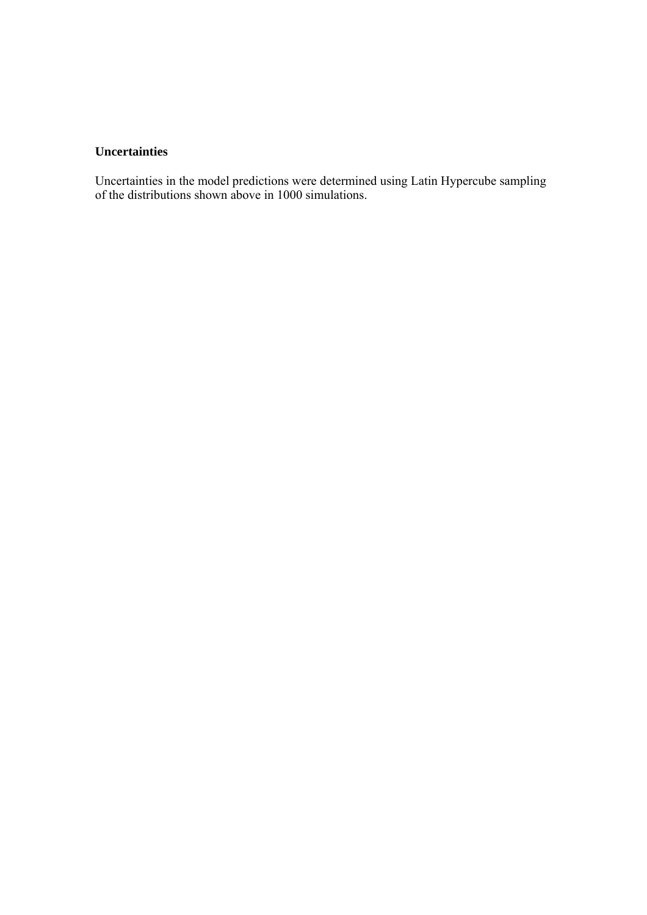## **Uncertainties**

Uncertainties in the model predictions were determined using Latin Hypercube sampling of the distributions shown above in 1000 simulations.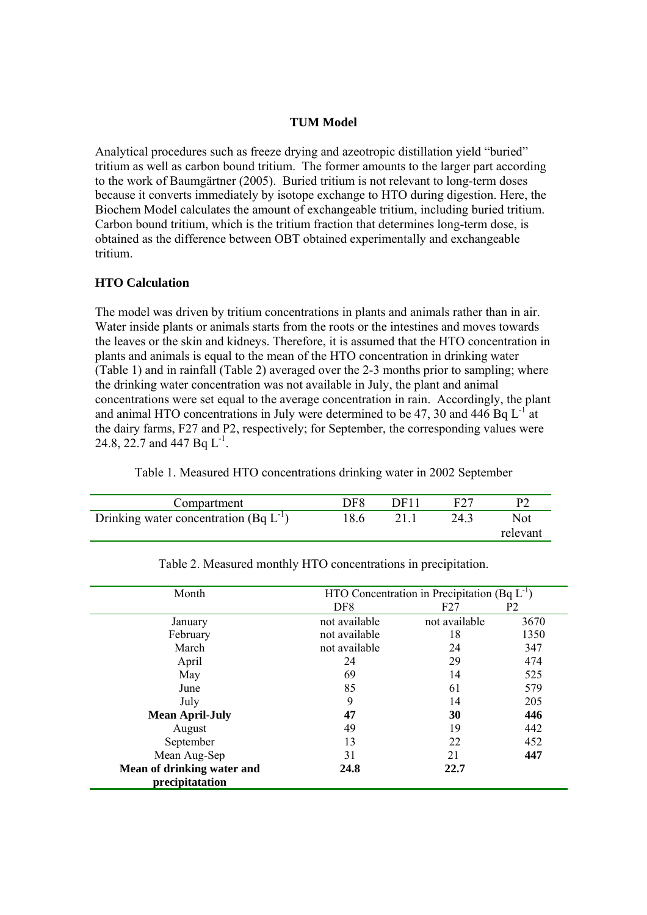## **TUM Model**

Analytical procedures such as freeze drying and azeotropic distillation yield "buried" tritium as well as carbon bound tritium. The former amounts to the larger part according to the work of Baumgärtner (2005). Buried tritium is not relevant to long-term doses because it converts immediately by isotope exchange to HTO during digestion. Here, the Biochem Model calculates the amount of exchangeable tritium, including buried tritium. Carbon bound tritium, which is the tritium fraction that determines long-term dose, is obtained as the difference between OBT obtained experimentally and exchangeable tritium.

## **HTO Calculation**

The model was driven by tritium concentrations in plants and animals rather than in air. Water inside plants or animals starts from the roots or the intestines and moves towards the leaves or the skin and kidneys. Therefore, it is assumed that the HTO concentration in plants and animals is equal to the mean of the HTO concentration in drinking water (Table 1) and in rainfall (Table 2) averaged over the 2-3 months prior to sampling; where the drinking water concentration was not available in July, the plant and animal concentrations were set equal to the average concentration in rain. Accordingly, the plant and animal HTO concentrations in July were determined to be 47, 30 and 446 Bq  $L^{-1}$  at the dairy farms, F27 and P2, respectively; for September, the corresponding values were 24.8, 22.7 and 447 Bq  $L^{-1}$ .

| Compartment                                 | DF8  | DF <sub>11</sub> | E27  |                 |
|---------------------------------------------|------|------------------|------|-----------------|
| Drinking water concentration (Bq $L^{-1}$ ) | 18.6 |                  | 24.3 | Not<br>relevant |

Table 1. Measured HTO concentrations drinking water in 2002 September

| Month                                         | HTO Concentration in Precipitation (Bq $L^{-1}$ ) |               |                |  |  |
|-----------------------------------------------|---------------------------------------------------|---------------|----------------|--|--|
|                                               | DF <sub>8</sub>                                   | F27           | P <sub>2</sub> |  |  |
| January                                       | not available                                     | not available | 3670           |  |  |
| February                                      | not available                                     | 18            | 1350           |  |  |
| March                                         | not available                                     | 24            | 347            |  |  |
| April                                         | 24                                                | 29            | 474            |  |  |
| May                                           | 69                                                | 14            | 525            |  |  |
| June                                          | 85                                                | 61            | 579            |  |  |
| July                                          | 9                                                 | 14            | 205            |  |  |
| <b>Mean April-July</b>                        | 47                                                | 30            | 446            |  |  |
| August                                        | 49                                                | 19            | 442            |  |  |
| September                                     | 13                                                | 22            | 452            |  |  |
| Mean Aug-Sep                                  | 31                                                | 21            | 447            |  |  |
| Mean of drinking water and<br>precipitatation | 24.8                                              | 22.7          |                |  |  |

Table 2. Measured monthly HTO concentrations in precipitation.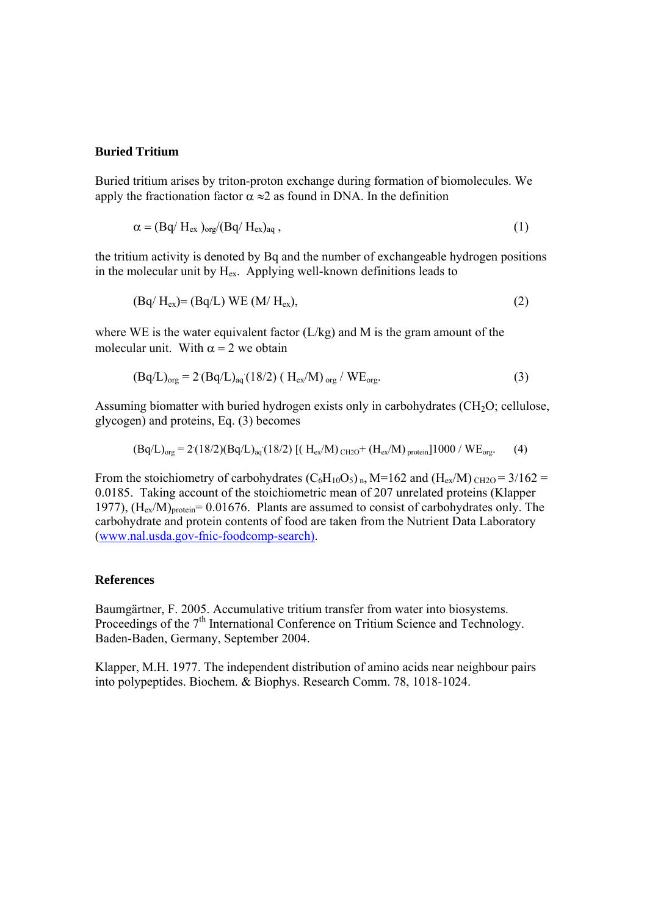## **Buried Tritium**

Buried tritium arises by triton-proton exchange during formation of biomolecules. We apply the fractionation factor  $\alpha \approx 2$  as found in DNA. In the definition

$$
\alpha = (Bq/H_{ex})_{org}/(Bq/H_{ex})_{aq}, \qquad (1)
$$

the tritium activity is denoted by Bq and the number of exchangeable hydrogen positions in the molecular unit by  $H_{ex}$ . Applying well-known definitions leads to

$$
(Bq/H_{ex}) = (Bq/L) WE (M/H_{ex}), \qquad (2)
$$

where WE is the water equivalent factor (L/kg) and M is the gram amount of the molecular unit. With  $\alpha = 2$  we obtain

$$
(Bq/L)_{org} = 2 (Bq/L)_{aq} (18/2) (H_{ex}/M)_{org} / WE_{org}.
$$
 (3)

Assuming biomatter with buried hydrogen exists only in carbohydrates  $(CH<sub>2</sub>O;$  cellulose, glycogen) and proteins, Eq. (3) becomes

$$
(Bq/L)_{org} = 2(18/2)(Bq/L)_{aq}(18/2) \left[ (H_{ex}/M)_{CH2O} + (H_{ex}/M)_{protein} \right] 1000 / WE_{org}. \tag{4}
$$

From the stoichiometry of carbohydrates  $(C_6H_{10}O_5)$ <sub>n</sub>, M=162 and  $(H_{ex}/M)$ <sub>CH2O</sub> = 3/162 = 0.0185. Taking account of the stoichiometric mean of 207 unrelated proteins (Klapper 1977),  $(H_{ex}/M)_{\text{protein}} = 0.01676$ . Plants are assumed to consist of carbohydrates only. The carbohydrate and protein contents of food are taken from the Nutrient Data Laboratory (www.nal.usda.gov-fnic-foodcomp-search).

#### **References**

Baumgärtner, F. 2005. Accumulative tritium transfer from water into biosystems. Proceedings of the 7<sup>th</sup> International Conference on Tritium Science and Technology. Baden-Baden, Germany, September 2004.

Klapper, M.H. 1977. The independent distribution of amino acids near neighbour pairs into polypeptides. Biochem. & Biophys. Research Comm. 78, 1018-1024.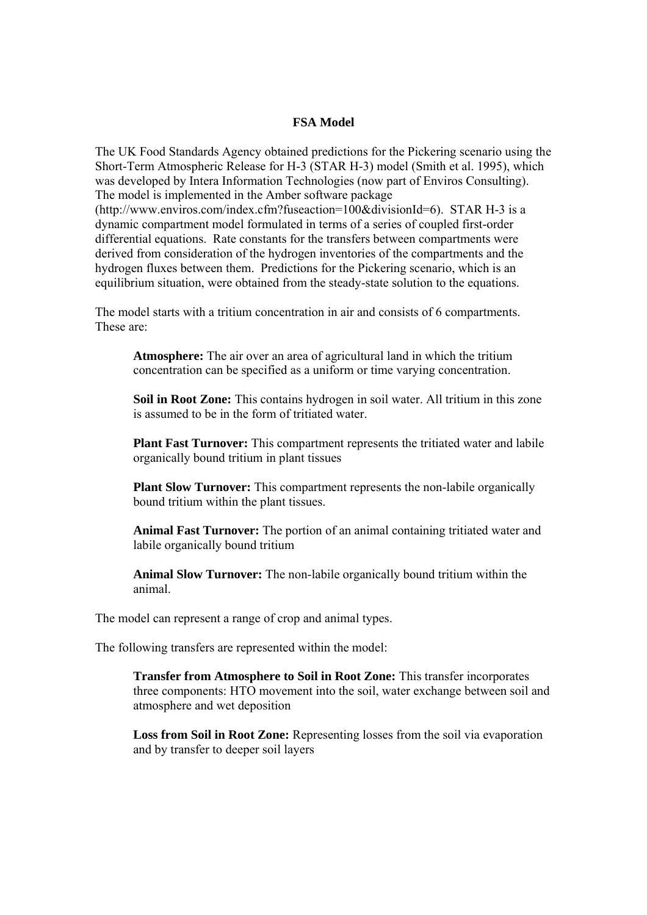## **FSA Model**

The UK Food Standards Agency obtained predictions for the Pickering scenario using the Short-Term Atmospheric Release for H-3 (STAR H-3) model (Smith et al. 1995), which was developed by Intera Information Technologies (now part of Enviros Consulting). The model is implemented in the Amber software package (http://www.enviros.com/index.cfm?fuseaction=100&divisionId=6). STAR H-3 is a dynamic compartment model formulated in terms of a series of coupled first-order differential equations. Rate constants for the transfers between compartments were derived from consideration of the hydrogen inventories of the compartments and the hydrogen fluxes between them. Predictions for the Pickering scenario, which is an equilibrium situation, were obtained from the steady-state solution to the equations.

The model starts with a tritium concentration in air and consists of 6 compartments. These are:

**Atmosphere:** The air over an area of agricultural land in which the tritium concentration can be specified as a uniform or time varying concentration.

**Soil in Root Zone:** This contains hydrogen in soil water. All tritium in this zone is assumed to be in the form of tritiated water.

**Plant Fast Turnover:** This compartment represents the tritiated water and labile organically bound tritium in plant tissues

**Plant Slow Turnover:** This compartment represents the non-labile organically bound tritium within the plant tissues.

**Animal Fast Turnover:** The portion of an animal containing tritiated water and labile organically bound tritium

**Animal Slow Turnover:** The non-labile organically bound tritium within the animal.

The model can represent a range of crop and animal types.

The following transfers are represented within the model:

**Transfer from Atmosphere to Soil in Root Zone:** This transfer incorporates three components: HTO movement into the soil, water exchange between soil and atmosphere and wet deposition

**Loss from Soil in Root Zone:** Representing losses from the soil via evaporation and by transfer to deeper soil layers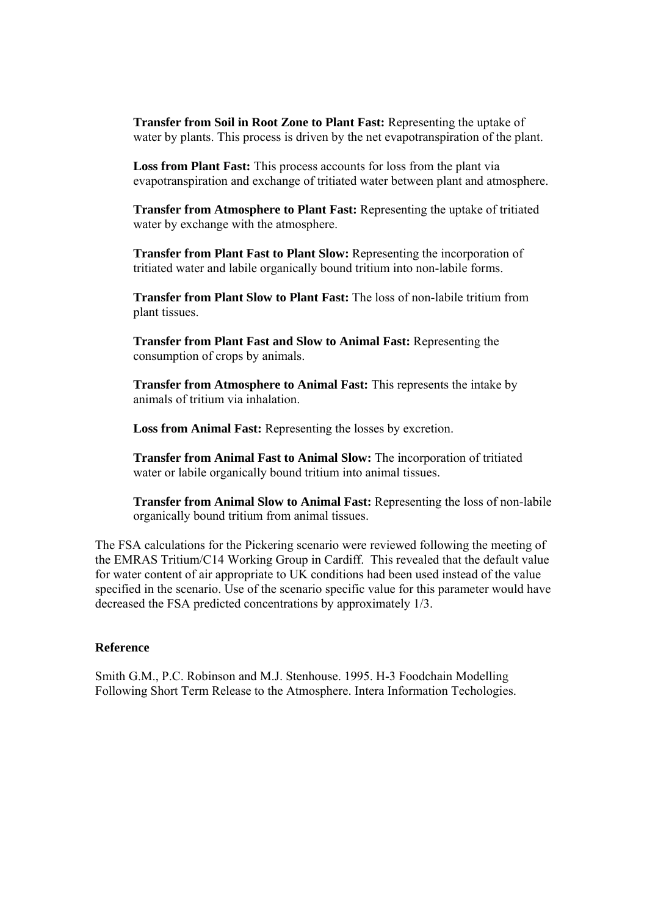**Transfer from Soil in Root Zone to Plant Fast:** Representing the uptake of water by plants. This process is driven by the net evapotranspiration of the plant.

**Loss from Plant Fast:** This process accounts for loss from the plant via evapotranspiration and exchange of tritiated water between plant and atmosphere.

**Transfer from Atmosphere to Plant Fast:** Representing the uptake of tritiated water by exchange with the atmosphere.

**Transfer from Plant Fast to Plant Slow:** Representing the incorporation of tritiated water and labile organically bound tritium into non-labile forms.

**Transfer from Plant Slow to Plant Fast:** The loss of non-labile tritium from plant tissues.

**Transfer from Plant Fast and Slow to Animal Fast:** Representing the consumption of crops by animals.

**Transfer from Atmosphere to Animal Fast:** This represents the intake by animals of tritium via inhalation.

**Loss from Animal Fast:** Representing the losses by excretion.

**Transfer from Animal Fast to Animal Slow:** The incorporation of tritiated water or labile organically bound tritium into animal tissues.

**Transfer from Animal Slow to Animal Fast:** Representing the loss of non-labile organically bound tritium from animal tissues.

The FSA calculations for the Pickering scenario were reviewed following the meeting of the EMRAS Tritium/C14 Working Group in Cardiff. This revealed that the default value for water content of air appropriate to UK conditions had been used instead of the value specified in the scenario. Use of the scenario specific value for this parameter would have decreased the FSA predicted concentrations by approximately 1/3.

## **Reference**

Smith G.M., P.C. Robinson and M.J. Stenhouse. 1995. H-3 Foodchain Modelling Following Short Term Release to the Atmosphere. Intera Information Techologies.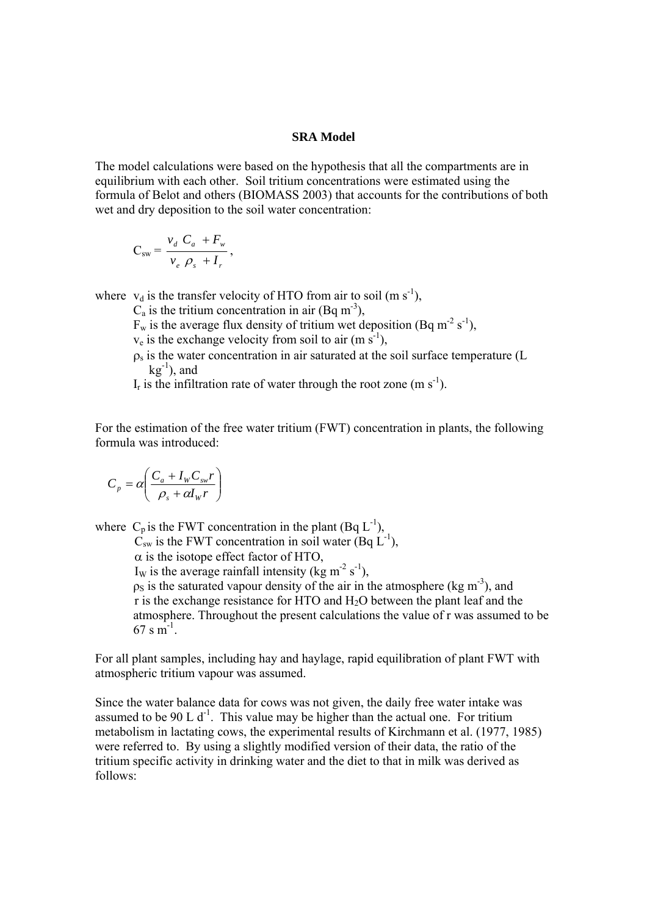#### **SRA Model**

The model calculations were based on the hypothesis that all the compartments are in equilibrium with each other. Soil tritium concentrations were estimated using the formula of Belot and others (BIOMASS 2003) that accounts for the contributions of both wet and dry deposition to the soil water concentration:

$$
C_{sw} = \frac{v_d C_a + F_w}{v_e \rho_s + I_r},
$$

where  $v_d$  is the transfer velocity of HTO from air to soil (m s<sup>-1</sup>),

 $C_a$  is the tritium concentration in air (Bq m<sup>-3</sup>),

 $F_w$  is the average flux density of tritium wet deposition (Bq m<sup>-2</sup> s<sup>-1</sup>),

 $v_e$  is the exchange velocity from soil to air (m s<sup>-1</sup>),

 $\rho_s$  is the water concentration in air saturated at the soil surface temperature (L  $kg^{-1}$ ), and

 $I_r$  is the infiltration rate of water through the root zone (m s<sup>-1</sup>).

For the estimation of the free water tritium (FWT) concentration in plants, the following formula was introduced:

$$
C_p = \alpha \left( \frac{C_a + I_w C_{sw} r}{\rho_s + \alpha I_w r} \right)
$$

where  $C_p$  is the FWT concentration in the plant (Bq  $L^{-1}$ ),

 $\overrightarrow{C}_{sw}$  is the FWT concentration in soil water (Bq  $\overrightarrow{L}^{-1}$ ),

 $\alpha$  is the isotope effect factor of HTO,

I<sub>W</sub> is the average rainfall intensity (kg m<sup>-2</sup> s<sup>-1</sup>).

 $\rho_S$  is the saturated vapour density of the air in the atmosphere (kg m<sup>-3</sup>), and r is the exchange resistance for HTO and H2O between the plant leaf and the atmosphere. Throughout the present calculations the value of r was assumed to be  $67 \text{ s m}^{-1}$ .

For all plant samples, including hay and haylage, rapid equilibration of plant FWT with atmospheric tritium vapour was assumed.

Since the water balance data for cows was not given, the daily free water intake was assumed to be 90 L  $d^{-1}$ . This value may be higher than the actual one. For tritium metabolism in lactating cows, the experimental results of Kirchmann et al. (1977, 1985) were referred to. By using a slightly modified version of their data, the ratio of the tritium specific activity in drinking water and the diet to that in milk was derived as follows: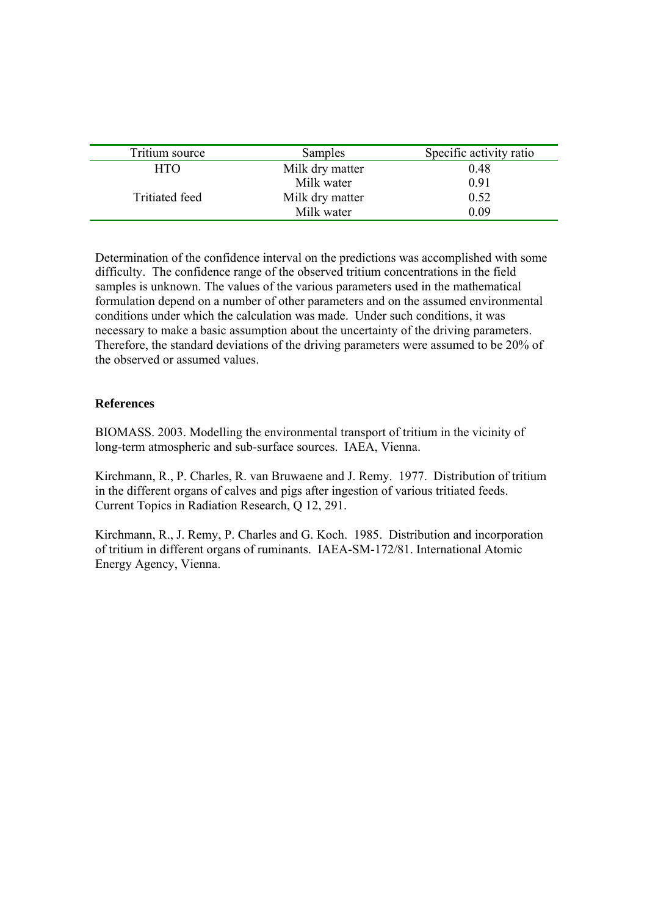| Tritium source        | Samples         | Specific activity ratio |
|-----------------------|-----------------|-------------------------|
| <b>HTO</b>            | Milk dry matter | 0.48                    |
|                       | Milk water      | 0.91                    |
| <b>Tritiated feed</b> | Milk dry matter | 0.52                    |
|                       | Milk water      | 0.09                    |

Determination of the confidence interval on the predictions was accomplished with some difficulty. The confidence range of the observed tritium concentrations in the field samples is unknown. The values of the various parameters used in the mathematical formulation depend on a number of other parameters and on the assumed environmental conditions under which the calculation was made. Under such conditions, it was necessary to make a basic assumption about the uncertainty of the driving parameters. Therefore, the standard deviations of the driving parameters were assumed to be 20% of the observed or assumed values.

## **References**

BIOMASS. 2003. Modelling the environmental transport of tritium in the vicinity of long-term atmospheric and sub-surface sources. IAEA, Vienna.

Kirchmann, R., P. Charles, R. van Bruwaene and J. Remy. 1977. Distribution of tritium in the different organs of calves and pigs after ingestion of various tritiated feeds. Current Topics in Radiation Research, Q 12, 291.

Kirchmann, R., J. Remy, P. Charles and G. Koch. 1985. Distribution and incorporation of tritium in different organs of ruminants. IAEA-SM-172/81. International Atomic Energy Agency, Vienna.